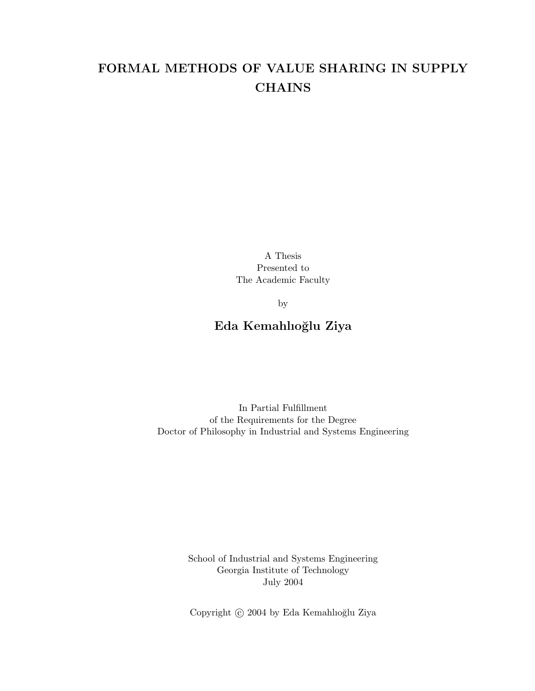# FORMAL METHODS OF VALUE SHARING IN SUPPLY **CHAINS**

A Thesis Presented to The Academic Faculty

by

## Eda Kemahlıoğlu Ziya

In Partial Fulfillment of the Requirements for the Degree Doctor of Philosophy in Industrial and Systems Engineering

> School of Industrial and Systems Engineering Georgia Institute of Technology July 2004

Copyright  $\odot$  2004 by Eda Kemahlıoğlu Ziya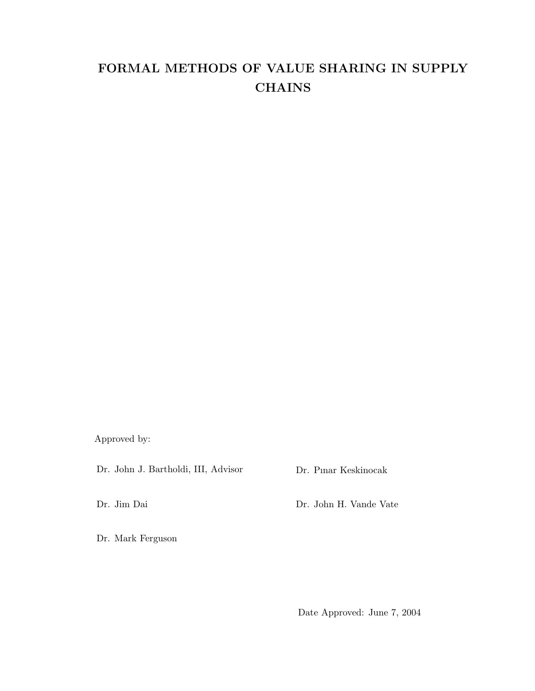# FORMAL METHODS OF VALUE SHARING IN SUPPLY **CHAINS**

Approved by:

Dr. John J. Bartholdi, III, Advisor

Dr. Pınar Keskinocak

Dr. Jim Dai

Dr. John H. Vande Vate

Dr. Mark Ferguson

Date Approved: June 7, 2004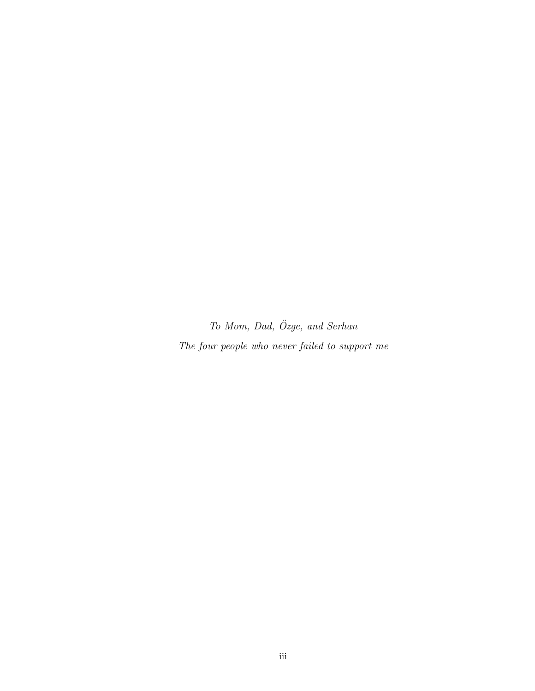To Mom, Dad, Özge, and Serhan The four people who never failed to support me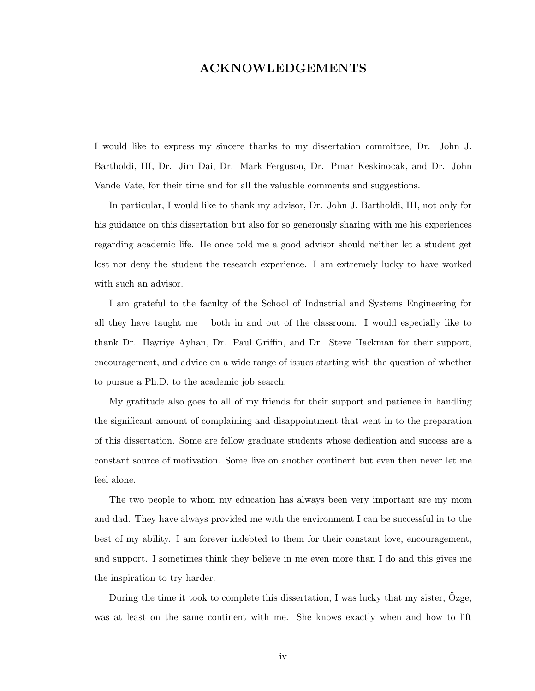#### ACKNOWLEDGEMENTS

I would like to express my sincere thanks to my dissertation committee, Dr. John J. Bartholdi, III, Dr. Jim Dai, Dr. Mark Ferguson, Dr. Pınar Keskinocak, and Dr. John Vande Vate, for their time and for all the valuable comments and suggestions.

In particular, I would like to thank my advisor, Dr. John J. Bartholdi, III, not only for his guidance on this dissertation but also for so generously sharing with me his experiences regarding academic life. He once told me a good advisor should neither let a student get lost nor deny the student the research experience. I am extremely lucky to have worked with such an advisor.

I am grateful to the faculty of the School of Industrial and Systems Engineering for all they have taught me – both in and out of the classroom. I would especially like to thank Dr. Hayriye Ayhan, Dr. Paul Griffin, and Dr. Steve Hackman for their support, encouragement, and advice on a wide range of issues starting with the question of whether to pursue a Ph.D. to the academic job search.

My gratitude also goes to all of my friends for their support and patience in handling the significant amount of complaining and disappointment that went in to the preparation of this dissertation. Some are fellow graduate students whose dedication and success are a constant source of motivation. Some live on another continent but even then never let me feel alone.

The two people to whom my education has always been very important are my mom and dad. They have always provided me with the environment I can be successful in to the best of my ability. I am forever indebted to them for their constant love, encouragement, and support. I sometimes think they believe in me even more than I do and this gives me the inspiration to try harder.

During the time it took to complete this dissertation, I was lucky that my sister, Ozge, was at least on the same continent with me. She knows exactly when and how to lift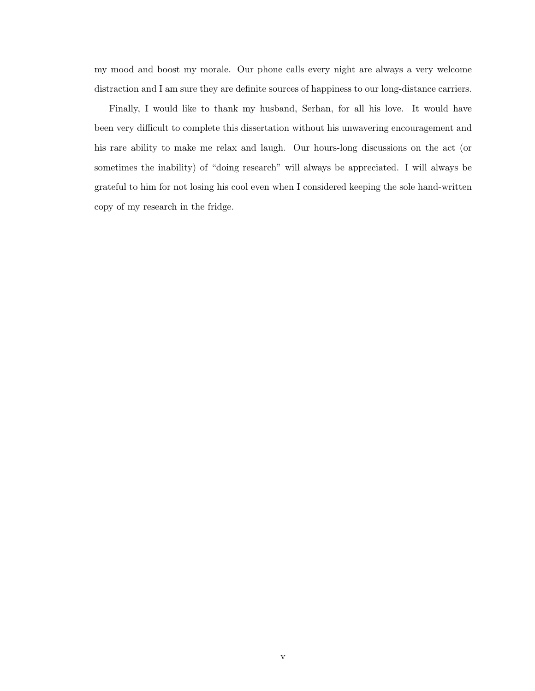my mood and boost my morale. Our phone calls every night are always a very welcome distraction and I am sure they are definite sources of happiness to our long-distance carriers.

Finally, I would like to thank my husband, Serhan, for all his love. It would have been very difficult to complete this dissertation without his unwavering encouragement and his rare ability to make me relax and laugh. Our hours-long discussions on the act (or sometimes the inability) of "doing research" will always be appreciated. I will always be grateful to him for not losing his cool even when I considered keeping the sole hand-written copy of my research in the fridge.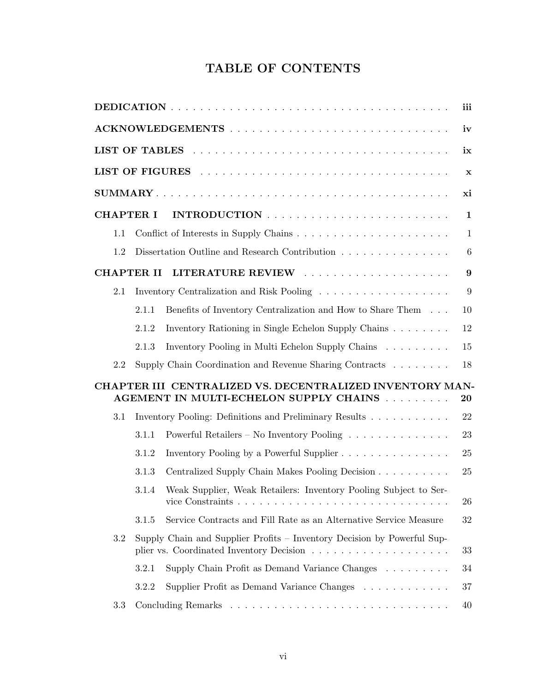# TABLE OF CONTENTS

|     |                   |                                                                                                    | iii          |
|-----|-------------------|----------------------------------------------------------------------------------------------------|--------------|
|     |                   |                                                                                                    | iv           |
|     |                   |                                                                                                    | ix           |
|     |                   |                                                                                                    | $\mathbf x$  |
|     |                   |                                                                                                    | xi           |
|     | <b>CHAPTER I</b>  |                                                                                                    | $\mathbf{1}$ |
| 1.1 |                   |                                                                                                    | $\mathbf{1}$ |
| 1.2 |                   | Dissertation Outline and Research Contribution                                                     | 6            |
|     | <b>CHAPTER II</b> |                                                                                                    | 9            |
| 2.1 |                   | Inventory Centralization and Risk Pooling                                                          | 9            |
|     | 2.1.1             | Benefits of Inventory Centralization and How to Share Them                                         | 10           |
|     | 2.1.2             | Inventory Rationing in Single Echelon Supply Chains                                                | 12           |
|     | 2.1.3             | Inventory Pooling in Multi Echelon Supply Chains                                                   | 15           |
| 2.2 |                   | Supply Chain Coordination and Revenue Sharing Contracts                                            | 18           |
|     |                   | CHAPTER III CENTRALIZED VS. DECENTRALIZED INVENTORY MAN-<br>AGEMENT IN MULTI-ECHELON SUPPLY CHAINS | 20           |
| 3.1 |                   | Inventory Pooling: Definitions and Preliminary Results                                             | 22           |
|     | 3.1.1             | Powerful Retailers – No Inventory Pooling                                                          | 23           |
|     | 3.1.2             | Inventory Pooling by a Powerful Supplier                                                           | 25           |
|     | 3.1.3             | Centralized Supply Chain Makes Pooling Decision                                                    | 25           |
|     | 3.1.4             | Weak Supplier, Weak Retailers: Inventory Pooling Subject to Ser-                                   | 26           |
|     | 3.1.5             | Service Contracts and Fill Rate as an Alternative Service Measure                                  | 32           |
| 3.2 |                   | Supply Chain and Supplier Profits – Inventory Decision by Powerful Sup-                            | 33           |
|     | 3.2.1             | Supply Chain Profit as Demand Variance Changes                                                     | 34           |
|     | 3.2.2             | Supplier Profit as Demand Variance Changes                                                         | 37           |
| 3.3 |                   |                                                                                                    | 40           |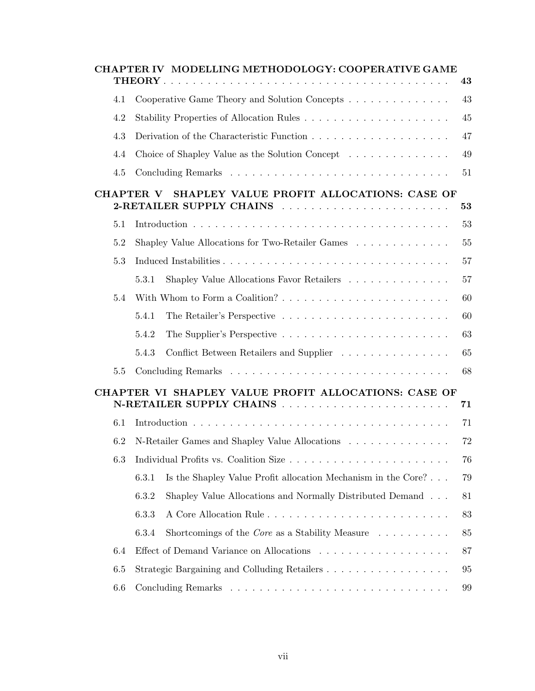|     | CHAPTER IV MODELLING METHODOLOGY: COOPERATIVE GAME                                                        |        |
|-----|-----------------------------------------------------------------------------------------------------------|--------|
|     |                                                                                                           | 43     |
| 4.1 | Cooperative Game Theory and Solution Concepts                                                             | 43     |
| 4.2 |                                                                                                           | 45     |
| 4.3 |                                                                                                           | 47     |
| 4.4 | Choice of Shapley Value as the Solution Concept                                                           | 49     |
| 4.5 |                                                                                                           | 51     |
|     | SHAPLEY VALUE PROFIT ALLOCATIONS: CASE OF<br>CHAPTER V<br>2-RETAILER SUPPLY CHAINS                        | 53     |
| 5.1 |                                                                                                           | 53     |
| 5.2 | Shapley Value Allocations for Two-Retailer Games                                                          | 55     |
| 5.3 |                                                                                                           | 57     |
|     | Shapley Value Allocations Favor Retailers<br>5.3.1                                                        | 57     |
| 5.4 | With Whom to Form a Coalition? $\ldots$ , $\ldots$ , $\ldots$ , $\ldots$ , $\ldots$ , $\ldots$ , $\ldots$ | 60     |
|     | 5.4.1                                                                                                     | 60     |
|     | 5.4.2                                                                                                     | 63     |
|     | 5.4.3<br>Conflict Between Retailers and Supplier                                                          | 65     |
| 5.5 |                                                                                                           | 68     |
|     | CHAPTER VI SHAPLEY VALUE PROFIT ALLOCATIONS: CASE OF                                                      | 71     |
| 6.1 |                                                                                                           | 71     |
| 6.2 | N-Retailer Games and Shapley Value Allocations                                                            | 72     |
| 6.3 |                                                                                                           | 76     |
|     | 6.3.1<br>Is the Shapley Value Profit allocation Mechanism in the Core?                                    | 79     |
|     | 6.3.2<br>Shapley Value Allocations and Normally Distributed Demand                                        | 81     |
|     | 6.3.3                                                                                                     | 83     |
|     | 6.3.4<br>Shortcomings of the <i>Core</i> as a Stability Measure $\ldots \ldots \ldots$                    | $85\,$ |
| 6.4 |                                                                                                           | 87     |
| 6.5 | Strategic Bargaining and Colluding Retailers                                                              | 95     |
| 6.6 |                                                                                                           | 99     |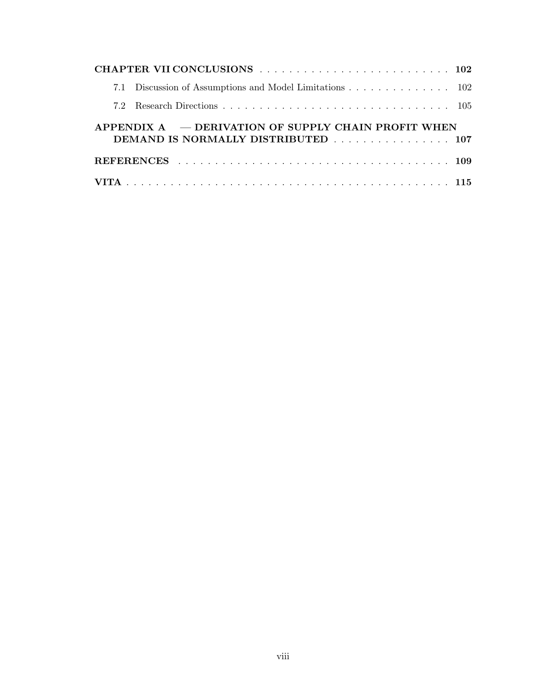|                                                                                                      | 7.1 Discussion of Assumptions and Model Limitations 102 |  |  |  |  |  |  |  |
|------------------------------------------------------------------------------------------------------|---------------------------------------------------------|--|--|--|--|--|--|--|
|                                                                                                      |                                                         |  |  |  |  |  |  |  |
| APPENDIX $A \leftarrow$ DERIVATION OF SUPPLY CHAIN PROFIT WHEN<br>DEMAND IS NORMALLY DISTRIBUTED 107 |                                                         |  |  |  |  |  |  |  |
|                                                                                                      |                                                         |  |  |  |  |  |  |  |
|                                                                                                      |                                                         |  |  |  |  |  |  |  |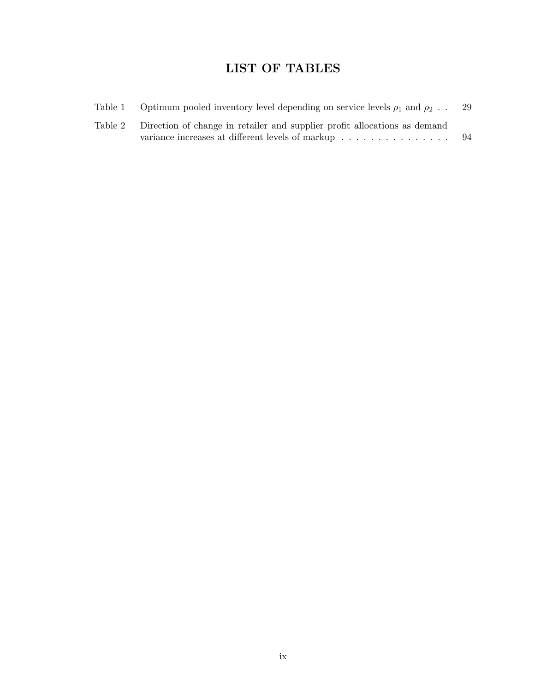# LIST OF TABLES

| Table 1 | Optimum pooled inventory level depending on service levels $\rho_1$ and $\rho_2$ .                                                    | 29  |
|---------|---------------------------------------------------------------------------------------------------------------------------------------|-----|
|         | Table 2 Direction of change in retailer and supplier profit allocations as demand<br>variance increases at different levels of markup | -94 |
|         |                                                                                                                                       |     |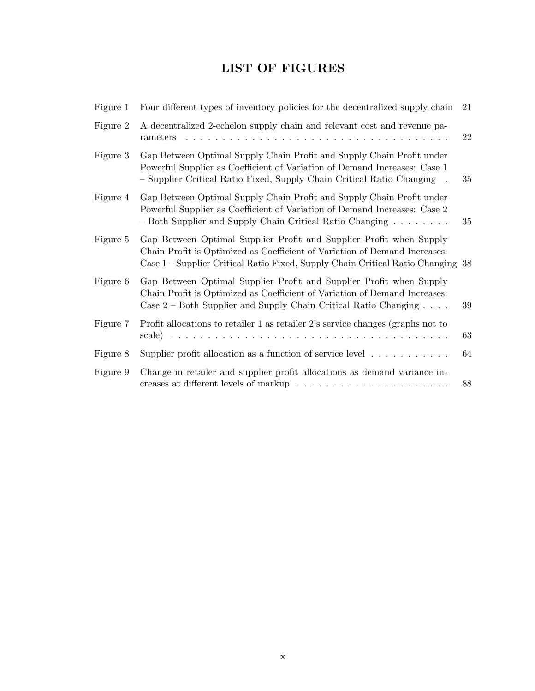# LIST OF FIGURES

| Figure 1 | Four different types of inventory policies for the decentralized supply chain                                                                                                                                                                           | 21 |
|----------|---------------------------------------------------------------------------------------------------------------------------------------------------------------------------------------------------------------------------------------------------------|----|
| Figure 2 | A decentralized 2-echelon supply chain and relevant cost and revenue pa-<br>rameters                                                                                                                                                                    | 22 |
| Figure 3 | Gap Between Optimal Supply Chain Profit and Supply Chain Profit under<br>Powerful Supplier as Coefficient of Variation of Demand Increases: Case 1<br>- Supplier Critical Ratio Fixed, Supply Chain Critical Ratio Changing<br>$\overline{\phantom{a}}$ | 35 |
| Figure 4 | Gap Between Optimal Supply Chain Profit and Supply Chain Profit under<br>Powerful Supplier as Coefficient of Variation of Demand Increases: Case 2<br>- Both Supplier and Supply Chain Critical Ratio Changing                                          | 35 |
| Figure 5 | Gap Between Optimal Supplier Profit and Supplier Profit when Supply<br>Chain Profit is Optimized as Coefficient of Variation of Demand Increases:<br>Case 1 – Supplier Critical Ratio Fixed, Supply Chain Critical Ratio Changing 38                    |    |
| Figure 6 | Gap Between Optimal Supplier Profit and Supplier Profit when Supply<br>Chain Profit is Optimized as Coefficient of Variation of Demand Increases:<br>Case $2$ – Both Supplier and Supply Chain Critical Ratio Changing $\ldots$ .                       | 39 |
| Figure 7 | Profit allocations to retailer 1 as retailer 2's service changes (graphs not to                                                                                                                                                                         | 63 |
| Figure 8 | Supplier profit allocation as a function of service level $\dots \dots \dots$                                                                                                                                                                           | 64 |
| Figure 9 | Change in retailer and supplier profit allocations as demand variance in-                                                                                                                                                                               | 88 |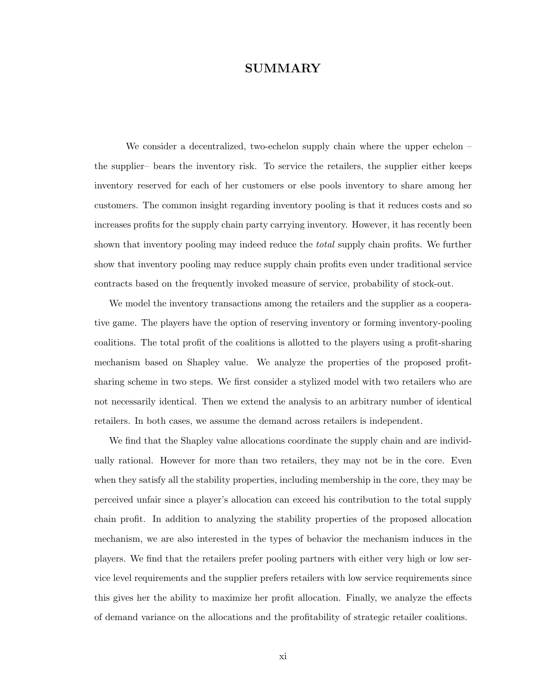#### SUMMARY

We consider a decentralized, two-echelon supply chain where the upper echelon – the supplier– bears the inventory risk. To service the retailers, the supplier either keeps inventory reserved for each of her customers or else pools inventory to share among her customers. The common insight regarding inventory pooling is that it reduces costs and so increases profits for the supply chain party carrying inventory. However, it has recently been shown that inventory pooling may indeed reduce the *total* supply chain profits. We further show that inventory pooling may reduce supply chain profits even under traditional service contracts based on the frequently invoked measure of service, probability of stock-out.

We model the inventory transactions among the retailers and the supplier as a cooperative game. The players have the option of reserving inventory or forming inventory-pooling coalitions. The total profit of the coalitions is allotted to the players using a profit-sharing mechanism based on Shapley value. We analyze the properties of the proposed profitsharing scheme in two steps. We first consider a stylized model with two retailers who are not necessarily identical. Then we extend the analysis to an arbitrary number of identical retailers. In both cases, we assume the demand across retailers is independent.

We find that the Shapley value allocations coordinate the supply chain and are individually rational. However for more than two retailers, they may not be in the core. Even when they satisfy all the stability properties, including membership in the core, they may be perceived unfair since a player's allocation can exceed his contribution to the total supply chain profit. In addition to analyzing the stability properties of the proposed allocation mechanism, we are also interested in the types of behavior the mechanism induces in the players. We find that the retailers prefer pooling partners with either very high or low service level requirements and the supplier prefers retailers with low service requirements since this gives her the ability to maximize her profit allocation. Finally, we analyze the effects of demand variance on the allocations and the profitability of strategic retailer coalitions.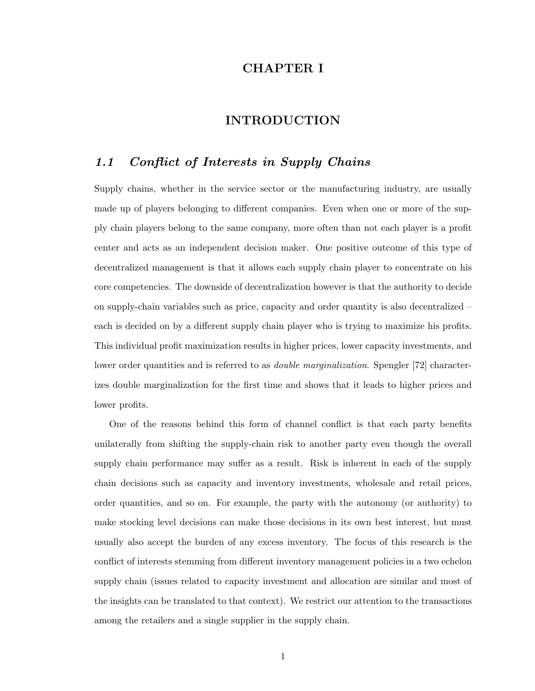## CHAPTER I

#### INTRODUCTION

## 1.1 Conflict of Interests in Supply Chains

Supply chains, whether in the service sector or the manufacturing industry, are usually made up of players belonging to different companies. Even when one or more of the supply chain players belong to the same company, more often than not each player is a profit center and acts as an independent decision maker. One positive outcome of this type of decentralized management is that it allows each supply chain player to concentrate on his core competencies. The downside of decentralization however is that the authority to decide on supply-chain variables such as price, capacity and order quantity is also decentralized – each is decided on by a different supply chain player who is trying to maximize his profits. This individual profit maximization results in higher prices, lower capacity investments, and lower order quantities and is referred to as *double marginalization*. Spengler [72] characterizes double marginalization for the first time and shows that it leads to higher prices and lower profits.

One of the reasons behind this form of channel conflict is that each party benefits unilaterally from shifting the supply-chain risk to another party even though the overall supply chain performance may suffer as a result. Risk is inherent in each of the supply chain decisions such as capacity and inventory investments, wholesale and retail prices, order quantities, and so on. For example, the party with the autonomy (or authority) to make stocking level decisions can make those decisions in its own best interest, but must usually also accept the burden of any excess inventory. The focus of this research is the conflict of interests stemming from different inventory management policies in a two echelon supply chain (issues related to capacity investment and allocation are similar and most of the insights can be translated to that context). We restrict our attention to the transactions among the retailers and a single supplier in the supply chain.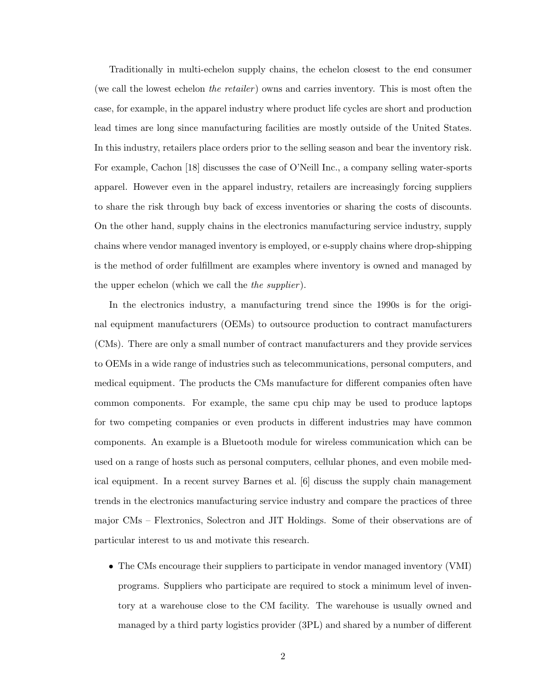Traditionally in multi-echelon supply chains, the echelon closest to the end consumer (we call the lowest echelon the retailer) owns and carries inventory. This is most often the case, for example, in the apparel industry where product life cycles are short and production lead times are long since manufacturing facilities are mostly outside of the United States. In this industry, retailers place orders prior to the selling season and bear the inventory risk. For example, Cachon [18] discusses the case of O'Neill Inc., a company selling water-sports apparel. However even in the apparel industry, retailers are increasingly forcing suppliers to share the risk through buy back of excess inventories or sharing the costs of discounts. On the other hand, supply chains in the electronics manufacturing service industry, supply chains where vendor managed inventory is employed, or e-supply chains where drop-shipping is the method of order fulfillment are examples where inventory is owned and managed by the upper echelon (which we call the *the supplier*).

In the electronics industry, a manufacturing trend since the 1990s is for the original equipment manufacturers (OEMs) to outsource production to contract manufacturers (CMs). There are only a small number of contract manufacturers and they provide services to OEMs in a wide range of industries such as telecommunications, personal computers, and medical equipment. The products the CMs manufacture for different companies often have common components. For example, the same cpu chip may be used to produce laptops for two competing companies or even products in different industries may have common components. An example is a Bluetooth module for wireless communication which can be used on a range of hosts such as personal computers, cellular phones, and even mobile medical equipment. In a recent survey Barnes et al. [6] discuss the supply chain management trends in the electronics manufacturing service industry and compare the practices of three major CMs – Flextronics, Solectron and JIT Holdings. Some of their observations are of particular interest to us and motivate this research.

• The CMs encourage their suppliers to participate in vendor managed inventory (VMI) programs. Suppliers who participate are required to stock a minimum level of inventory at a warehouse close to the CM facility. The warehouse is usually owned and managed by a third party logistics provider (3PL) and shared by a number of different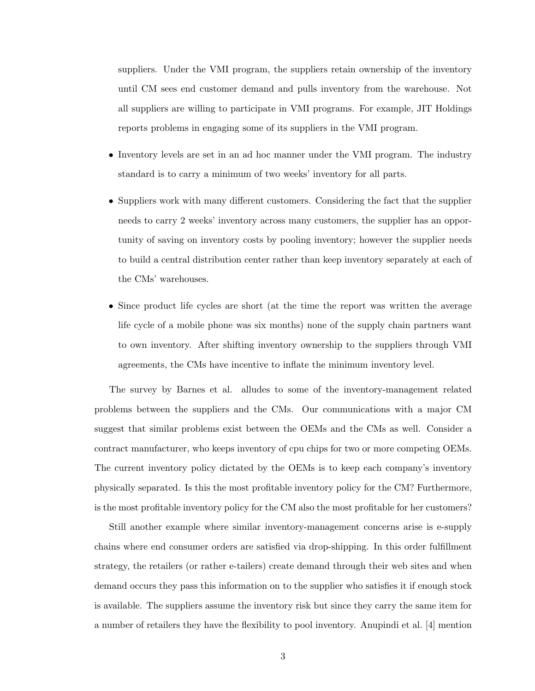suppliers. Under the VMI program, the suppliers retain ownership of the inventory until CM sees end customer demand and pulls inventory from the warehouse. Not all suppliers are willing to participate in VMI programs. For example, JIT Holdings reports problems in engaging some of its suppliers in the VMI program.

- Inventory levels are set in an ad hoc manner under the VMI program. The industry standard is to carry a minimum of two weeks' inventory for all parts.
- Suppliers work with many different customers. Considering the fact that the supplier needs to carry 2 weeks' inventory across many customers, the supplier has an opportunity of saving on inventory costs by pooling inventory; however the supplier needs to build a central distribution center rather than keep inventory separately at each of the CMs' warehouses.
- Since product life cycles are short (at the time the report was written the average life cycle of a mobile phone was six months) none of the supply chain partners want to own inventory. After shifting inventory ownership to the suppliers through VMI agreements, the CMs have incentive to inflate the minimum inventory level.

The survey by Barnes et al. alludes to some of the inventory-management related problems between the suppliers and the CMs. Our communications with a major CM suggest that similar problems exist between the OEMs and the CMs as well. Consider a contract manufacturer, who keeps inventory of cpu chips for two or more competing OEMs. The current inventory policy dictated by the OEMs is to keep each company's inventory physically separated. Is this the most profitable inventory policy for the CM? Furthermore, is the most profitable inventory policy for the CM also the most profitable for her customers?

Still another example where similar inventory-management concerns arise is e-supply chains where end consumer orders are satisfied via drop-shipping. In this order fulfillment strategy, the retailers (or rather e-tailers) create demand through their web sites and when demand occurs they pass this information on to the supplier who satisfies it if enough stock is available. The suppliers assume the inventory risk but since they carry the same item for a number of retailers they have the flexibility to pool inventory. Anupindi et al. [4] mention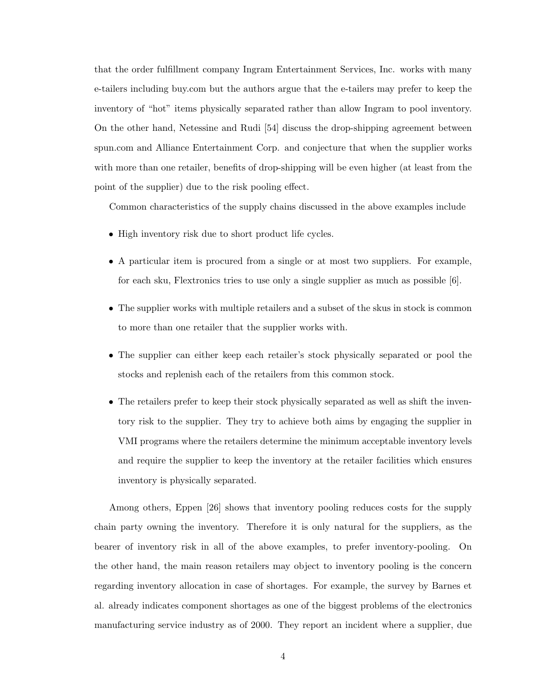that the order fulfillment company Ingram Entertainment Services, Inc. works with many e-tailers including buy.com but the authors argue that the e-tailers may prefer to keep the inventory of "hot" items physically separated rather than allow Ingram to pool inventory. On the other hand, Netessine and Rudi [54] discuss the drop-shipping agreement between spun.com and Alliance Entertainment Corp. and conjecture that when the supplier works with more than one retailer, benefits of drop-shipping will be even higher (at least from the point of the supplier) due to the risk pooling effect.

Common characteristics of the supply chains discussed in the above examples include

- High inventory risk due to short product life cycles.
- A particular item is procured from a single or at most two suppliers. For example, for each sku, Flextronics tries to use only a single supplier as much as possible [6].
- The supplier works with multiple retailers and a subset of the skus in stock is common to more than one retailer that the supplier works with.
- The supplier can either keep each retailer's stock physically separated or pool the stocks and replenish each of the retailers from this common stock.
- The retailers prefer to keep their stock physically separated as well as shift the inventory risk to the supplier. They try to achieve both aims by engaging the supplier in VMI programs where the retailers determine the minimum acceptable inventory levels and require the supplier to keep the inventory at the retailer facilities which ensures inventory is physically separated.

Among others, Eppen [26] shows that inventory pooling reduces costs for the supply chain party owning the inventory. Therefore it is only natural for the suppliers, as the bearer of inventory risk in all of the above examples, to prefer inventory-pooling. On the other hand, the main reason retailers may object to inventory pooling is the concern regarding inventory allocation in case of shortages. For example, the survey by Barnes et al. already indicates component shortages as one of the biggest problems of the electronics manufacturing service industry as of 2000. They report an incident where a supplier, due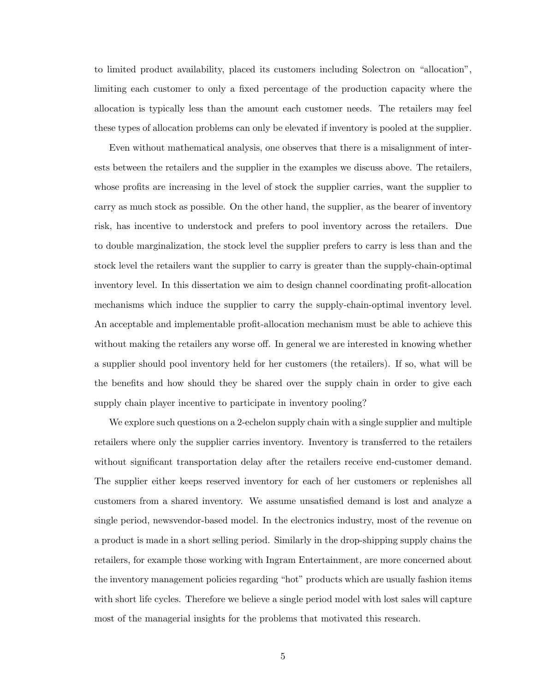to limited product availability, placed its customers including Solectron on "allocation", limiting each customer to only a fixed percentage of the production capacity where the allocation is typically less than the amount each customer needs. The retailers may feel these types of allocation problems can only be elevated if inventory is pooled at the supplier.

Even without mathematical analysis, one observes that there is a misalignment of interests between the retailers and the supplier in the examples we discuss above. The retailers, whose profits are increasing in the level of stock the supplier carries, want the supplier to carry as much stock as possible. On the other hand, the supplier, as the bearer of inventory risk, has incentive to understock and prefers to pool inventory across the retailers. Due to double marginalization, the stock level the supplier prefers to carry is less than and the stock level the retailers want the supplier to carry is greater than the supply-chain-optimal inventory level. In this dissertation we aim to design channel coordinating profit-allocation mechanisms which induce the supplier to carry the supply-chain-optimal inventory level. An acceptable and implementable profit-allocation mechanism must be able to achieve this without making the retailers any worse off. In general we are interested in knowing whether a supplier should pool inventory held for her customers (the retailers). If so, what will be the benefits and how should they be shared over the supply chain in order to give each supply chain player incentive to participate in inventory pooling?

We explore such questions on a 2-echelon supply chain with a single supplier and multiple retailers where only the supplier carries inventory. Inventory is transferred to the retailers without significant transportation delay after the retailers receive end-customer demand. The supplier either keeps reserved inventory for each of her customers or replenishes all customers from a shared inventory. We assume unsatisfied demand is lost and analyze a single period, newsvendor-based model. In the electronics industry, most of the revenue on a product is made in a short selling period. Similarly in the drop-shipping supply chains the retailers, for example those working with Ingram Entertainment, are more concerned about the inventory management policies regarding "hot" products which are usually fashion items with short life cycles. Therefore we believe a single period model with lost sales will capture most of the managerial insights for the problems that motivated this research.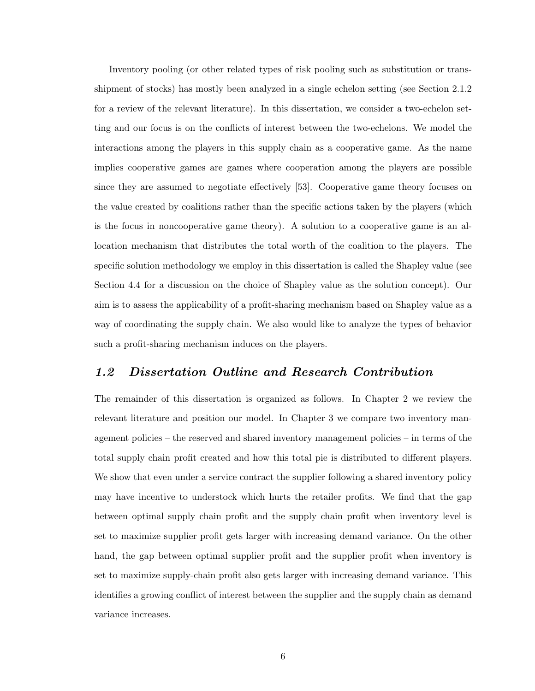Inventory pooling (or other related types of risk pooling such as substitution or transshipment of stocks) has mostly been analyzed in a single echelon setting (see Section 2.1.2 for a review of the relevant literature). In this dissertation, we consider a two-echelon setting and our focus is on the conflicts of interest between the two-echelons. We model the interactions among the players in this supply chain as a cooperative game. As the name implies cooperative games are games where cooperation among the players are possible since they are assumed to negotiate effectively [53]. Cooperative game theory focuses on the value created by coalitions rather than the specific actions taken by the players (which is the focus in noncooperative game theory). A solution to a cooperative game is an allocation mechanism that distributes the total worth of the coalition to the players. The specific solution methodology we employ in this dissertation is called the Shapley value (see Section 4.4 for a discussion on the choice of Shapley value as the solution concept). Our aim is to assess the applicability of a profit-sharing mechanism based on Shapley value as a way of coordinating the supply chain. We also would like to analyze the types of behavior such a profit-sharing mechanism induces on the players.

#### 1.2 Dissertation Outline and Research Contribution

The remainder of this dissertation is organized as follows. In Chapter 2 we review the relevant literature and position our model. In Chapter 3 we compare two inventory management policies – the reserved and shared inventory management policies – in terms of the total supply chain profit created and how this total pie is distributed to different players. We show that even under a service contract the supplier following a shared inventory policy may have incentive to understock which hurts the retailer profits. We find that the gap between optimal supply chain profit and the supply chain profit when inventory level is set to maximize supplier profit gets larger with increasing demand variance. On the other hand, the gap between optimal supplier profit and the supplier profit when inventory is set to maximize supply-chain profit also gets larger with increasing demand variance. This identifies a growing conflict of interest between the supplier and the supply chain as demand variance increases.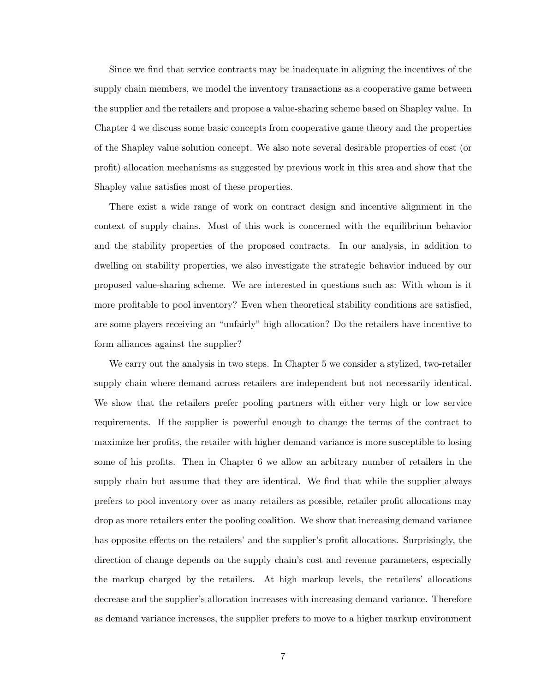Since we find that service contracts may be inadequate in aligning the incentives of the supply chain members, we model the inventory transactions as a cooperative game between the supplier and the retailers and propose a value-sharing scheme based on Shapley value. In Chapter 4 we discuss some basic concepts from cooperative game theory and the properties of the Shapley value solution concept. We also note several desirable properties of cost (or profit) allocation mechanisms as suggested by previous work in this area and show that the Shapley value satisfies most of these properties.

There exist a wide range of work on contract design and incentive alignment in the context of supply chains. Most of this work is concerned with the equilibrium behavior and the stability properties of the proposed contracts. In our analysis, in addition to dwelling on stability properties, we also investigate the strategic behavior induced by our proposed value-sharing scheme. We are interested in questions such as: With whom is it more profitable to pool inventory? Even when theoretical stability conditions are satisfied, are some players receiving an "unfairly" high allocation? Do the retailers have incentive to form alliances against the supplier?

We carry out the analysis in two steps. In Chapter 5 we consider a stylized, two-retailer supply chain where demand across retailers are independent but not necessarily identical. We show that the retailers prefer pooling partners with either very high or low service requirements. If the supplier is powerful enough to change the terms of the contract to maximize her profits, the retailer with higher demand variance is more susceptible to losing some of his profits. Then in Chapter 6 we allow an arbitrary number of retailers in the supply chain but assume that they are identical. We find that while the supplier always prefers to pool inventory over as many retailers as possible, retailer profit allocations may drop as more retailers enter the pooling coalition. We show that increasing demand variance has opposite effects on the retailers' and the supplier's profit allocations. Surprisingly, the direction of change depends on the supply chain's cost and revenue parameters, especially the markup charged by the retailers. At high markup levels, the retailers' allocations decrease and the supplier's allocation increases with increasing demand variance. Therefore as demand variance increases, the supplier prefers to move to a higher markup environment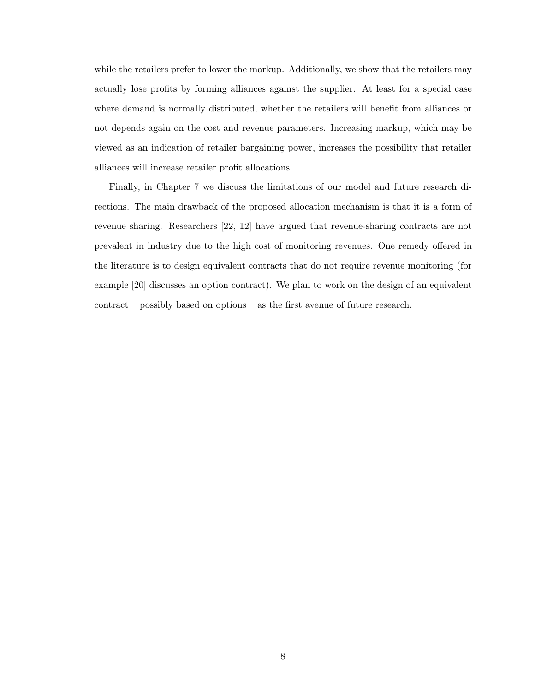while the retailers prefer to lower the markup. Additionally, we show that the retailers may actually lose profits by forming alliances against the supplier. At least for a special case where demand is normally distributed, whether the retailers will benefit from alliances or not depends again on the cost and revenue parameters. Increasing markup, which may be viewed as an indication of retailer bargaining power, increases the possibility that retailer alliances will increase retailer profit allocations.

Finally, in Chapter 7 we discuss the limitations of our model and future research directions. The main drawback of the proposed allocation mechanism is that it is a form of revenue sharing. Researchers [22, 12] have argued that revenue-sharing contracts are not prevalent in industry due to the high cost of monitoring revenues. One remedy offered in the literature is to design equivalent contracts that do not require revenue monitoring (for example [20] discusses an option contract). We plan to work on the design of an equivalent contract – possibly based on options – as the first avenue of future research.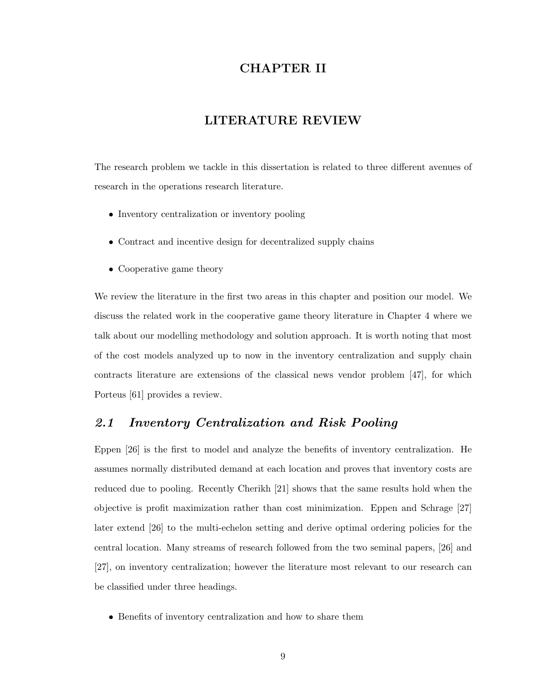## CHAPTER II

#### LITERATURE REVIEW

The research problem we tackle in this dissertation is related to three different avenues of research in the operations research literature.

- Inventory centralization or inventory pooling
- Contract and incentive design for decentralized supply chains
- Cooperative game theory

We review the literature in the first two areas in this chapter and position our model. We discuss the related work in the cooperative game theory literature in Chapter 4 where we talk about our modelling methodology and solution approach. It is worth noting that most of the cost models analyzed up to now in the inventory centralization and supply chain contracts literature are extensions of the classical news vendor problem [47], for which Porteus [61] provides a review.

#### 2.1 Inventory Centralization and Risk Pooling

Eppen [26] is the first to model and analyze the benefits of inventory centralization. He assumes normally distributed demand at each location and proves that inventory costs are reduced due to pooling. Recently Cherikh [21] shows that the same results hold when the objective is profit maximization rather than cost minimization. Eppen and Schrage [27] later extend [26] to the multi-echelon setting and derive optimal ordering policies for the central location. Many streams of research followed from the two seminal papers, [26] and [27], on inventory centralization; however the literature most relevant to our research can be classified under three headings.

• Benefits of inventory centralization and how to share them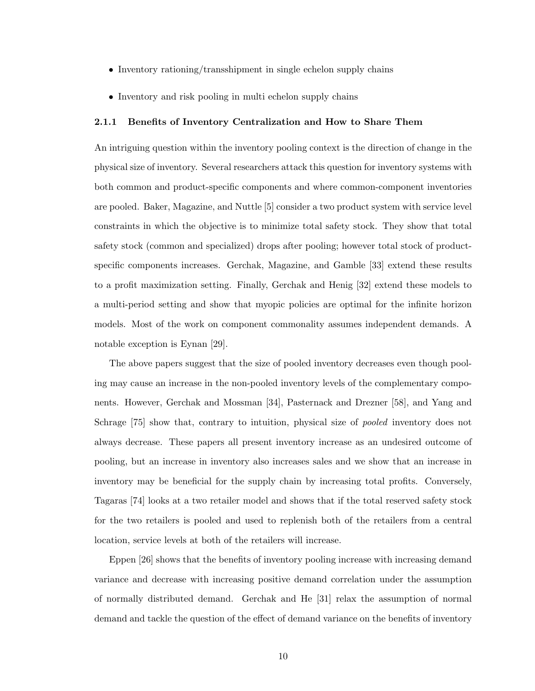- Inventory rationing/transshipment in single echelon supply chains
- Inventory and risk pooling in multi echelon supply chains

#### 2.1.1 Benefits of Inventory Centralization and How to Share Them

An intriguing question within the inventory pooling context is the direction of change in the physical size of inventory. Several researchers attack this question for inventory systems with both common and product-specific components and where common-component inventories are pooled. Baker, Magazine, and Nuttle [5] consider a two product system with service level constraints in which the objective is to minimize total safety stock. They show that total safety stock (common and specialized) drops after pooling; however total stock of productspecific components increases. Gerchak, Magazine, and Gamble [33] extend these results to a profit maximization setting. Finally, Gerchak and Henig [32] extend these models to a multi-period setting and show that myopic policies are optimal for the infinite horizon models. Most of the work on component commonality assumes independent demands. A notable exception is Eynan [29].

The above papers suggest that the size of pooled inventory decreases even though pooling may cause an increase in the non-pooled inventory levels of the complementary components. However, Gerchak and Mossman [34], Pasternack and Drezner [58], and Yang and Schrage [75] show that, contrary to intuition, physical size of pooled inventory does not always decrease. These papers all present inventory increase as an undesired outcome of pooling, but an increase in inventory also increases sales and we show that an increase in inventory may be beneficial for the supply chain by increasing total profits. Conversely, Tagaras [74] looks at a two retailer model and shows that if the total reserved safety stock for the two retailers is pooled and used to replenish both of the retailers from a central location, service levels at both of the retailers will increase.

Eppen [26] shows that the benefits of inventory pooling increase with increasing demand variance and decrease with increasing positive demand correlation under the assumption of normally distributed demand. Gerchak and He [31] relax the assumption of normal demand and tackle the question of the effect of demand variance on the benefits of inventory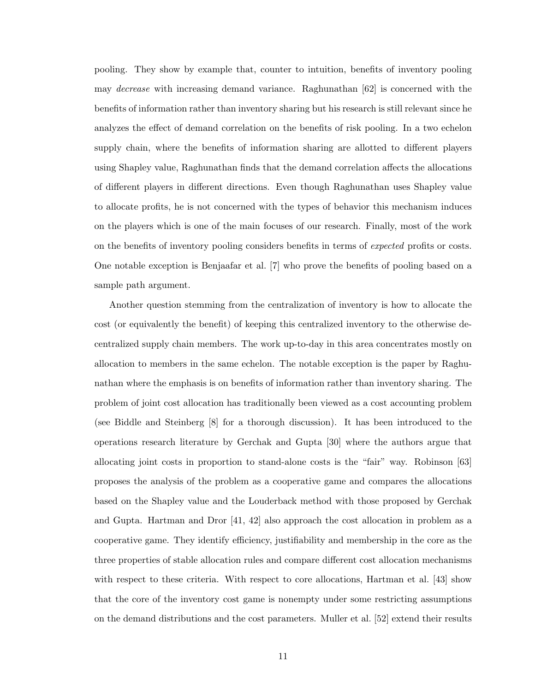pooling. They show by example that, counter to intuition, benefits of inventory pooling may *decrease* with increasing demand variance. Raghunathan  $|62|$  is concerned with the benefits of information rather than inventory sharing but his research is still relevant since he analyzes the effect of demand correlation on the benefits of risk pooling. In a two echelon supply chain, where the benefits of information sharing are allotted to different players using Shapley value, Raghunathan finds that the demand correlation affects the allocations of different players in different directions. Even though Raghunathan uses Shapley value to allocate profits, he is not concerned with the types of behavior this mechanism induces on the players which is one of the main focuses of our research. Finally, most of the work on the benefits of inventory pooling considers benefits in terms of *expected* profits or costs. One notable exception is Benjaafar et al. [7] who prove the benefits of pooling based on a sample path argument.

Another question stemming from the centralization of inventory is how to allocate the cost (or equivalently the benefit) of keeping this centralized inventory to the otherwise decentralized supply chain members. The work up-to-day in this area concentrates mostly on allocation to members in the same echelon. The notable exception is the paper by Raghunathan where the emphasis is on benefits of information rather than inventory sharing. The problem of joint cost allocation has traditionally been viewed as a cost accounting problem (see Biddle and Steinberg [8] for a thorough discussion). It has been introduced to the operations research literature by Gerchak and Gupta [30] where the authors argue that allocating joint costs in proportion to stand-alone costs is the "fair" way. Robinson [63] proposes the analysis of the problem as a cooperative game and compares the allocations based on the Shapley value and the Louderback method with those proposed by Gerchak and Gupta. Hartman and Dror [41, 42] also approach the cost allocation in problem as a cooperative game. They identify efficiency, justifiability and membership in the core as the three properties of stable allocation rules and compare different cost allocation mechanisms with respect to these criteria. With respect to core allocations, Hartman et al. [43] show that the core of the inventory cost game is nonempty under some restricting assumptions on the demand distributions and the cost parameters. Muller et al. [52] extend their results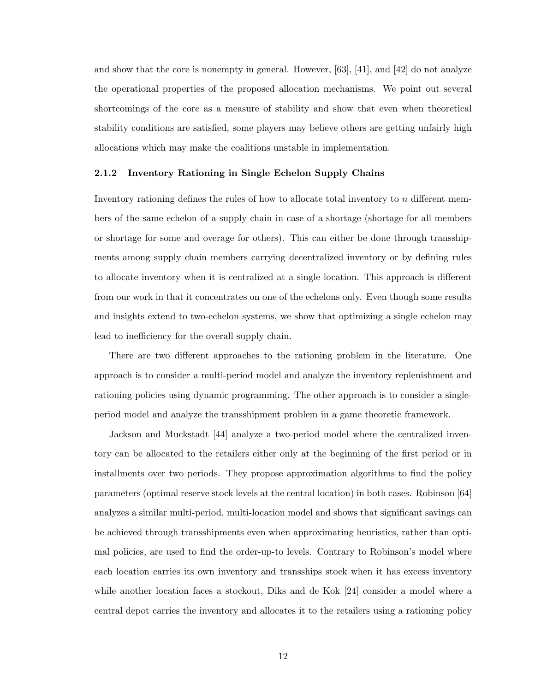and show that the core is nonempty in general. However,  $[63]$ ,  $[41]$ , and  $[42]$  do not analyze the operational properties of the proposed allocation mechanisms. We point out several shortcomings of the core as a measure of stability and show that even when theoretical stability conditions are satisfied, some players may believe others are getting unfairly high allocations which may make the coalitions unstable in implementation.

#### 2.1.2 Inventory Rationing in Single Echelon Supply Chains

Inventory rationing defines the rules of how to allocate total inventory to  $n$  different members of the same echelon of a supply chain in case of a shortage (shortage for all members or shortage for some and overage for others). This can either be done through transshipments among supply chain members carrying decentralized inventory or by defining rules to allocate inventory when it is centralized at a single location. This approach is different from our work in that it concentrates on one of the echelons only. Even though some results and insights extend to two-echelon systems, we show that optimizing a single echelon may lead to inefficiency for the overall supply chain.

There are two different approaches to the rationing problem in the literature. One approach is to consider a multi-period model and analyze the inventory replenishment and rationing policies using dynamic programming. The other approach is to consider a singleperiod model and analyze the transshipment problem in a game theoretic framework.

Jackson and Muckstadt [44] analyze a two-period model where the centralized inventory can be allocated to the retailers either only at the beginning of the first period or in installments over two periods. They propose approximation algorithms to find the policy parameters (optimal reserve stock levels at the central location) in both cases. Robinson [64] analyzes a similar multi-period, multi-location model and shows that significant savings can be achieved through transshipments even when approximating heuristics, rather than optimal policies, are used to find the order-up-to levels. Contrary to Robinson's model where each location carries its own inventory and transships stock when it has excess inventory while another location faces a stockout, Diks and de Kok [24] consider a model where a central depot carries the inventory and allocates it to the retailers using a rationing policy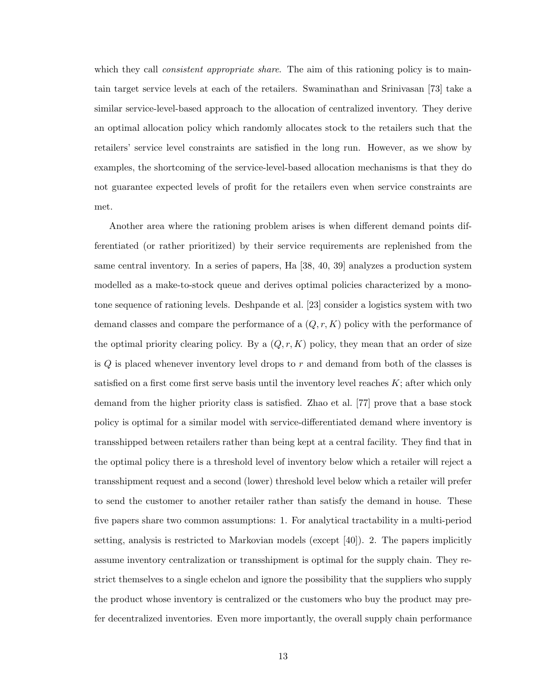which they call *consistent appropriate share*. The aim of this rationing policy is to maintain target service levels at each of the retailers. Swaminathan and Srinivasan [73] take a similar service-level-based approach to the allocation of centralized inventory. They derive an optimal allocation policy which randomly allocates stock to the retailers such that the retailers' service level constraints are satisfied in the long run. However, as we show by examples, the shortcoming of the service-level-based allocation mechanisms is that they do not guarantee expected levels of profit for the retailers even when service constraints are met.

Another area where the rationing problem arises is when different demand points differentiated (or rather prioritized) by their service requirements are replenished from the same central inventory. In a series of papers, Ha [38, 40, 39] analyzes a production system modelled as a make-to-stock queue and derives optimal policies characterized by a monotone sequence of rationing levels. Deshpande et al. [23] consider a logistics system with two demand classes and compare the performance of a  $(Q, r, K)$  policy with the performance of the optimal priority clearing policy. By a  $(Q, r, K)$  policy, they mean that an order of size is  $Q$  is placed whenever inventory level drops to  $r$  and demand from both of the classes is satisfied on a first come first serve basis until the inventory level reaches  $K$ ; after which only demand from the higher priority class is satisfied. Zhao et al. [77] prove that a base stock policy is optimal for a similar model with service-differentiated demand where inventory is transshipped between retailers rather than being kept at a central facility. They find that in the optimal policy there is a threshold level of inventory below which a retailer will reject a transshipment request and a second (lower) threshold level below which a retailer will prefer to send the customer to another retailer rather than satisfy the demand in house. These five papers share two common assumptions: 1. For analytical tractability in a multi-period setting, analysis is restricted to Markovian models (except [40]). 2. The papers implicitly assume inventory centralization or transshipment is optimal for the supply chain. They restrict themselves to a single echelon and ignore the possibility that the suppliers who supply the product whose inventory is centralized or the customers who buy the product may prefer decentralized inventories. Even more importantly, the overall supply chain performance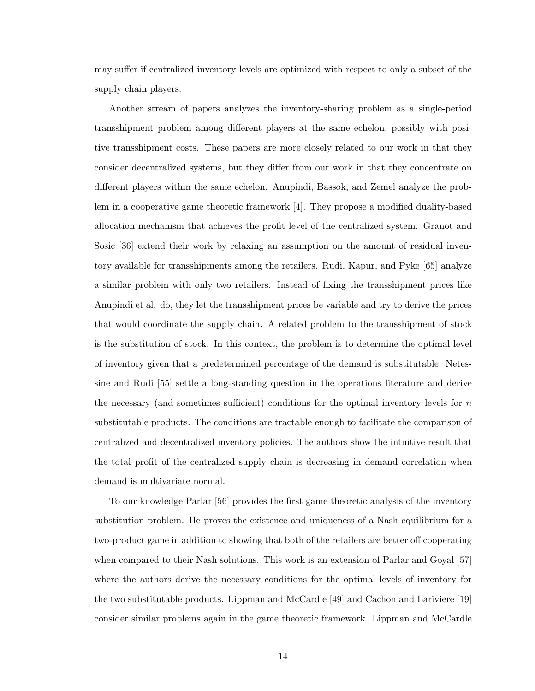may suffer if centralized inventory levels are optimized with respect to only a subset of the supply chain players.

Another stream of papers analyzes the inventory-sharing problem as a single-period transshipment problem among different players at the same echelon, possibly with positive transshipment costs. These papers are more closely related to our work in that they consider decentralized systems, but they differ from our work in that they concentrate on different players within the same echelon. Anupindi, Bassok, and Zemel analyze the problem in a cooperative game theoretic framework [4]. They propose a modified duality-based allocation mechanism that achieves the profit level of the centralized system. Granot and Sosic [36] extend their work by relaxing an assumption on the amount of residual inventory available for transshipments among the retailers. Rudi, Kapur, and Pyke [65] analyze a similar problem with only two retailers. Instead of fixing the transshipment prices like Anupindi et al. do, they let the transshipment prices be variable and try to derive the prices that would coordinate the supply chain. A related problem to the transshipment of stock is the substitution of stock. In this context, the problem is to determine the optimal level of inventory given that a predetermined percentage of the demand is substitutable. Netessine and Rudi [55] settle a long-standing question in the operations literature and derive the necessary (and sometimes sufficient) conditions for the optimal inventory levels for  $n$ substitutable products. The conditions are tractable enough to facilitate the comparison of centralized and decentralized inventory policies. The authors show the intuitive result that the total profit of the centralized supply chain is decreasing in demand correlation when demand is multivariate normal.

To our knowledge Parlar [56] provides the first game theoretic analysis of the inventory substitution problem. He proves the existence and uniqueness of a Nash equilibrium for a two-product game in addition to showing that both of the retailers are better off cooperating when compared to their Nash solutions. This work is an extension of Parlar and Goyal [57] where the authors derive the necessary conditions for the optimal levels of inventory for the two substitutable products. Lippman and McCardle [49] and Cachon and Lariviere [19] consider similar problems again in the game theoretic framework. Lippman and McCardle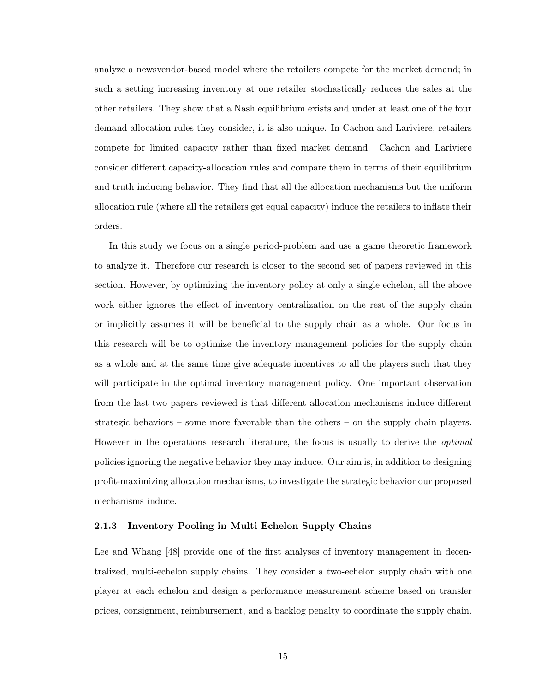analyze a newsvendor-based model where the retailers compete for the market demand; in such a setting increasing inventory at one retailer stochastically reduces the sales at the other retailers. They show that a Nash equilibrium exists and under at least one of the four demand allocation rules they consider, it is also unique. In Cachon and Lariviere, retailers compete for limited capacity rather than fixed market demand. Cachon and Lariviere consider different capacity-allocation rules and compare them in terms of their equilibrium and truth inducing behavior. They find that all the allocation mechanisms but the uniform allocation rule (where all the retailers get equal capacity) induce the retailers to inflate their orders.

In this study we focus on a single period-problem and use a game theoretic framework to analyze it. Therefore our research is closer to the second set of papers reviewed in this section. However, by optimizing the inventory policy at only a single echelon, all the above work either ignores the effect of inventory centralization on the rest of the supply chain or implicitly assumes it will be beneficial to the supply chain as a whole. Our focus in this research will be to optimize the inventory management policies for the supply chain as a whole and at the same time give adequate incentives to all the players such that they will participate in the optimal inventory management policy. One important observation from the last two papers reviewed is that different allocation mechanisms induce different strategic behaviors – some more favorable than the others – on the supply chain players. However in the operations research literature, the focus is usually to derive the *optimal* policies ignoring the negative behavior they may induce. Our aim is, in addition to designing profit-maximizing allocation mechanisms, to investigate the strategic behavior our proposed mechanisms induce.

#### 2.1.3 Inventory Pooling in Multi Echelon Supply Chains

Lee and Whang [48] provide one of the first analyses of inventory management in decentralized, multi-echelon supply chains. They consider a two-echelon supply chain with one player at each echelon and design a performance measurement scheme based on transfer prices, consignment, reimbursement, and a backlog penalty to coordinate the supply chain.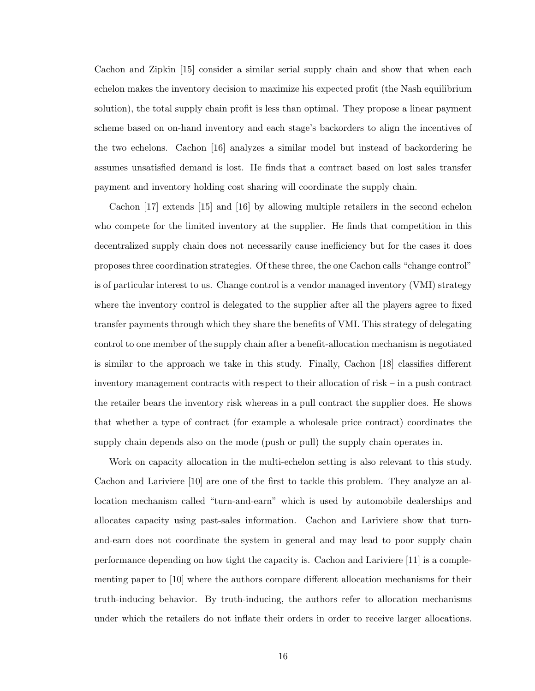Cachon and Zipkin [15] consider a similar serial supply chain and show that when each echelon makes the inventory decision to maximize his expected profit (the Nash equilibrium solution), the total supply chain profit is less than optimal. They propose a linear payment scheme based on on-hand inventory and each stage's backorders to align the incentives of the two echelons. Cachon [16] analyzes a similar model but instead of backordering he assumes unsatisfied demand is lost. He finds that a contract based on lost sales transfer payment and inventory holding cost sharing will coordinate the supply chain.

Cachon [17] extends [15] and [16] by allowing multiple retailers in the second echelon who compete for the limited inventory at the supplier. He finds that competition in this decentralized supply chain does not necessarily cause inefficiency but for the cases it does proposes three coordination strategies. Of these three, the one Cachon calls "change control" is of particular interest to us. Change control is a vendor managed inventory (VMI) strategy where the inventory control is delegated to the supplier after all the players agree to fixed transfer payments through which they share the benefits of VMI. This strategy of delegating control to one member of the supply chain after a benefit-allocation mechanism is negotiated is similar to the approach we take in this study. Finally, Cachon [18] classifies different inventory management contracts with respect to their allocation of risk – in a push contract the retailer bears the inventory risk whereas in a pull contract the supplier does. He shows that whether a type of contract (for example a wholesale price contract) coordinates the supply chain depends also on the mode (push or pull) the supply chain operates in.

Work on capacity allocation in the multi-echelon setting is also relevant to this study. Cachon and Lariviere [10] are one of the first to tackle this problem. They analyze an allocation mechanism called "turn-and-earn" which is used by automobile dealerships and allocates capacity using past-sales information. Cachon and Lariviere show that turnand-earn does not coordinate the system in general and may lead to poor supply chain performance depending on how tight the capacity is. Cachon and Lariviere [11] is a complementing paper to [10] where the authors compare different allocation mechanisms for their truth-inducing behavior. By truth-inducing, the authors refer to allocation mechanisms under which the retailers do not inflate their orders in order to receive larger allocations.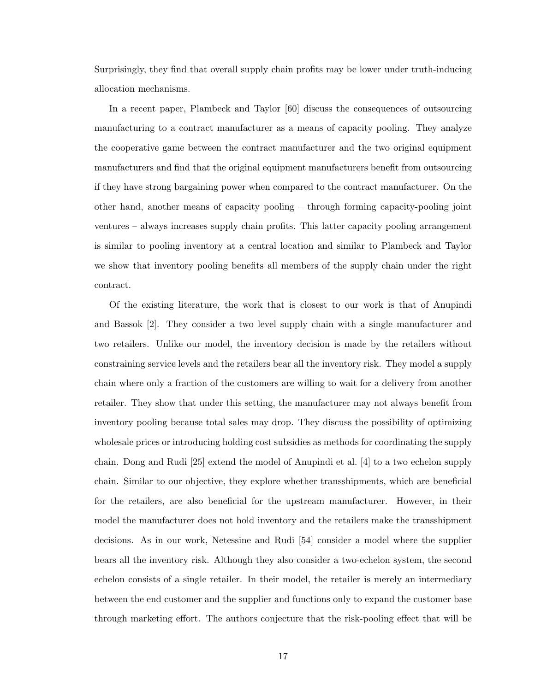Surprisingly, they find that overall supply chain profits may be lower under truth-inducing allocation mechanisms.

In a recent paper, Plambeck and Taylor [60] discuss the consequences of outsourcing manufacturing to a contract manufacturer as a means of capacity pooling. They analyze the cooperative game between the contract manufacturer and the two original equipment manufacturers and find that the original equipment manufacturers benefit from outsourcing if they have strong bargaining power when compared to the contract manufacturer. On the other hand, another means of capacity pooling – through forming capacity-pooling joint ventures – always increases supply chain profits. This latter capacity pooling arrangement is similar to pooling inventory at a central location and similar to Plambeck and Taylor we show that inventory pooling benefits all members of the supply chain under the right contract.

Of the existing literature, the work that is closest to our work is that of Anupindi and Bassok [2]. They consider a two level supply chain with a single manufacturer and two retailers. Unlike our model, the inventory decision is made by the retailers without constraining service levels and the retailers bear all the inventory risk. They model a supply chain where only a fraction of the customers are willing to wait for a delivery from another retailer. They show that under this setting, the manufacturer may not always benefit from inventory pooling because total sales may drop. They discuss the possibility of optimizing wholesale prices or introducing holding cost subsidies as methods for coordinating the supply chain. Dong and Rudi [25] extend the model of Anupindi et al. [4] to a two echelon supply chain. Similar to our objective, they explore whether transshipments, which are beneficial for the retailers, are also beneficial for the upstream manufacturer. However, in their model the manufacturer does not hold inventory and the retailers make the transshipment decisions. As in our work, Netessine and Rudi [54] consider a model where the supplier bears all the inventory risk. Although they also consider a two-echelon system, the second echelon consists of a single retailer. In their model, the retailer is merely an intermediary between the end customer and the supplier and functions only to expand the customer base through marketing effort. The authors conjecture that the risk-pooling effect that will be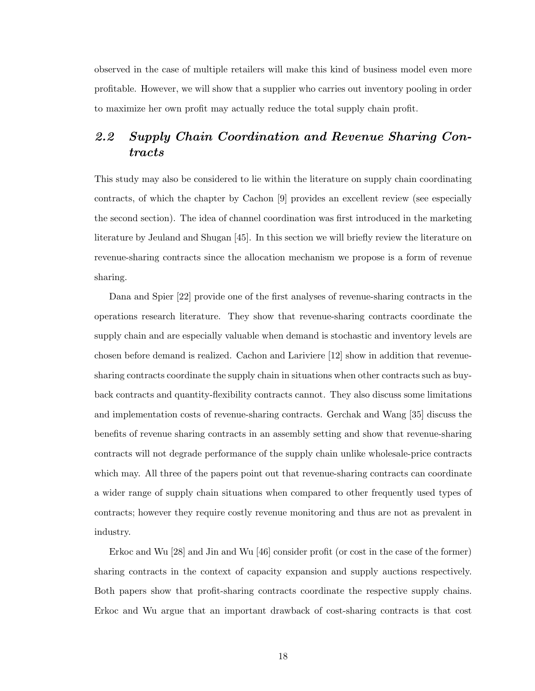observed in the case of multiple retailers will make this kind of business model even more profitable. However, we will show that a supplier who carries out inventory pooling in order to maximize her own profit may actually reduce the total supply chain profit.

## 2.2 Supply Chain Coordination and Revenue Sharing Contracts

This study may also be considered to lie within the literature on supply chain coordinating contracts, of which the chapter by Cachon [9] provides an excellent review (see especially the second section). The idea of channel coordination was first introduced in the marketing literature by Jeuland and Shugan [45]. In this section we will briefly review the literature on revenue-sharing contracts since the allocation mechanism we propose is a form of revenue sharing.

Dana and Spier [22] provide one of the first analyses of revenue-sharing contracts in the operations research literature. They show that revenue-sharing contracts coordinate the supply chain and are especially valuable when demand is stochastic and inventory levels are chosen before demand is realized. Cachon and Lariviere [12] show in addition that revenuesharing contracts coordinate the supply chain in situations when other contracts such as buyback contracts and quantity-flexibility contracts cannot. They also discuss some limitations and implementation costs of revenue-sharing contracts. Gerchak and Wang [35] discuss the benefits of revenue sharing contracts in an assembly setting and show that revenue-sharing contracts will not degrade performance of the supply chain unlike wholesale-price contracts which may. All three of the papers point out that revenue-sharing contracts can coordinate a wider range of supply chain situations when compared to other frequently used types of contracts; however they require costly revenue monitoring and thus are not as prevalent in industry.

Erkoc and Wu [28] and Jin and Wu [46] consider profit (or cost in the case of the former) sharing contracts in the context of capacity expansion and supply auctions respectively. Both papers show that profit-sharing contracts coordinate the respective supply chains. Erkoc and Wu argue that an important drawback of cost-sharing contracts is that cost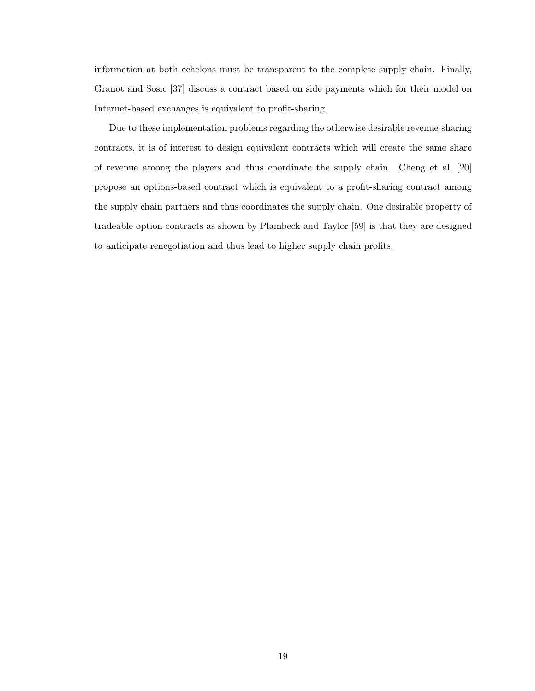information at both echelons must be transparent to the complete supply chain. Finally, Granot and Sosic [37] discuss a contract based on side payments which for their model on Internet-based exchanges is equivalent to profit-sharing.

Due to these implementation problems regarding the otherwise desirable revenue-sharing contracts, it is of interest to design equivalent contracts which will create the same share of revenue among the players and thus coordinate the supply chain. Cheng et al. [20] propose an options-based contract which is equivalent to a profit-sharing contract among the supply chain partners and thus coordinates the supply chain. One desirable property of tradeable option contracts as shown by Plambeck and Taylor [59] is that they are designed to anticipate renegotiation and thus lead to higher supply chain profits.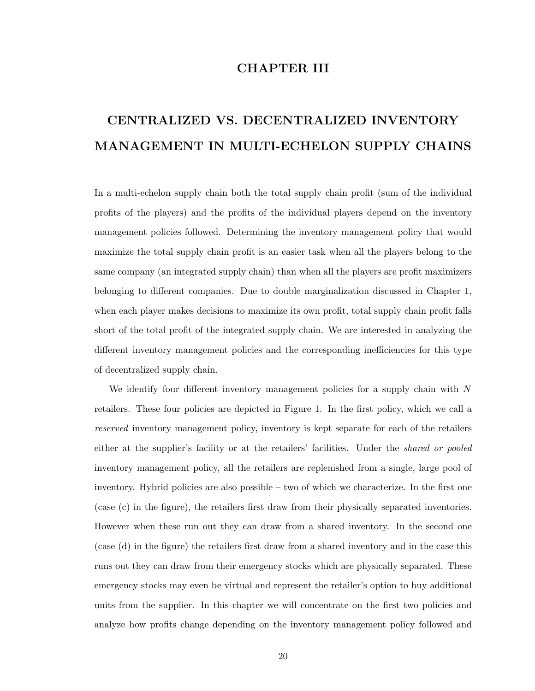## CHAPTER III

# CENTRALIZED VS. DECENTRALIZED INVENTORY MANAGEMENT IN MULTI-ECHELON SUPPLY CHAINS

In a multi-echelon supply chain both the total supply chain profit (sum of the individual profits of the players) and the profits of the individual players depend on the inventory management policies followed. Determining the inventory management policy that would maximize the total supply chain profit is an easier task when all the players belong to the same company (an integrated supply chain) than when all the players are profit maximizers belonging to different companies. Due to double marginalization discussed in Chapter 1, when each player makes decisions to maximize its own profit, total supply chain profit falls short of the total profit of the integrated supply chain. We are interested in analyzing the different inventory management policies and the corresponding inefficiencies for this type of decentralized supply chain.

We identify four different inventory management policies for a supply chain with  $N$ retailers. These four policies are depicted in Figure 1. In the first policy, which we call a reserved inventory management policy, inventory is kept separate for each of the retailers either at the supplier's facility or at the retailers' facilities. Under the *shared or pooled* inventory management policy, all the retailers are replenished from a single, large pool of inventory. Hybrid policies are also possible – two of which we characterize. In the first one (case (c) in the figure), the retailers first draw from their physically separated inventories. However when these run out they can draw from a shared inventory. In the second one (case (d) in the figure) the retailers first draw from a shared inventory and in the case this runs out they can draw from their emergency stocks which are physically separated. These emergency stocks may even be virtual and represent the retailer's option to buy additional units from the supplier. In this chapter we will concentrate on the first two policies and analyze how profits change depending on the inventory management policy followed and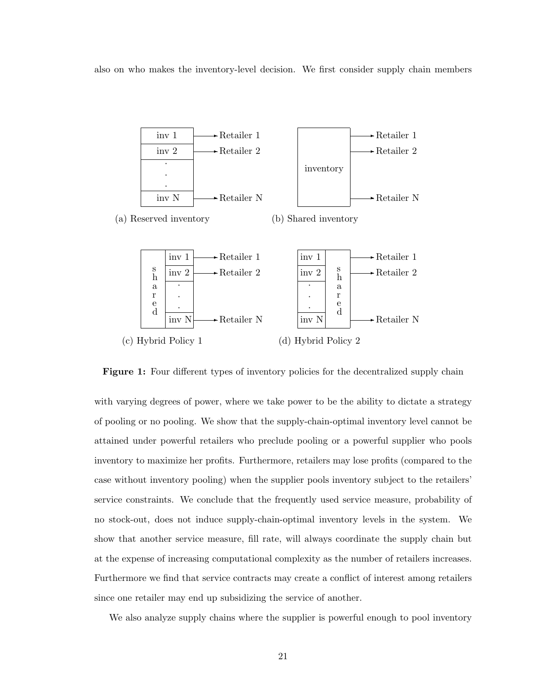also on who makes the inventory-level decision. We first consider supply chain members



**Figure 1:** Four different types of inventory policies for the decentralized supply chain

with varying degrees of power, where we take power to be the ability to dictate a strategy of pooling or no pooling. We show that the supply-chain-optimal inventory level cannot be attained under powerful retailers who preclude pooling or a powerful supplier who pools inventory to maximize her profits. Furthermore, retailers may lose profits (compared to the case without inventory pooling) when the supplier pools inventory subject to the retailers' service constraints. We conclude that the frequently used service measure, probability of no stock-out, does not induce supply-chain-optimal inventory levels in the system. We show that another service measure, fill rate, will always coordinate the supply chain but at the expense of increasing computational complexity as the number of retailers increases. Furthermore we find that service contracts may create a conflict of interest among retailers since one retailer may end up subsidizing the service of another.

We also analyze supply chains where the supplier is powerful enough to pool inventory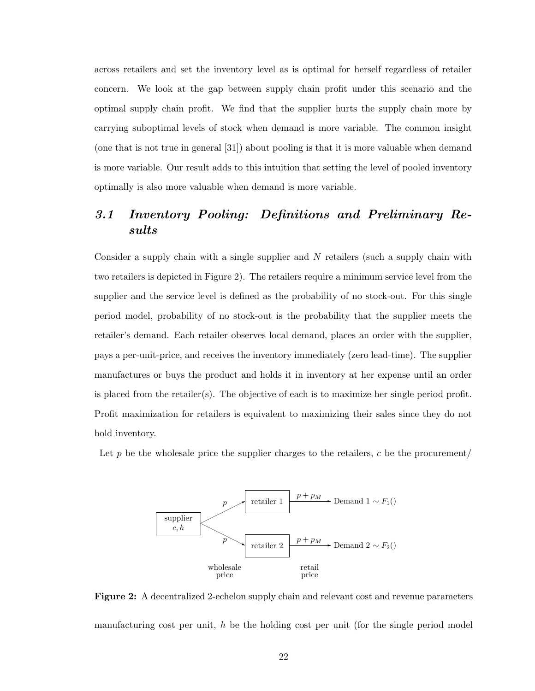across retailers and set the inventory level as is optimal for herself regardless of retailer concern. We look at the gap between supply chain profit under this scenario and the optimal supply chain profit. We find that the supplier hurts the supply chain more by carrying suboptimal levels of stock when demand is more variable. The common insight (one that is not true in general [31]) about pooling is that it is more valuable when demand is more variable. Our result adds to this intuition that setting the level of pooled inventory optimally is also more valuable when demand is more variable.

## 3.1 Inventory Pooling: Definitions and Preliminary Results

Consider a supply chain with a single supplier and  $N$  retailers (such a supply chain with two retailers is depicted in Figure 2). The retailers require a minimum service level from the supplier and the service level is defined as the probability of no stock-out. For this single period model, probability of no stock-out is the probability that the supplier meets the retailer's demand. Each retailer observes local demand, places an order with the supplier, pays a per-unit-price, and receives the inventory immediately (zero lead-time). The supplier manufactures or buys the product and holds it in inventory at her expense until an order is placed from the retailer(s). The objective of each is to maximize her single period profit. Profit maximization for retailers is equivalent to maximizing their sales since they do not hold inventory.

Let p be the wholesale price the supplier charges to the retailers, c be the procurement/



Figure 2: A decentralized 2-echelon supply chain and relevant cost and revenue parameters manufacturing cost per unit,  $h$  be the holding cost per unit (for the single period model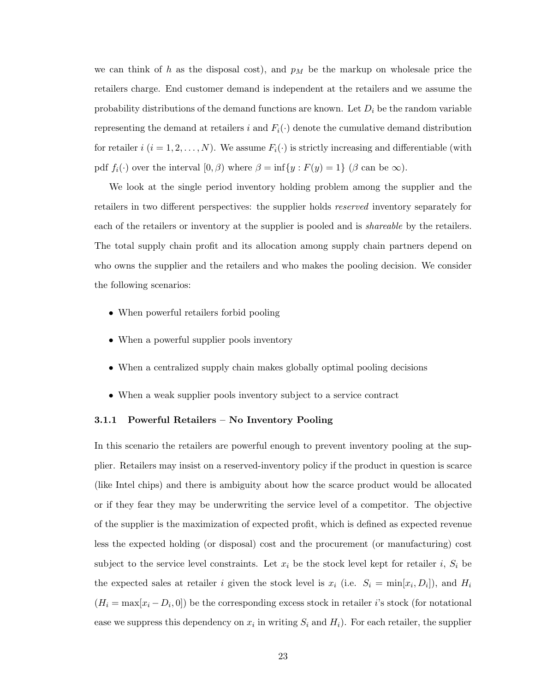we can think of h as the disposal cost), and  $p_M$  be the markup on wholesale price the retailers charge. End customer demand is independent at the retailers and we assume the probability distributions of the demand functions are known. Let  $D_i$  be the random variable representing the demand at retailers i and  $F_i(\cdot)$  denote the cumulative demand distribution for retailer i  $(i = 1, 2, ..., N)$ . We assume  $F_i(\cdot)$  is strictly increasing and differentiable (with pdf  $f_i(\cdot)$  over the interval  $[0, \beta)$  where  $\beta = \inf\{y : F(y) = 1\}$  ( $\beta$  can be  $\infty$ ).

We look at the single period inventory holding problem among the supplier and the retailers in two different perspectives: the supplier holds reserved inventory separately for each of the retailers or inventory at the supplier is pooled and is *shareable* by the retailers. The total supply chain profit and its allocation among supply chain partners depend on who owns the supplier and the retailers and who makes the pooling decision. We consider the following scenarios:

- When powerful retailers forbid pooling
- When a powerful supplier pools inventory
- When a centralized supply chain makes globally optimal pooling decisions
- When a weak supplier pools inventory subject to a service contract

#### 3.1.1 Powerful Retailers – No Inventory Pooling

In this scenario the retailers are powerful enough to prevent inventory pooling at the supplier. Retailers may insist on a reserved-inventory policy if the product in question is scarce (like Intel chips) and there is ambiguity about how the scarce product would be allocated or if they fear they may be underwriting the service level of a competitor. The objective of the supplier is the maximization of expected profit, which is defined as expected revenue less the expected holding (or disposal) cost and the procurement (or manufacturing) cost subject to the service level constraints. Let  $x_i$  be the stock level kept for retailer i,  $S_i$  be the expected sales at retailer i given the stock level is  $x_i$  (i.e.  $S_i = \min[x_i, D_i]$ ), and  $H_i$  $(H_i = \max[x_i - D_i, 0])$  be the corresponding excess stock in retailer *i*'s stock (for notational ease we suppress this dependency on  $x_i$  in writing  $S_i$  and  $H_i$ ). For each retailer, the supplier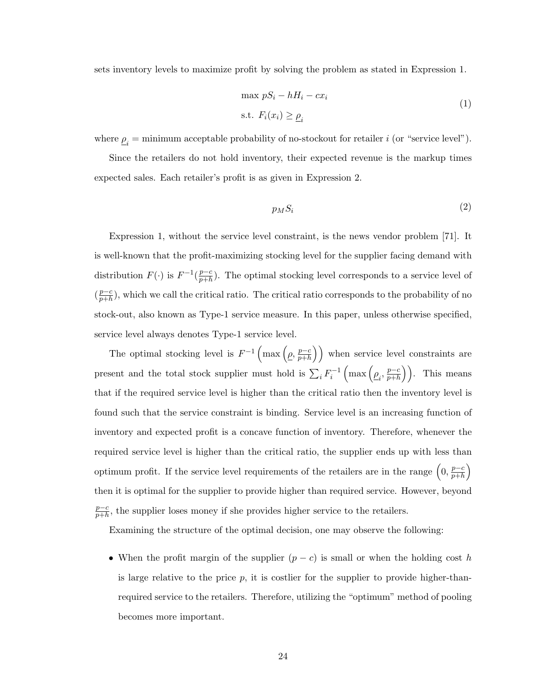sets inventory levels to maximize profit by solving the problem as stated in Expression 1.

$$
\max pS_i - hH_i - cx_i
$$
  
s.t.  $F_i(x_i) \ge \underline{\rho}_i$  (1)

where  $\underline{\rho}_i$  = minimum acceptable probability of no-stockout for retailer *i* (or "service level").

Since the retailers do not hold inventory, their expected revenue is the markup times expected sales. Each retailer's profit is as given in Expression 2.

$$
p_M S_i \tag{2}
$$

Expression 1, without the service level constraint, is the news vendor problem [71]. It is well-known that the profit-maximizing stocking level for the supplier facing demand with distribution  $F(\cdot)$  is  $F^{-1}(\frac{p-c}{p+h})$  $\frac{p-c}{p+h}$ ). The optimal stocking level corresponds to a service level of  $\left(\frac{p-c}{p+b}\right)$  $\frac{p-c}{p+h}$ , which we call the critical ratio. The critical ratio corresponds to the probability of no stock-out, also known as Type-1 service measure. In this paper, unless otherwise specified, service level always denotes Type-1 service level.

The optimal stocking level is  $F^{-1} \left( \max \left( \rho, \frac{p-c}{p+h} \right) \right)$  $\overline{p+h}$  $\ddot{\mathbf{r}}$ when service level constraints are present and the total stock supplier must hold is  $\sum_i F_i^{-1} \left( \max \left( \underline{\rho}_i, \frac{p-c}{p+h} \right) \right)$ ³ ´´ $\frac{p-c}{p+h}$ ). This means that if the required service level is higher than the critical ratio then the inventory level is found such that the service constraint is binding. Service level is an increasing function of inventory and expected profit is a concave function of inventory. Therefore, whenever the required service level is higher than the critical ratio, the supplier ends up with less than optimum profit. If the service level requirements of the retailers are in the range  $\left(0, \frac{p-c}{p+b}\right)$  $\overline{p+h}$ ´ then it is optimal for the supplier to provide higher than required service. However, beyond p−c  $\frac{p-c}{p+h}$ , the supplier loses money if she provides higher service to the retailers.

Examining the structure of the optimal decision, one may observe the following:

• When the profit margin of the supplier  $(p - c)$  is small or when the holding cost h is large relative to the price  $p$ , it is costlier for the supplier to provide higher-thanrequired service to the retailers. Therefore, utilizing the "optimum" method of pooling becomes more important.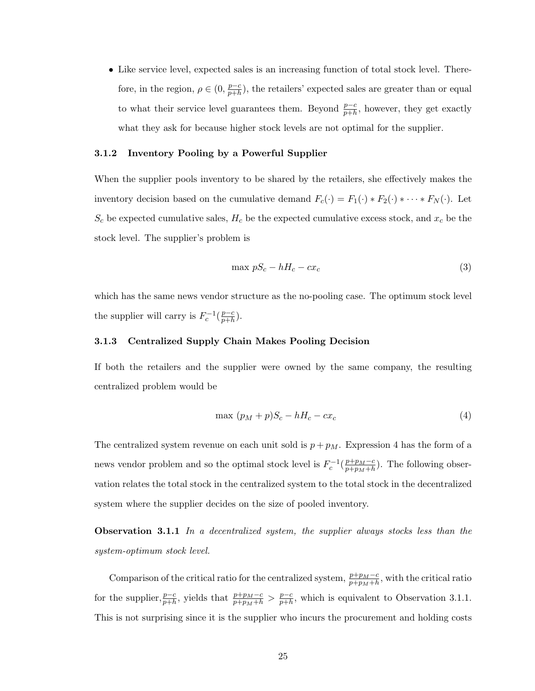• Like service level, expected sales is an increasing function of total stock level. Therefore, in the region,  $\rho \in (0, \frac{p-c}{p+h})$  $\frac{p-c}{p+h}$ , the retailers' expected sales are greater than or equal to what their service level guarantees them. Beyond  $\frac{p-c}{p+h}$ , however, they get exactly what they ask for because higher stock levels are not optimal for the supplier.

#### 3.1.2 Inventory Pooling by a Powerful Supplier

When the supplier pools inventory to be shared by the retailers, she effectively makes the inventory decision based on the cumulative demand  $F_c(\cdot) = F_1(\cdot) * F_2(\cdot) * \cdots * F_N(\cdot)$ . Let  $S_c$  be expected cumulative sales,  $H_c$  be the expected cumulative excess stock, and  $x_c$  be the stock level. The supplier's problem is

$$
\max pS_c - hH_c - cx_c \tag{3}
$$

which has the same news vendor structure as the no-pooling case. The optimum stock level the supplier will carry is  $F_c^{-1}(\frac{p-c}{p+h})$  $\frac{p-c}{p+h}$ ).

#### 3.1.3 Centralized Supply Chain Makes Pooling Decision

If both the retailers and the supplier were owned by the same company, the resulting centralized problem would be

$$
\max (p_M + p)S_c - hH_c - cx_c \tag{4}
$$

The centralized system revenue on each unit sold is  $p + p_M$ . Expression 4 has the form of a news vendor problem and so the optimal stock level is  $F_c^{-1}(\frac{p+p_M-c}{p+p_M+h})$  $\frac{p+p_M-c}{p+p_M+h}$ ). The following observation relates the total stock in the centralized system to the total stock in the decentralized system where the supplier decides on the size of pooled inventory.

**Observation 3.1.1** In a decentralized system, the supplier always stocks less than the system-optimum stock level.

Comparison of the critical ratio for the centralized system,  $\frac{p+p_M-c}{p+p_M+h}$ , with the critical ratio for the supplier,  $\frac{p-c}{p+h}$ , yields that  $\frac{p+p_M-c}{p+p_M+h} > \frac{p-c}{p+h}$  $\frac{p-c}{p+h}$ , which is equivalent to Observation 3.1.1. This is not surprising since it is the supplier who incurs the procurement and holding costs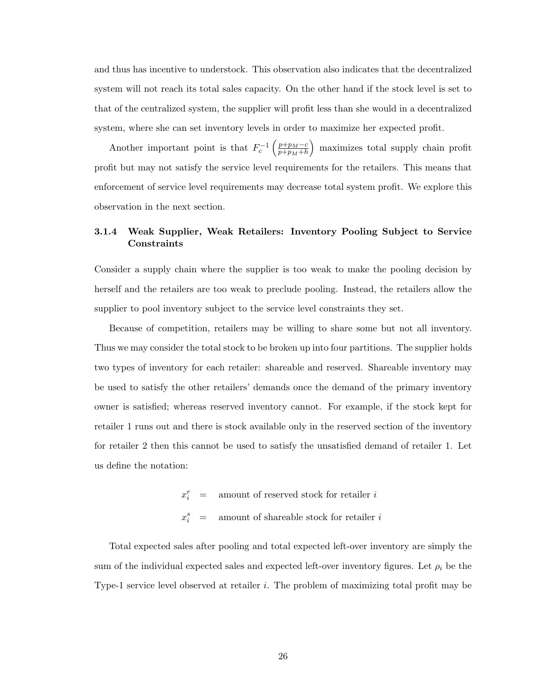and thus has incentive to understock. This observation also indicates that the decentralized system will not reach its total sales capacity. On the other hand if the stock level is set to that of the centralized system, the supplier will profit less than she would in a decentralized system, where she can set inventory levels in order to maximize her expected profit.

Another important point is that  $F_c^{-1}$  $\int p+p_M-c$  $\overline{p+p_M+h}$ ´ maximizes total supply chain profit profit but may not satisfy the service level requirements for the retailers. This means that enforcement of service level requirements may decrease total system profit. We explore this observation in the next section.

### 3.1.4 Weak Supplier, Weak Retailers: Inventory Pooling Subject to Service Constraints

Consider a supply chain where the supplier is too weak to make the pooling decision by herself and the retailers are too weak to preclude pooling. Instead, the retailers allow the supplier to pool inventory subject to the service level constraints they set.

Because of competition, retailers may be willing to share some but not all inventory. Thus we may consider the total stock to be broken up into four partitions. The supplier holds two types of inventory for each retailer: shareable and reserved. Shareable inventory may be used to satisfy the other retailers' demands once the demand of the primary inventory owner is satisfied; whereas reserved inventory cannot. For example, if the stock kept for retailer 1 runs out and there is stock available only in the reserved section of the inventory for retailer 2 then this cannot be used to satisfy the unsatisfied demand of retailer 1. Let us define the notation:

> $x_i^r$  = amount of reserved stock for retailer i  $\overline{x}$ s amount of shareable stock for retailer  $i$

Total expected sales after pooling and total expected left-over inventory are simply the sum of the individual expected sales and expected left-over inventory figures. Let  $\rho_i$  be the Type-1 service level observed at retailer  $i$ . The problem of maximizing total profit may be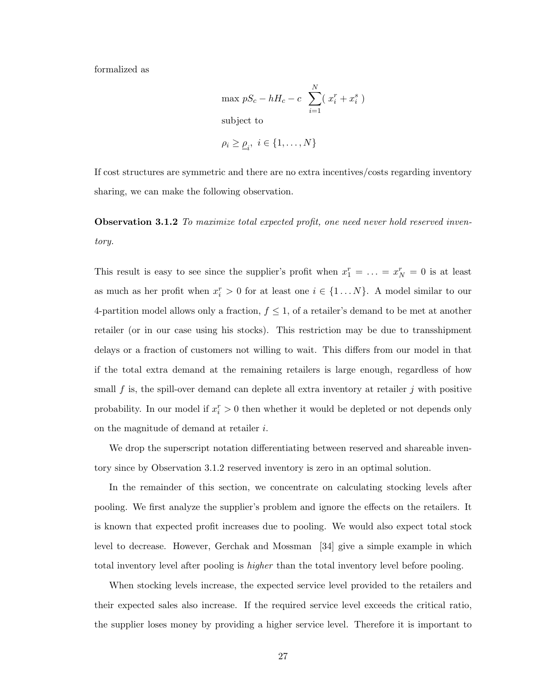formalized as

$$
\begin{aligned}\n\max pS_c - hH_c - c \sum_{i=1}^N (x_i^r + x_i^s) \\
\text{subject to} \\
\rho_i \ge \underline{\rho}_i, \ i \in \{1, \dots, N\}\n\end{aligned}
$$

If cost structures are symmetric and there are no extra incentives/costs regarding inventory sharing, we can make the following observation.

**Observation 3.1.2** To maximize total expected profit, one need never hold reserved inventory.

This result is easy to see since the supplier's profit when  $x_1^r = \ldots = x_N^r = 0$  is at least as much as her profit when  $x_i^r > 0$  for at least one  $i \in \{1...N\}$ . A model similar to our 4-partition model allows only a fraction,  $f \leq 1$ , of a retailer's demand to be met at another retailer (or in our case using his stocks). This restriction may be due to transshipment delays or a fraction of customers not willing to wait. This differs from our model in that if the total extra demand at the remaining retailers is large enough, regardless of how small f is, the spill-over demand can deplete all extra inventory at retailer  $j$  with positive probability. In our model if  $x_i^r > 0$  then whether it would be depleted or not depends only on the magnitude of demand at retailer i.

We drop the superscript notation differentiating between reserved and shareable inventory since by Observation 3.1.2 reserved inventory is zero in an optimal solution.

In the remainder of this section, we concentrate on calculating stocking levels after pooling. We first analyze the supplier's problem and ignore the effects on the retailers. It is known that expected profit increases due to pooling. We would also expect total stock level to decrease. However, Gerchak and Mossman [34] give a simple example in which total inventory level after pooling is higher than the total inventory level before pooling.

When stocking levels increase, the expected service level provided to the retailers and their expected sales also increase. If the required service level exceeds the critical ratio, the supplier loses money by providing a higher service level. Therefore it is important to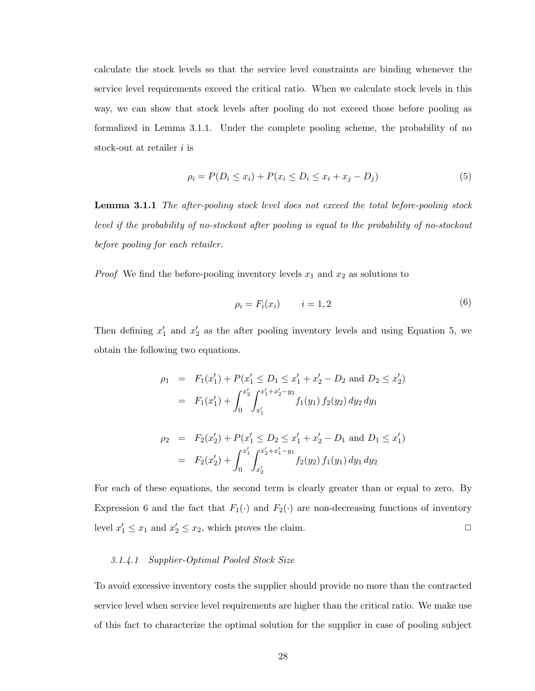calculate the stock levels so that the service level constraints are binding whenever the service level requirements exceed the critical ratio. When we calculate stock levels in this way, we can show that stock levels after pooling do not exceed those before pooling as formalized in Lemma 3.1.1. Under the complete pooling scheme, the probability of no stock-out at retailer  $i$  is

$$
\rho_i = P(D_i \le x_i) + P(x_i \le D_i \le x_i + x_j - D_j) \tag{5}
$$

**Lemma 3.1.1** The after-pooling stock level does not exceed the total before-pooling stock level if the probability of no-stockout after pooling is equal to the probability of no-stockout before pooling for each retailer.

*Proof* We find the before-pooling inventory levels  $x_1$  and  $x_2$  as solutions to

$$
\rho_i = F_i(x_i) \qquad i = 1, 2 \tag{6}
$$

Then defining  $x'_1$  and  $x'_2$  as the after pooling inventory levels and using Equation 5, we obtain the following two equations.

$$
\rho_1 = F_1(x'_1) + P(x'_1 \le D_1 \le x'_1 + x'_2 - D_2 \text{ and } D_2 \le x'_2)
$$
  
\n
$$
= F_1(x'_1) + \int_0^{x'_2} \int_{x'_1}^{x'_1 + x'_2 - y_2} f_1(y_1) f_2(y_2) dy_2 dy_1
$$
  
\n
$$
\rho_2 = F_2(x'_2) + P(x'_1 \le D_2 \le x'_1 + x'_2 - D_1 \text{ and } D_1 \le x'_1)
$$
  
\n
$$
= F_2(x'_2) + \int_0^{x'_1} \int_{x'_2}^{x'_2 + x'_1 - y_1} f_2(y_2) f_1(y_1) dy_1 dy_2
$$

For each of these equations, the second term is clearly greater than or equal to zero. By Expression 6 and the fact that  $F_1(\cdot)$  and  $F_2(\cdot)$  are non-decreasing functions of inventory level  $x'_1 \le x_1$  and  $x'_2 \le x_2$ , which proves the claim.  $\Box$ 

#### 3.1.4.1 Supplier-Optimal Pooled Stock Size

To avoid excessive inventory costs the supplier should provide no more than the contracted service level when service level requirements are higher than the critical ratio. We make use of this fact to characterize the optimal solution for the supplier in case of pooling subject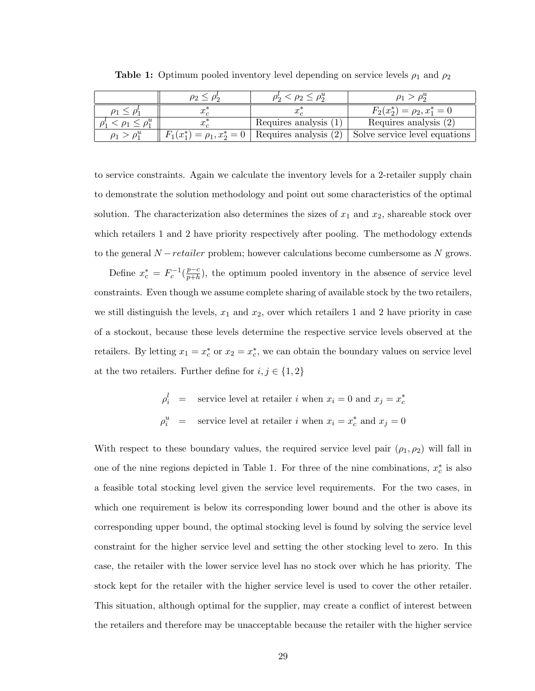|                      | $\rho_2 \leq \rho_2^{\alpha}$                          |                                  |
|----------------------|--------------------------------------------------------|----------------------------------|
| $\boldsymbol{\cdot}$ |                                                        | $F_2(x_2^*) = \rho_2, x_1^* = 0$ |
| w.                   | Requires analysis (1)                                  | Requires analysis $(2)$          |
|                      | $F_1(x_1^*) = \rho_1, x_2^* = 0$ Requires analysis (2) | Solve service level equations    |

**Table 1:** Optimum pooled inventory level depending on service levels  $\rho_1$  and  $\rho_2$ 

to service constraints. Again we calculate the inventory levels for a 2-retailer supply chain to demonstrate the solution methodology and point out some characteristics of the optimal solution. The characterization also determines the sizes of  $x_1$  and  $x_2$ , shareable stock over which retailers 1 and 2 have priority respectively after pooling. The methodology extends to the general  $N-retailer$  problem; however calculations become cumbersome as  $N$  grows.

Define  $x_c^* = F_c^{-1}(\frac{p-c}{p+h})$  $\frac{p-c}{p+h}$ , the optimum pooled inventory in the absence of service level constraints. Even though we assume complete sharing of available stock by the two retailers, we still distinguish the levels,  $x_1$  and  $x_2$ , over which retailers 1 and 2 have priority in case of a stockout, because these levels determine the respective service levels observed at the retailers. By letting  $x_1 = x_c^*$  or  $x_2 = x_c^*$ , we can obtain the boundary values on service level at the two retailers. Further define for  $i, j \in \{1, 2\}$ 

$$
\rho_i^l = \text{service level at retailer } i \text{ when } x_i = 0 \text{ and } x_j = x_c^*
$$
\n
$$
\rho_i^u = \text{service level at retailer } i \text{ when } x_i = x_c^* \text{ and } x_j = 0
$$

With respect to these boundary values, the required service level pair  $(\rho_1, \rho_2)$  will fall in one of the nine regions depicted in Table 1. For three of the nine combinations,  $x_c^*$  is also a feasible total stocking level given the service level requirements. For the two cases, in which one requirement is below its corresponding lower bound and the other is above its corresponding upper bound, the optimal stocking level is found by solving the service level constraint for the higher service level and setting the other stocking level to zero. In this case, the retailer with the lower service level has no stock over which he has priority. The stock kept for the retailer with the higher service level is used to cover the other retailer. This situation, although optimal for the supplier, may create a conflict of interest between the retailers and therefore may be unacceptable because the retailer with the higher service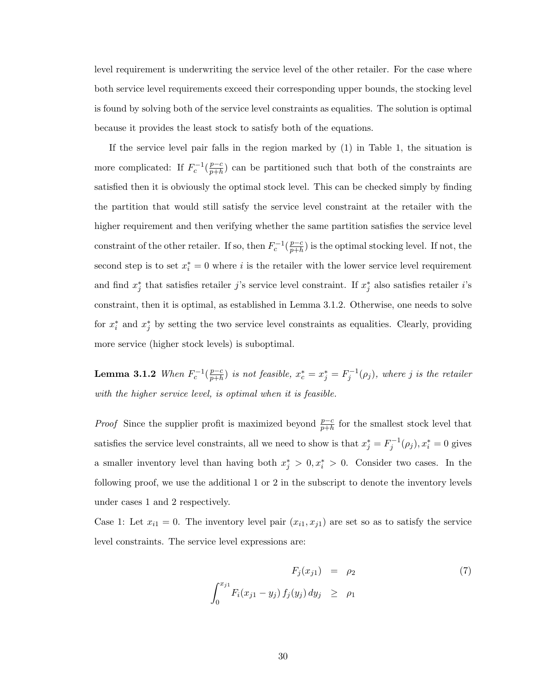level requirement is underwriting the service level of the other retailer. For the case where both service level requirements exceed their corresponding upper bounds, the stocking level is found by solving both of the service level constraints as equalities. The solution is optimal because it provides the least stock to satisfy both of the equations.

If the service level pair falls in the region marked by (1) in Table 1, the situation is more complicated: If  $F_c^{-1}(\frac{p-c}{p+h})$  $\frac{p-c}{p+h}$  can be partitioned such that both of the constraints are satisfied then it is obviously the optimal stock level. This can be checked simply by finding the partition that would still satisfy the service level constraint at the retailer with the higher requirement and then verifying whether the same partition satisfies the service level constraint of the other retailer. If so, then  $F_c^{-1}(\frac{p-c}{p+h})$  $\frac{p-c}{p+h}$ ) is the optimal stocking level. If not, the second step is to set  $x_i^* = 0$  where i is the retailer with the lower service level requirement and find  $x_j^*$  that satisfies retailer j's service level constraint. If  $x_j^*$  also satisfies retailer i's constraint, then it is optimal, as established in Lemma 3.1.2. Otherwise, one needs to solve for  $x_i^*$  and  $x_j^*$  by setting the two service level constraints as equalities. Clearly, providing more service (higher stock levels) is suboptimal.

Lemma 3.1.2 When  $F_c^{-1}(\frac{p-c}{p+h})$  $\frac{p-c}{p+h}$ ) is not feasible,  $x_c^* = x_j^* = F_j^{-1}(\rho_j)$ , where j is the retailer with the higher service level, is optimal when it is feasible.

*Proof* Since the supplier profit is maximized beyond  $\frac{p-c}{p+h}$  for the smallest stock level that satisfies the service level constraints, all we need to show is that  $x_j^* = F_j^{-1}(\rho_j)$ ,  $x_i^* = 0$  gives a smaller inventory level than having both  $x_j^* > 0, x_i^* > 0$ . Consider two cases. In the following proof, we use the additional 1 or 2 in the subscript to denote the inventory levels under cases 1 and 2 respectively.

Case 1: Let  $x_{i1} = 0$ . The inventory level pair  $(x_{i1}, x_{j1})$  are set so as to satisfy the service level constraints. The service level expressions are:

$$
F_j(x_{j1}) = \rho_2 \tag{7}
$$
  

$$
\int_0^{x_{j1}} F_i(x_{j1} - y_j) f_j(y_j) dy_j \ge \rho_1
$$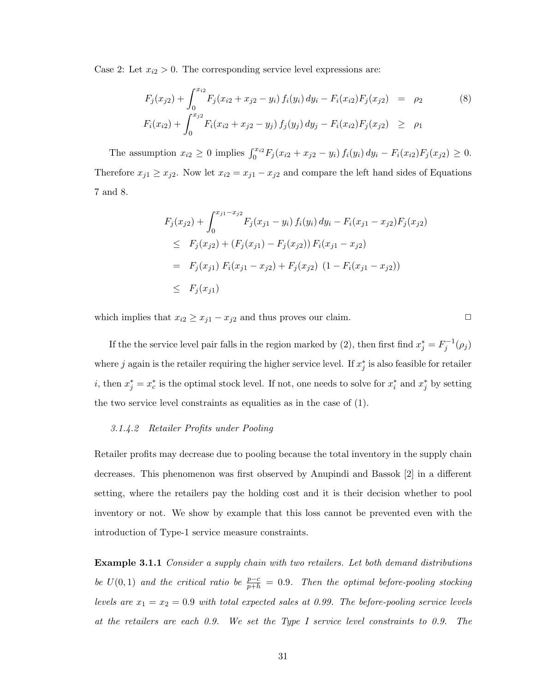Case 2: Let  $x_{i2} > 0$ . The corresponding service level expressions are:

$$
F_j(x_{j2}) + \int_0^{x_{i2}} F_j(x_{i2} + x_{j2} - y_i) f_i(y_i) dy_i - F_i(x_{i2}) F_j(x_{j2}) = \rho_2
$$
\n
$$
F_i(x_{i2}) + \int_0^{x_{j2}} F_i(x_{i2} + x_{j2} - y_j) f_j(y_j) dy_j - F_i(x_{i2}) F_j(x_{j2}) \ge \rho_1
$$
\n(8)

The assumption  $x_{i2} \ge 0$  implies  $\int_0^{x_{i2}} F_j(x_{i2} + x_{j2} - y_i) f_i(y_i) dy_i - F_i(x_{i2}) F_j(x_{j2}) \ge 0$ . Therefore  $x_{j1} \ge x_{j2}$ . Now let  $x_{i2} = x_{j1} - x_{j2}$  and compare the left hand sides of Equations 7 and 8.

$$
F_j(x_{j2}) + \int_0^{x_{j1} - x_{j2}} F_j(x_{j1} - y_i) f_i(y_i) dy_i - F_i(x_{j1} - x_{j2}) F_j(x_{j2})
$$
  
\n
$$
\leq F_j(x_{j2}) + (F_j(x_{j1}) - F_j(x_{j2})) F_i(x_{j1} - x_{j2})
$$
  
\n
$$
= F_j(x_{j1}) F_i(x_{j1} - x_{j2}) + F_j(x_{j2}) (1 - F_i(x_{j1} - x_{j2}))
$$
  
\n
$$
\leq F_j(x_{j1})
$$

which implies that  $x_{i2} \ge x_{j1} - x_{j2}$  and thus proves our claim.  $\Box$ 

If the the service level pair falls in the region marked by (2), then first find  $x_j^* = F_j^{-1}(\rho_j)$ where j again is the retailer requiring the higher service level. If  $x_j^*$  is also feasible for retailer *i*, then  $x_j^* = x_c^*$  is the optimal stock level. If not, one needs to solve for  $x_i^*$  and  $x_j^*$  by setting the two service level constraints as equalities as in the case of (1).

#### 3.1.4.2 Retailer Profits under Pooling

Retailer profits may decrease due to pooling because the total inventory in the supply chain decreases. This phenomenon was first observed by Anupindi and Bassok [2] in a different setting, where the retailers pay the holding cost and it is their decision whether to pool inventory or not. We show by example that this loss cannot be prevented even with the introduction of Type-1 service measure constraints.

**Example 3.1.1** Consider a supply chain with two retailers. Let both demand distributions be  $U(0,1)$  and the critical ratio be  $\frac{p-c}{p+h} = 0.9$ . Then the optimal before-pooling stocking levels are  $x_1 = x_2 = 0.9$  with total expected sales at 0.99. The before-pooling service levels at the retailers are each 0.9. We set the Type I service level constraints to 0.9. The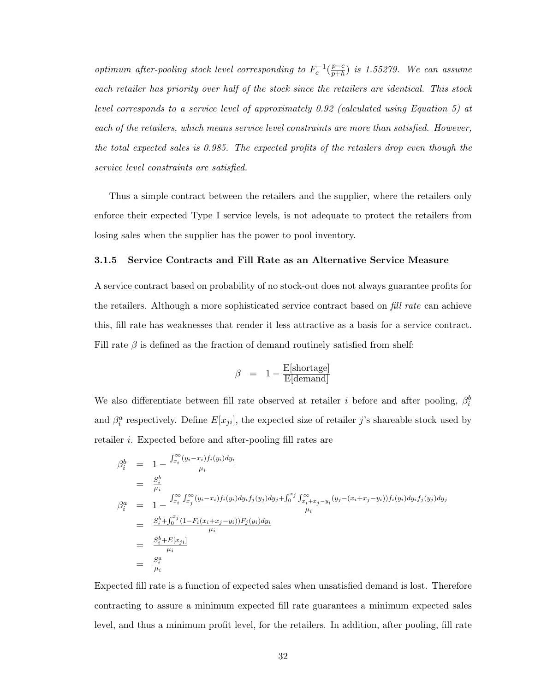optimum after-pooling stock level corresponding to  $F_c^{-1}(\frac{p-c}{p+h})$  $\frac{p-c}{p+h}$ ) is 1.55279. We can assume each retailer has priority over half of the stock since the retailers are identical. This stock level corresponds to a service level of approximately 0.92 (calculated using Equation 5) at each of the retailers, which means service level constraints are more than satisfied. However, the total expected sales is 0.985. The expected profits of the retailers drop even though the service level constraints are satisfied.

Thus a simple contract between the retailers and the supplier, where the retailers only enforce their expected Type I service levels, is not adequate to protect the retailers from losing sales when the supplier has the power to pool inventory.

#### 3.1.5 Service Contracts and Fill Rate as an Alternative Service Measure

A service contract based on probability of no stock-out does not always guarantee profits for the retailers. Although a more sophisticated service contract based on *fill rate* can achieve this, fill rate has weaknesses that render it less attractive as a basis for a service contract. Fill rate  $\beta$  is defined as the fraction of demand routinely satisfied from shelf:

$$
\beta = 1 - \frac{E[\text{shortage}]}{E[\text{demand}]}
$$

We also differentiate between fill rate observed at retailer i before and after pooling,  $\beta_i^b$ and  $\beta_i^a$  respectively. Define  $E[x_{ji}]$ , the expected size of retailer j's shareable stock used by retailer i. Expected before and after-pooling fill rates are

$$
\beta_i^b = 1 - \frac{\int_{x_i}^{\infty} (y_i - x_i) f_i(y_i) dy_i}{\mu_i}
$$
\n
$$
= \frac{S_i^b}{\mu_i}
$$
\n
$$
\beta_i^a = 1 - \frac{\int_{x_i}^{\infty} \int_{x_j}^{\infty} (y_i - x_i) f_i(y_i) dy_i f_j(y_j) dy_j + \int_0^{x_j} \int_{x_i + x_j - y_i}^{\infty} (y_j - (x_i + x_j - y_i)) f_i(y_i) dy_j f_j(y_j) dy_j}{\mu_i}
$$
\n
$$
= \frac{S_i^b + \int_0^{x_j} (1 - F_i(x_i + x_j - y_i)) F_j(y_i) dy_i}{\mu_i}
$$
\n
$$
= \frac{S_i^b + E[x_j_i]}{\mu_i}
$$
\n
$$
= \frac{S_i^a}{\mu_i}
$$

Expected fill rate is a function of expected sales when unsatisfied demand is lost. Therefore contracting to assure a minimum expected fill rate guarantees a minimum expected sales level, and thus a minimum profit level, for the retailers. In addition, after pooling, fill rate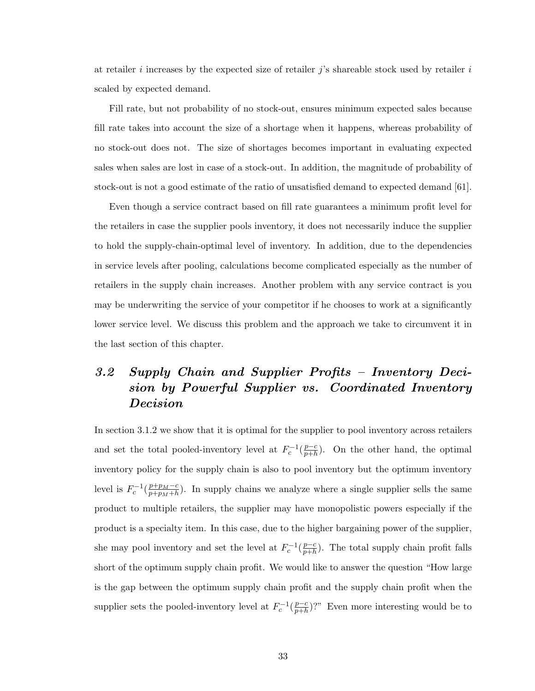at retailer i increases by the expected size of retailer  $j$ 's shareable stock used by retailer i scaled by expected demand.

Fill rate, but not probability of no stock-out, ensures minimum expected sales because fill rate takes into account the size of a shortage when it happens, whereas probability of no stock-out does not. The size of shortages becomes important in evaluating expected sales when sales are lost in case of a stock-out. In addition, the magnitude of probability of stock-out is not a good estimate of the ratio of unsatisfied demand to expected demand [61].

Even though a service contract based on fill rate guarantees a minimum profit level for the retailers in case the supplier pools inventory, it does not necessarily induce the supplier to hold the supply-chain-optimal level of inventory. In addition, due to the dependencies in service levels after pooling, calculations become complicated especially as the number of retailers in the supply chain increases. Another problem with any service contract is you may be underwriting the service of your competitor if he chooses to work at a significantly lower service level. We discuss this problem and the approach we take to circumvent it in the last section of this chapter.

# 3.2 Supply Chain and Supplier Profits – Inventory Decision by Powerful Supplier vs. Coordinated Inventory Decision

In section 3.1.2 we show that it is optimal for the supplier to pool inventory across retailers and set the total pooled-inventory level at  $F_c^{-1}(\frac{p-c}{p+h})$  $\frac{p-c}{p+h}$ ). On the other hand, the optimal inventory policy for the supply chain is also to pool inventory but the optimum inventory level is  $F_c^{-1}(\frac{p+p_M-c}{p+p_M+h})$  $\frac{p+p_M-c}{p+p_M+h}$ ). In supply chains we analyze where a single supplier sells the same product to multiple retailers, the supplier may have monopolistic powers especially if the product is a specialty item. In this case, due to the higher bargaining power of the supplier, she may pool inventory and set the level at  $F_c^{-1}(\frac{p-c}{p+h})$  $\frac{p-c}{p+h}$ ). The total supply chain profit falls short of the optimum supply chain profit. We would like to answer the question "How large is the gap between the optimum supply chain profit and the supply chain profit when the supplier sets the pooled-inventory level at  $F_c^{-1}(\frac{p-c}{p+h})$  $\frac{p-c}{p+h}$ ?" Even more interesting would be to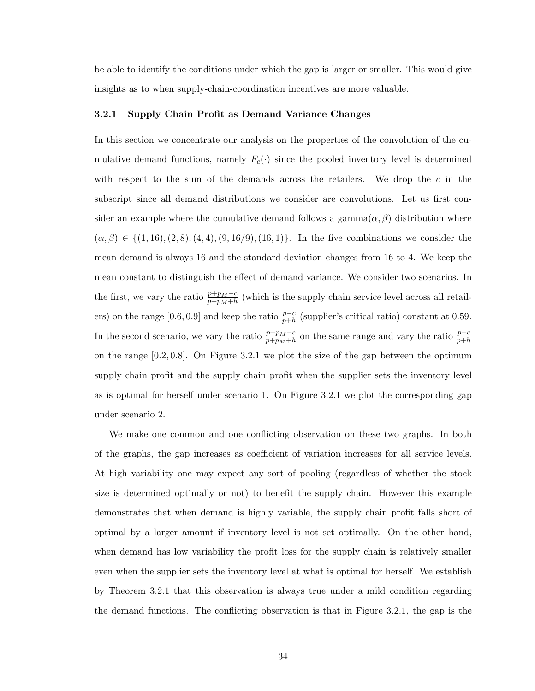be able to identify the conditions under which the gap is larger or smaller. This would give insights as to when supply-chain-coordination incentives are more valuable.

#### 3.2.1 Supply Chain Profit as Demand Variance Changes

In this section we concentrate our analysis on the properties of the convolution of the cumulative demand functions, namely  $F_c(\cdot)$  since the pooled inventory level is determined with respect to the sum of the demands across the retailers. We drop the  $c$  in the subscript since all demand distributions we consider are convolutions. Let us first consider an example where the cumulative demand follows a gamma $(\alpha, \beta)$  distribution where  $(\alpha, \beta) \in \{(1, 16), (2, 8), (4, 4), (9, 16/9), (16, 1)\}.$  In the five combinations we consider the mean demand is always 16 and the standard deviation changes from 16 to 4. We keep the mean constant to distinguish the effect of demand variance. We consider two scenarios. In the first, we vary the ratio  $\frac{p+p_M-c}{p+p_M+h}$  (which is the supply chain service level across all retailers) on the range [0.6, 0.9] and keep the ratio  $\frac{p-c}{p+h}$  (supplier's critical ratio) constant at 0.59. In the second scenario, we vary the ratio  $\frac{p+p_M-c}{p+p_M+h}$  on the same range and vary the ratio  $\frac{p-c}{p+h}$ on the range  $[0.2, 0.8]$ . On Figure 3.2.1 we plot the size of the gap between the optimum supply chain profit and the supply chain profit when the supplier sets the inventory level as is optimal for herself under scenario 1. On Figure 3.2.1 we plot the corresponding gap under scenario 2.

We make one common and one conflicting observation on these two graphs. In both of the graphs, the gap increases as coefficient of variation increases for all service levels. At high variability one may expect any sort of pooling (regardless of whether the stock size is determined optimally or not) to benefit the supply chain. However this example demonstrates that when demand is highly variable, the supply chain profit falls short of optimal by a larger amount if inventory level is not set optimally. On the other hand, when demand has low variability the profit loss for the supply chain is relatively smaller even when the supplier sets the inventory level at what is optimal for herself. We establish by Theorem 3.2.1 that this observation is always true under a mild condition regarding the demand functions. The conflicting observation is that in Figure 3.2.1, the gap is the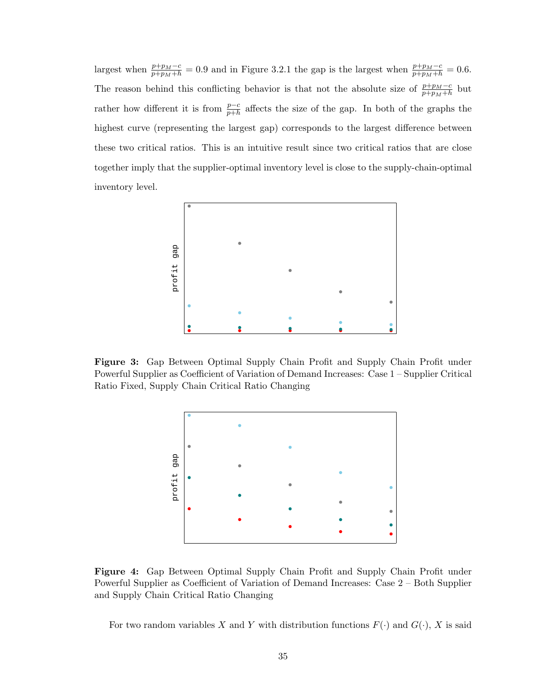largest when  $\frac{p+p_M-c}{p+p_M+h} = 0.9$  and in Figure 3.2.1 the gap is the largest when  $\frac{p+p_M-c}{p+p_M+h} = 0.6$ . The reason behind this conflicting behavior is that not the absolute size of  $\frac{p+p_M-c}{p+p_M+h}$  but rather how different it is from  $\frac{p-c}{p+h}$  affects the size of the gap. In both of the graphs the highest curve (representing the largest gap) corresponds to the largest difference between these two critical ratios. This is an intuitive result since two critical ratios that are close together imply that the supplier-optimal inventory level is close to the supply-chain-optimal inventory level.



Figure 3: Gap Between Optimal Supply Chain Profit and Supply Chain Profit under Powerful Supplier as Coefficient of Variation of Demand Increases: Case 1 – Supplier Critical Ratio Fixed, Supply Chain Critical Ratio Changing



Figure 4: Gap Between Optimal Supply Chain Profit and Supply Chain Profit under Powerful Supplier as Coefficient of Variation of Demand Increases: Case 2 – Both Supplier and Supply Chain Critical Ratio Changing

For two random variables X and Y with distribution functions  $F(\cdot)$  and  $G(\cdot)$ , X is said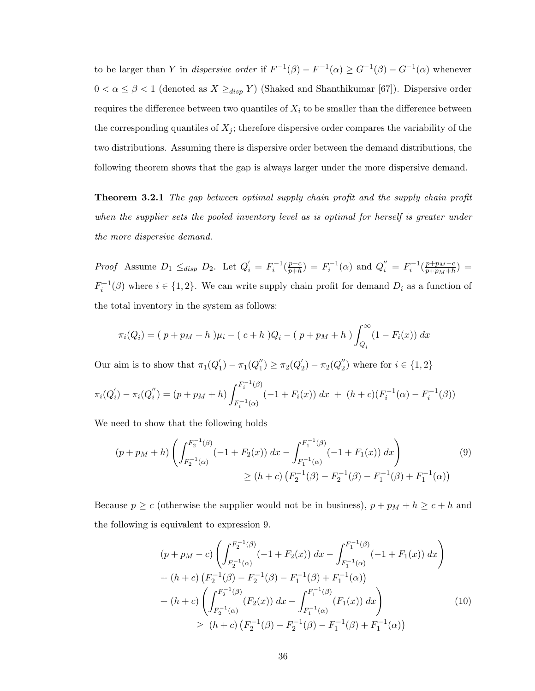to be larger than Y in *dispersive order* if  $F^{-1}(\beta) - F^{-1}(\alpha) \geq G^{-1}(\beta) - G^{-1}(\alpha)$  whenever  $0 < \alpha \leq \beta < 1$  (denoted as  $X \geq_{disp} Y$ ) (Shaked and Shanthikumar [67]). Dispersive order requires the difference between two quantiles of  $X_i$  to be smaller than the difference between the corresponding quantiles of  $X_j$ ; therefore dispersive order compares the variability of the two distributions. Assuming there is dispersive order between the demand distributions, the following theorem shows that the gap is always larger under the more dispersive demand.

**Theorem 3.2.1** The gap between optimal supply chain profit and the supply chain profit when the supplier sets the pooled inventory level as is optimal for herself is greater under the more dispersive demand.

*Proof* Assume  $D_1 \leq_{disp} D_2$ . Let  $Q'_i = F_i^{-1}(\frac{p-c}{p+h})$  $\frac{p-c}{p+h}$ ) =  $F_i^{-1}(\alpha)$  and  $Q_i'' = F_i^{-1}(\frac{p+p_M-c}{p+p_M+h})$  $\frac{p+p_M-c}{p+p_M+h})=$  $F_i^{-1}(\beta)$  where  $i \in \{1, 2\}$ . We can write supply chain profit for demand  $D_i$  as a function of the total inventory in the system as follows:

$$
\pi_i(Q_i) = (p + p_M + h)\mu_i - (c + h)Q_i - (p + p_M + h)\int_{Q_i}^{\infty} (1 - F_i(x)) dx
$$

Our aim is to show that  $\pi_1(Q)$  $\pi_1'(-\pi_1(Q_1'')$  $\pi_1^{\prime\prime})\geq\pi_2(Q_2^{\prime\prime})$  $\pi_2' ) - \pi_2 (Q_2^{''})$  $i<sub>2</sub>$ ) where for  $i \in \{1,2\}$ 

$$
\pi_i(Q_i') - \pi_i(Q_i'') = (p + p_M + h) \int_{F_i^{-1}(\alpha)}^{F_i^{-1}(\beta)} (-1 + F_i(x)) dx + (h + c)(F_i^{-1}(\alpha) - F_i^{-1}(\beta))
$$

We need to show that the following holds

$$
(p + pM + h) \left( \int_{F_2^{-1}(\alpha)}^{F_2^{-1}(\beta)} (-1 + F_2(x)) dx - \int_{F_1^{-1}(\alpha)}^{F_1^{-1}(\beta)} (-1 + F_1(x)) dx \right) \ge (h + c) \left( F_2^{-1}(\beta) - F_2^{-1}(\beta) - F_1^{-1}(\beta) + F_1^{-1}(\alpha) \right)
$$
\n(9)

Because  $p \ge c$  (otherwise the supplier would not be in business),  $p + p_M + h \ge c + h$  and the following is equivalent to expression 9.

$$
(p + pM - c) \left( \int_{F_2^{-1}(\alpha)}^{F_2^{-1}(\beta)} (-1 + F_2(x)) dx - \int_{F_1^{-1}(\alpha)}^{F_1^{-1}(\beta)} (-1 + F_1(x)) dx \right) + (h + c) \left( F_2^{-1}(\beta) - F_2^{-1}(\beta) - F_1^{-1}(\beta) + F_1^{-1}(\alpha) \right) + (h + c) \left( \int_{F_2^{-1}(\alpha)}^{F_2^{-1}(\beta)} (F_2(x)) dx - \int_{F_1^{-1}(\alpha)}^{F_1^{-1}(\beta)} (F_1(x)) dx \right) \ge (h + c) \left( F_2^{-1}(\beta) - F_2^{-1}(\beta) - F_1^{-1}(\beta) + F_1^{-1}(\alpha) \right)
$$
(10)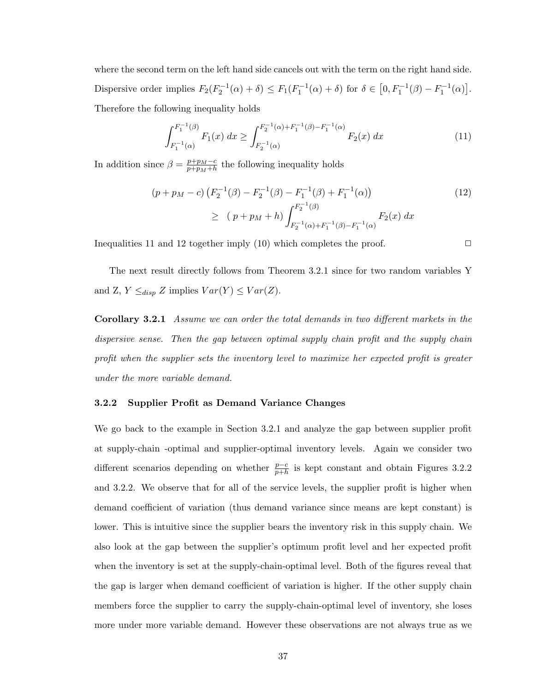where the second term on the left hand side cancels out with the term on the right hand side. Dispersive order implies  $F_2(F_2^{-1}(\alpha) + \delta) \leq F_1(F_1^{-1}(\alpha) + \delta)$  for  $\delta \in$  $[0, F_1^{-1}(\beta) - F_1^{-1}(\alpha)]$ ¤ . Therefore the following inequality holds

$$
\int_{F_1^{-1}(\alpha)}^{F_1^{-1}(\beta)} F_1(x) dx \ge \int_{F_2^{-1}(\alpha)}^{F_2^{-1}(\alpha) + F_1^{-1}(\beta) - F_1^{-1}(\alpha)} F_2(x) dx \tag{11}
$$

In addition since  $\beta = \frac{p+p_M-c}{p+n_L+b_R}$  $\frac{p+p_M-c}{p+p_M+h}$  the following inequality holds

$$
(p + pM - c) (F2-1(\beta) - F2-1(\beta) - F1-1(\beta) + F1-1(\alpha))
$$
\n
$$
\geq (p + pM + h) \int_{F_2^{-1}(\alpha) + F_1^{-1}(\beta) - F_1^{-1}(\alpha)}^{F_2^{-1}(\beta)} F_2(x) dx
$$
\n(12)

Inequalities 11 and 12 together imply (10) which completes the proof.  $\Box$ 

The next result directly follows from Theorem 3.2.1 since for two random variables Y and Z,  $Y \leq_{disp} Z$  implies  $Var(Y) \leq Var(Z)$ .

**Corollary 3.2.1** Assume we can order the total demands in two different markets in the dispersive sense. Then the gap between optimal supply chain profit and the supply chain profit when the supplier sets the inventory level to maximize her expected profit is greater under the more variable demand.

#### 3.2.2 Supplier Profit as Demand Variance Changes

We go back to the example in Section 3.2.1 and analyze the gap between supplier profit at supply-chain -optimal and supplier-optimal inventory levels. Again we consider two different scenarios depending on whether  $\frac{p-c}{p+h}$  is kept constant and obtain Figures 3.2.2 and 3.2.2. We observe that for all of the service levels, the supplier profit is higher when demand coefficient of variation (thus demand variance since means are kept constant) is lower. This is intuitive since the supplier bears the inventory risk in this supply chain. We also look at the gap between the supplier's optimum profit level and her expected profit when the inventory is set at the supply-chain-optimal level. Both of the figures reveal that the gap is larger when demand coefficient of variation is higher. If the other supply chain members force the supplier to carry the supply-chain-optimal level of inventory, she loses more under more variable demand. However these observations are not always true as we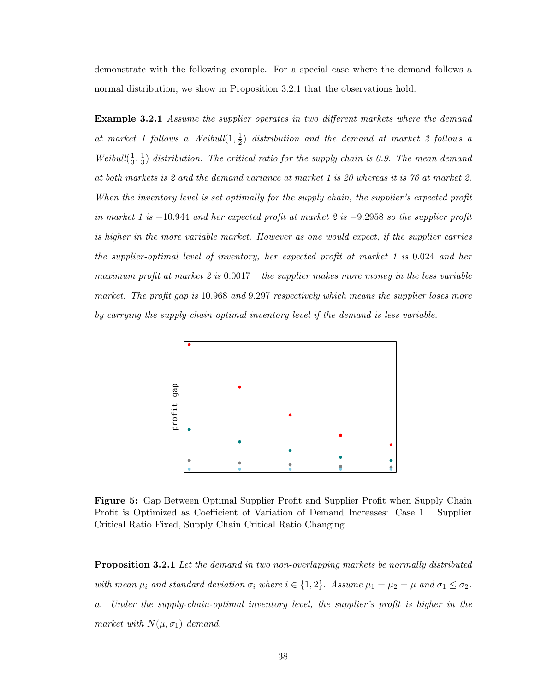demonstrate with the following example. For a special case where the demand follows a normal distribution, we show in Proposition 3.2.1 that the observations hold.

**Example 3.2.1** Assume the supplier operates in two different markets where the demand at market 1 follows a Weibull $(1, \frac{1}{2})$  $\frac{1}{2}$ ) distribution and the demand at market 2 follows a Weibull $(\frac{1}{3})$  $\frac{1}{3}, \frac{1}{3}$  $\frac{1}{3}$ ) distribution. The critical ratio for the supply chain is 0.9. The mean demand at both markets is 2 and the demand variance at market 1 is 20 whereas it is 76 at market 2. When the inventory level is set optimally for the supply chain, the supplier's expected profit in market 1 is  $-10.944$  and her expected profit at market 2 is  $-9.2958$  so the supplier profit is higher in the more variable market. However as one would expect, if the supplier carries the supplier-optimal level of inventory, her expected profit at market 1 is 0.024 and her maximum profit at market 2 is  $0.0017$  – the supplier makes more money in the less variable market. The profit gap is 10.968 and 9.297 respectively which means the supplier loses more by carrying the supply-chain-optimal inventory level if the demand is less variable.



Figure 5: Gap Between Optimal Supplier Profit and Supplier Profit when Supply Chain Profit is Optimized as Coefficient of Variation of Demand Increases: Case 1 – Supplier Critical Ratio Fixed, Supply Chain Critical Ratio Changing

**Proposition 3.2.1** Let the demand in two non-overlapping markets be normally distributed with mean  $\mu_i$  and standard deviation  $\sigma_i$  where  $i \in \{1,2\}$ . Assume  $\mu_1 = \mu_2 = \mu$  and  $\sigma_1 \leq \sigma_2$ . a. Under the supply-chain-optimal inventory level, the supplier's profit is higher in the market with  $N(\mu, \sigma_1)$  demand.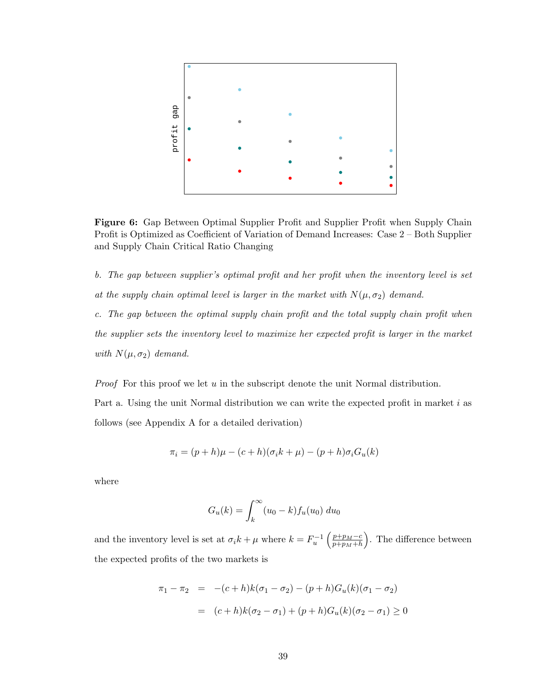

Figure 6: Gap Between Optimal Supplier Profit and Supplier Profit when Supply Chain Profit is Optimized as Coefficient of Variation of Demand Increases: Case 2 – Both Supplier and Supply Chain Critical Ratio Changing

b. The gap between supplier's optimal profit and her profit when the inventory level is set at the supply chain optimal level is larger in the market with  $N(\mu, \sigma_2)$  demand. c. The gap between the optimal supply chain profit and the total supply chain profit when the supplier sets the inventory level to maximize her expected profit is larger in the market

with  $N(\mu, \sigma_2)$  demand.

*Proof* For this proof we let  $u$  in the subscript denote the unit Normal distribution.

Part a. Using the unit Normal distribution we can write the expected profit in market i as follows (see Appendix A for a detailed derivation)

$$
\pi_i = (p+h)\mu - (c+h)(\sigma_i k + \mu) - (p+h)\sigma_i G_u(k)
$$

where

$$
G_u(k) = \int_k^{\infty} (u_0 - k) f_u(u_0) \ du_0
$$

and the inventory level is set at  $\sigma_i k + \mu$  where  $k = F_u^{-1}$  $\int p+p_M-c$  $\overline{p+p_M+h}$ ´ . The difference between the expected profits of the two markets is

$$
\pi_1 - \pi_2 = -(c+h)k(\sigma_1 - \sigma_2) - (p+h)G_u(k)(\sigma_1 - \sigma_2)
$$
  
=  $(c+h)k(\sigma_2 - \sigma_1) + (p+h)G_u(k)(\sigma_2 - \sigma_1) \ge 0$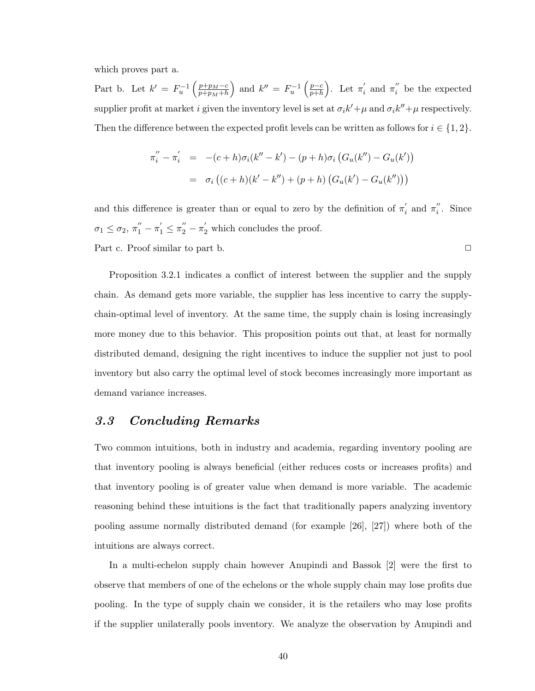which proves part a.

Part b. Let  $k' = F_u^{-1}$  $\int p+p_M-c$  $\overline{p+p_M+h}$ ´ and  $k'' = F_u^{-1}$  $\int p-c$  $\overline{p+h}$ ´ . Let  $\pi_i'$  $\frac{1}{i}$  and  $\pi i$  $i$  be the expected supplier profit at market i given the inventory level is set at  $\sigma_i k' + \mu$  and  $\sigma_i k'' + \mu$  respectively. Then the difference between the expected profit levels can be written as follows for  $i \in \{1, 2\}$ .

$$
\pi_i'' - \pi_i' = -(c+h)\sigma_i(k'' - k') - (p+h)\sigma_i (G_u(k'') - G_u(k'))
$$
  
=  $\sigma_i ((c+h)(k' - k'') + (p+h) (G_u(k') - G_u(k'')))$ 

and this difference is greater than or equal to zero by the definition of  $\pi'$  $n_i'$  and  $\pi_i''$  $i$ . Since  $\sigma_1 \leq \sigma_2$ ,  $\pi_1'' - \pi_1' \leq \pi_2'' - \pi_2'$  which concludes the proof. Part c. Proof similar to part b. ◯

Proposition 3.2.1 indicates a conflict of interest between the supplier and the supply chain. As demand gets more variable, the supplier has less incentive to carry the supplychain-optimal level of inventory. At the same time, the supply chain is losing increasingly more money due to this behavior. This proposition points out that, at least for normally distributed demand, designing the right incentives to induce the supplier not just to pool inventory but also carry the optimal level of stock becomes increasingly more important as demand variance increases.

## 3.3 Concluding Remarks

Two common intuitions, both in industry and academia, regarding inventory pooling are that inventory pooling is always beneficial (either reduces costs or increases profits) and that inventory pooling is of greater value when demand is more variable. The academic reasoning behind these intuitions is the fact that traditionally papers analyzing inventory pooling assume normally distributed demand (for example [26], [27]) where both of the intuitions are always correct.

In a multi-echelon supply chain however Anupindi and Bassok [2] were the first to observe that members of one of the echelons or the whole supply chain may lose profits due pooling. In the type of supply chain we consider, it is the retailers who may lose profits if the supplier unilaterally pools inventory. We analyze the observation by Anupindi and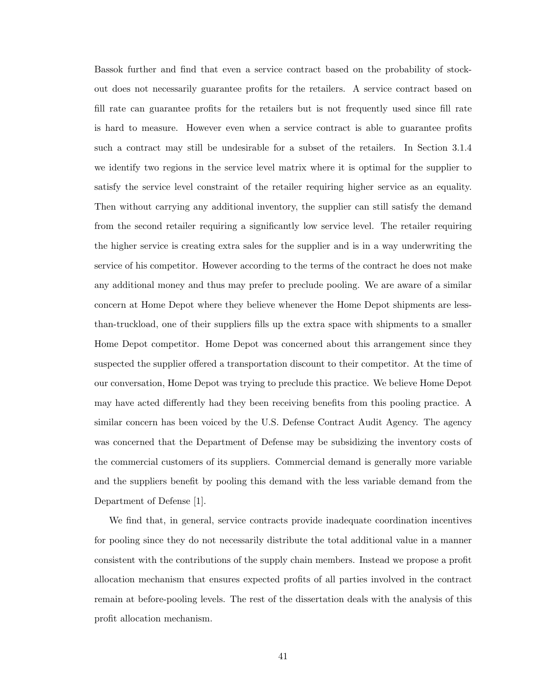Bassok further and find that even a service contract based on the probability of stockout does not necessarily guarantee profits for the retailers. A service contract based on fill rate can guarantee profits for the retailers but is not frequently used since fill rate is hard to measure. However even when a service contract is able to guarantee profits such a contract may still be undesirable for a subset of the retailers. In Section 3.1.4 we identify two regions in the service level matrix where it is optimal for the supplier to satisfy the service level constraint of the retailer requiring higher service as an equality. Then without carrying any additional inventory, the supplier can still satisfy the demand from the second retailer requiring a significantly low service level. The retailer requiring the higher service is creating extra sales for the supplier and is in a way underwriting the service of his competitor. However according to the terms of the contract he does not make any additional money and thus may prefer to preclude pooling. We are aware of a similar concern at Home Depot where they believe whenever the Home Depot shipments are lessthan-truckload, one of their suppliers fills up the extra space with shipments to a smaller Home Depot competitor. Home Depot was concerned about this arrangement since they suspected the supplier offered a transportation discount to their competitor. At the time of our conversation, Home Depot was trying to preclude this practice. We believe Home Depot may have acted differently had they been receiving benefits from this pooling practice. A similar concern has been voiced by the U.S. Defense Contract Audit Agency. The agency was concerned that the Department of Defense may be subsidizing the inventory costs of the commercial customers of its suppliers. Commercial demand is generally more variable and the suppliers benefit by pooling this demand with the less variable demand from the Department of Defense [1].

We find that, in general, service contracts provide inadequate coordination incentives for pooling since they do not necessarily distribute the total additional value in a manner consistent with the contributions of the supply chain members. Instead we propose a profit allocation mechanism that ensures expected profits of all parties involved in the contract remain at before-pooling levels. The rest of the dissertation deals with the analysis of this profit allocation mechanism.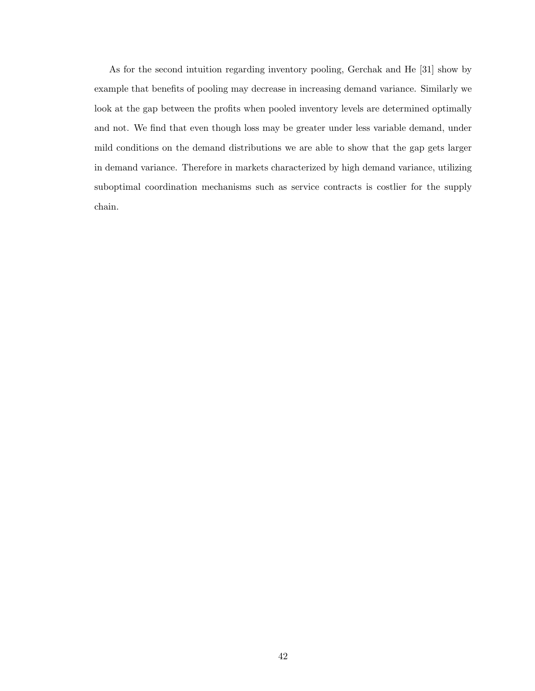As for the second intuition regarding inventory pooling, Gerchak and He [31] show by example that benefits of pooling may decrease in increasing demand variance. Similarly we look at the gap between the profits when pooled inventory levels are determined optimally and not. We find that even though loss may be greater under less variable demand, under mild conditions on the demand distributions we are able to show that the gap gets larger in demand variance. Therefore in markets characterized by high demand variance, utilizing suboptimal coordination mechanisms such as service contracts is costlier for the supply chain.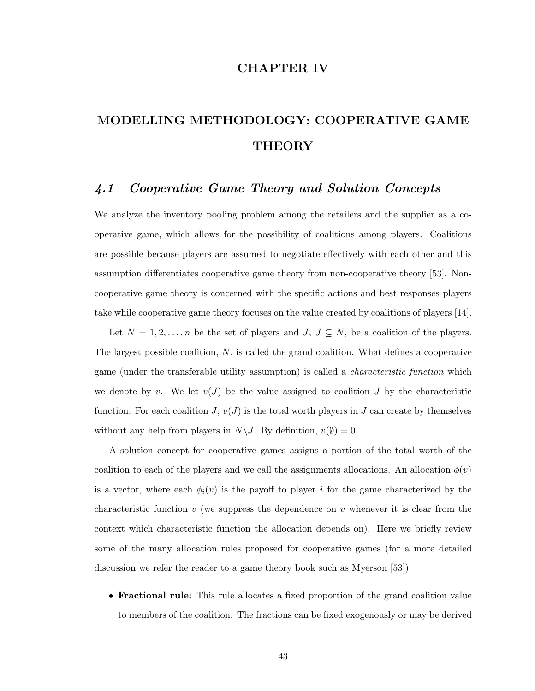## CHAPTER IV

# MODELLING METHODOLOGY: COOPERATIVE GAME THEORY

# 4.1 Cooperative Game Theory and Solution Concepts

We analyze the inventory pooling problem among the retailers and the supplier as a cooperative game, which allows for the possibility of coalitions among players. Coalitions are possible because players are assumed to negotiate effectively with each other and this assumption differentiates cooperative game theory from non-cooperative theory [53]. Noncooperative game theory is concerned with the specific actions and best responses players take while cooperative game theory focuses on the value created by coalitions of players [14].

Let  $N = 1, 2, ..., n$  be the set of players and  $J, J \subseteq N$ , be a coalition of the players. The largest possible coalition, N, is called the grand coalition. What defines a cooperative game (under the transferable utility assumption) is called a characteristic function which we denote by v. We let  $v(J)$  be the value assigned to coalition J by the characteristic function. For each coalition  $J, v(J)$  is the total worth players in J can create by themselves without any help from players in  $N\setminus J$ . By definition,  $v(\emptyset) = 0$ .

A solution concept for cooperative games assigns a portion of the total worth of the coalition to each of the players and we call the assignments allocations. An allocation  $\phi(v)$ is a vector, where each  $\phi_i(v)$  is the payoff to player i for the game characterized by the characteristic function v (we suppress the dependence on v whenever it is clear from the context which characteristic function the allocation depends on). Here we briefly review some of the many allocation rules proposed for cooperative games (for a more detailed discussion we refer the reader to a game theory book such as Myerson [53]).

• Fractional rule: This rule allocates a fixed proportion of the grand coalition value to members of the coalition. The fractions can be fixed exogenously or may be derived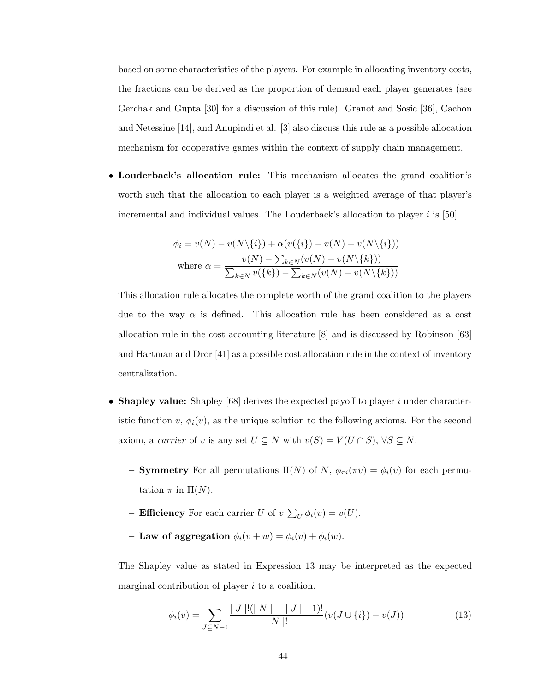based on some characteristics of the players. For example in allocating inventory costs, the fractions can be derived as the proportion of demand each player generates (see Gerchak and Gupta [30] for a discussion of this rule). Granot and Sosic [36], Cachon and Netessine [14], and Anupindi et al. [3] also discuss this rule as a possible allocation mechanism for cooperative games within the context of supply chain management.

• Louderback's allocation rule: This mechanism allocates the grand coalition's worth such that the allocation to each player is a weighted average of that player's incremental and individual values. The Louderback's allocation to player  $i$  is [50]

$$
\phi_i = v(N) - v(N\setminus\{i\}) + \alpha(v(\{i\}) - v(N) - v(N\setminus\{i\}))
$$
  
where 
$$
\alpha = \frac{v(N) - \sum_{k \in N} (v(N) - v(N\setminus\{k\}))}{\sum_{k \in N} v(\{k\}) - \sum_{k \in N} (v(N) - v(N\setminus\{k\}))}
$$

This allocation rule allocates the complete worth of the grand coalition to the players due to the way  $\alpha$  is defined. This allocation rule has been considered as a cost allocation rule in the cost accounting literature [8] and is discussed by Robinson [63] and Hartman and Dror [41] as a possible cost allocation rule in the context of inventory centralization.

- Shapley value: Shapley  $[68]$  derives the expected payoff to player i under characteristic function  $v, \phi_i(v)$ , as the unique solution to the following axioms. For the second axiom, a carrier of v is any set  $U \subseteq N$  with  $v(S) = V(U \cap S)$ ,  $\forall S \subseteq N$ .
	- **Symmetry** For all permutations  $\Pi(N)$  of N,  $\phi_{\pi i}(\pi v) = \phi_i(v)$  for each permutation  $\pi$  in  $\Pi(N)$ .
	- Efficiency For each carrier  $U$  of  $v$  $\overline{ }$  $U \phi_i(v) = v(U).$
	- Law of aggregation  $\phi_i(v + w) = \phi_i(v) + \phi_i(w)$ .

The Shapley value as stated in Expression 13 may be interpreted as the expected marginal contribution of player  $i$  to a coalition.

$$
\phi_i(v) = \sum_{J \subseteq N - i} \frac{|J|!(|N|-|J|-1)!}{|N|!} (v(J \cup \{i\}) - v(J)) \tag{13}
$$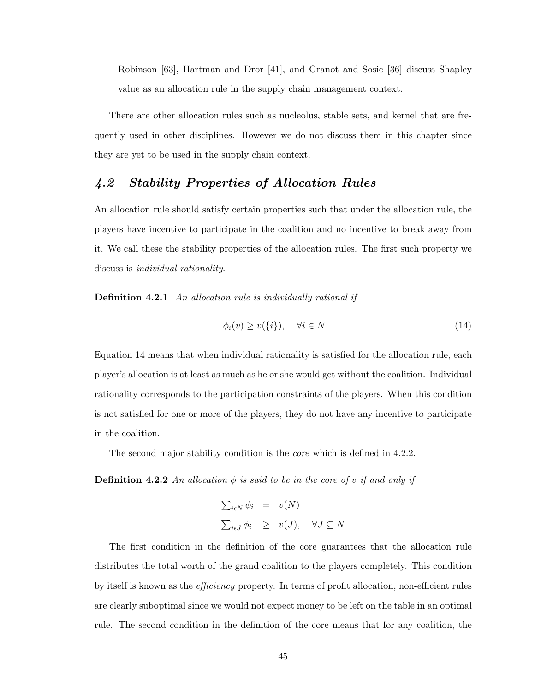Robinson [63], Hartman and Dror [41], and Granot and Sosic [36] discuss Shapley value as an allocation rule in the supply chain management context.

There are other allocation rules such as nucleolus, stable sets, and kernel that are frequently used in other disciplines. However we do not discuss them in this chapter since they are yet to be used in the supply chain context.

# 4.2 Stability Properties of Allocation Rules

An allocation rule should satisfy certain properties such that under the allocation rule, the players have incentive to participate in the coalition and no incentive to break away from it. We call these the stability properties of the allocation rules. The first such property we discuss is individual rationality.

Definition 4.2.1 An allocation rule is individually rational if

$$
\phi_i(v) \ge v(\{i\}), \quad \forall i \in N \tag{14}
$$

Equation 14 means that when individual rationality is satisfied for the allocation rule, each player's allocation is at least as much as he or she would get without the coalition. Individual rationality corresponds to the participation constraints of the players. When this condition is not satisfied for one or more of the players, they do not have any incentive to participate in the coalition.

The second major stability condition is the *core* which is defined in 4.2.2.

**Definition 4.2.2** An allocation  $\phi$  is said to be in the core of v if and only if

$$
\sum_{i \in N} \phi_i = v(N)
$$
  

$$
\sum_{i \in J} \phi_i \ge v(J), \quad \forall J \subseteq N
$$

The first condition in the definition of the core guarantees that the allocation rule distributes the total worth of the grand coalition to the players completely. This condition by itself is known as the efficiency property. In terms of profit allocation, non-efficient rules are clearly suboptimal since we would not expect money to be left on the table in an optimal rule. The second condition in the definition of the core means that for any coalition, the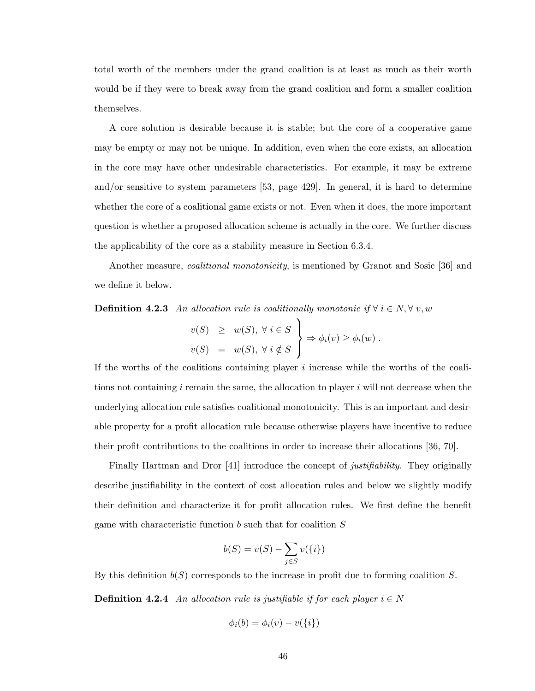total worth of the members under the grand coalition is at least as much as their worth would be if they were to break away from the grand coalition and form a smaller coalition themselves.

A core solution is desirable because it is stable; but the core of a cooperative game may be empty or may not be unique. In addition, even when the core exists, an allocation in the core may have other undesirable characteristics. For example, it may be extreme and/or sensitive to system parameters [53, page 429]. In general, it is hard to determine whether the core of a coalitional game exists or not. Even when it does, the more important question is whether a proposed allocation scheme is actually in the core. We further discuss the applicability of the core as a stability measure in Section 6.3.4.

Another measure, coalitional monotonicity, is mentioned by Granot and Sosic [36] and we define it below.

**Definition 4.2.3** An allocation rule is coalitionally monotonic if  $\forall i \in N, \forall v, w$  $\frac{1}{\sqrt{2}}$ 

$$
v(S) \geq w(S), \forall i \in S
$$
  

$$
v(S) = w(S), \forall i \notin S
$$

$$
\Rightarrow \phi_i(v) \geq \phi_i(w).
$$

If the worths of the coalitions containing player  $i$  increase while the worths of the coalitions not containing  $i$  remain the same, the allocation to player  $i$  will not decrease when the underlying allocation rule satisfies coalitional monotonicity. This is an important and desirable property for a profit allocation rule because otherwise players have incentive to reduce their profit contributions to the coalitions in order to increase their allocations [36, 70].

Finally Hartman and Dror [41] introduce the concept of *justifiability*. They originally describe justifiability in the context of cost allocation rules and below we slightly modify their definition and characterize it for profit allocation rules. We first define the benefit game with characteristic function b such that for coalition S

$$
b(S) = v(S) - \sum_{j \in S} v(\{i\})
$$

By this definition  $b(S)$  corresponds to the increase in profit due to forming coalition S. **Definition 4.2.4** An allocation rule is justifiable if for each player  $i \in N$ 

$$
\phi_i(b) = \phi_i(v) - v(\{i\})
$$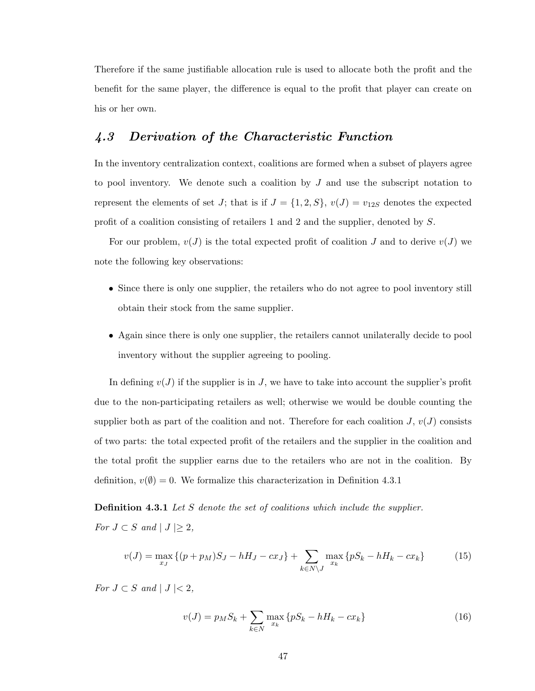Therefore if the same justifiable allocation rule is used to allocate both the profit and the benefit for the same player, the difference is equal to the profit that player can create on his or her own.

# 4.3 Derivation of the Characteristic Function

In the inventory centralization context, coalitions are formed when a subset of players agree to pool inventory. We denote such a coalition by  $J$  and use the subscript notation to represent the elements of set J; that is if  $J = \{1, 2, S\}$ ,  $v(J) = v_{12S}$  denotes the expected profit of a coalition consisting of retailers 1 and 2 and the supplier, denoted by S.

For our problem,  $v(J)$  is the total expected profit of coalition J and to derive  $v(J)$  we note the following key observations:

- Since there is only one supplier, the retailers who do not agree to pool inventory still obtain their stock from the same supplier.
- Again since there is only one supplier, the retailers cannot unilaterally decide to pool inventory without the supplier agreeing to pooling.

In defining  $v(J)$  if the supplier is in J, we have to take into account the supplier's profit due to the non-participating retailers as well; otherwise we would be double counting the supplier both as part of the coalition and not. Therefore for each coalition  $J, v(J)$  consists of two parts: the total expected profit of the retailers and the supplier in the coalition and the total profit the supplier earns due to the retailers who are not in the coalition. By definition,  $v(\emptyset) = 0$ . We formalize this characterization in Definition 4.3.1

**Definition 4.3.1** Let S denote the set of coalitions which include the supplier. For  $J \subset S$  and  $|J| \geq 2$ ,

$$
v(J) = \max_{x_J} \left\{ (p + p_M)S_J - hH_J - cx_J \right\} + \sum_{k \in N \setminus J} \max_{x_k} \left\{ pS_k - hH_k - cx_k \right\} \tag{15}
$$

For  $J \subset S$  and  $|J| < 2$ ,

$$
v(J) = p_M S_k + \sum_{k \in N} \max_{x_k} \{ pS_k - hH_k - cx_k \}
$$
 (16)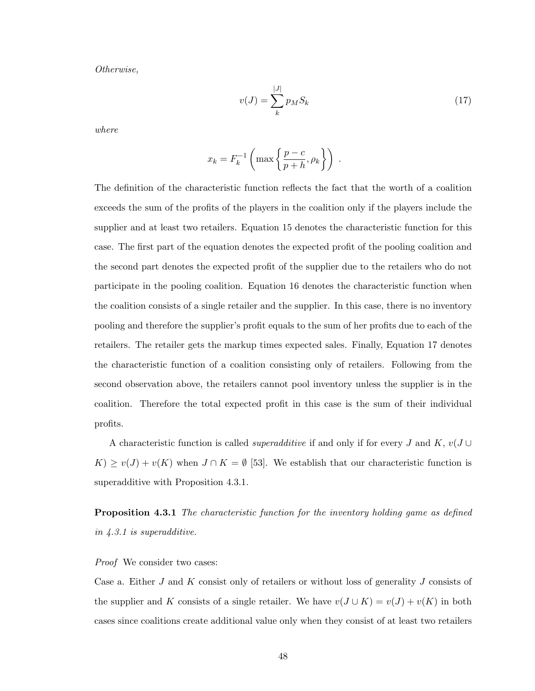Otherwise,

$$
v(J) = \sum_{k}^{|J|} p_M S_k
$$
\n(17)

where

$$
x_k = F_k^{-1} \left( \max \left\{ \frac{p-c}{p+h}, \rho_k \right\} \right) .
$$

The definition of the characteristic function reflects the fact that the worth of a coalition exceeds the sum of the profits of the players in the coalition only if the players include the supplier and at least two retailers. Equation 15 denotes the characteristic function for this case. The first part of the equation denotes the expected profit of the pooling coalition and the second part denotes the expected profit of the supplier due to the retailers who do not participate in the pooling coalition. Equation 16 denotes the characteristic function when the coalition consists of a single retailer and the supplier. In this case, there is no inventory pooling and therefore the supplier's profit equals to the sum of her profits due to each of the retailers. The retailer gets the markup times expected sales. Finally, Equation 17 denotes the characteristic function of a coalition consisting only of retailers. Following from the second observation above, the retailers cannot pool inventory unless the supplier is in the coalition. Therefore the total expected profit in this case is the sum of their individual profits.

A characteristic function is called *superadditive* if and only if for every J and K,  $v(J \cup$  $K$ ) ≥  $v(J) + v(K)$  when  $J \cap K = \emptyset$  [53]. We establish that our characteristic function is superadditive with Proposition 4.3.1.

**Proposition 4.3.1** The characteristic function for the inventory holding game as defined in 4.3.1 is superadditive.

#### Proof We consider two cases:

Case a. Either J and K consist only of retailers or without loss of generality J consists of the supplier and K consists of a single retailer. We have  $v(J \cup K) = v(J) + v(K)$  in both cases since coalitions create additional value only when they consist of at least two retailers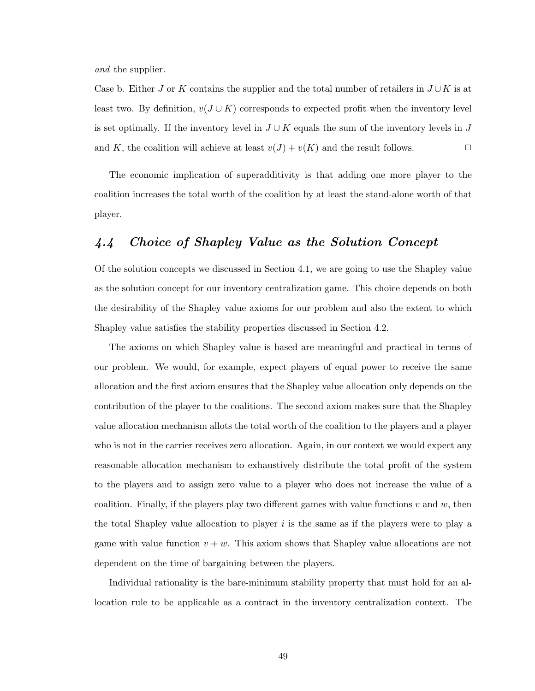and the supplier.

Case b. Either J or K contains the supplier and the total number of retailers in  $J \cup K$  is at least two. By definition,  $v(J \cup K)$  corresponds to expected profit when the inventory level is set optimally. If the inventory level in  $J \cup K$  equals the sum of the inventory levels in J and K, the coalition will achieve at least  $v(J) + v(K)$  and the result follows.

The economic implication of superadditivity is that adding one more player to the coalition increases the total worth of the coalition by at least the stand-alone worth of that player.

# 4.4 Choice of Shapley Value as the Solution Concept

Of the solution concepts we discussed in Section 4.1, we are going to use the Shapley value as the solution concept for our inventory centralization game. This choice depends on both the desirability of the Shapley value axioms for our problem and also the extent to which Shapley value satisfies the stability properties discussed in Section 4.2.

The axioms on which Shapley value is based are meaningful and practical in terms of our problem. We would, for example, expect players of equal power to receive the same allocation and the first axiom ensures that the Shapley value allocation only depends on the contribution of the player to the coalitions. The second axiom makes sure that the Shapley value allocation mechanism allots the total worth of the coalition to the players and a player who is not in the carrier receives zero allocation. Again, in our context we would expect any reasonable allocation mechanism to exhaustively distribute the total profit of the system to the players and to assign zero value to a player who does not increase the value of a coalition. Finally, if the players play two different games with value functions  $v$  and  $w$ , then the total Shapley value allocation to player  $i$  is the same as if the players were to play a game with value function  $v + w$ . This axiom shows that Shapley value allocations are not dependent on the time of bargaining between the players.

Individual rationality is the bare-minimum stability property that must hold for an allocation rule to be applicable as a contract in the inventory centralization context. The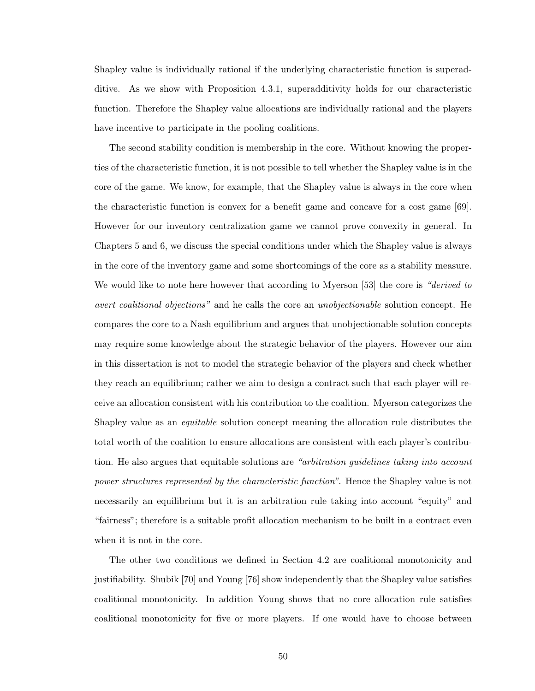Shapley value is individually rational if the underlying characteristic function is superadditive. As we show with Proposition 4.3.1, superadditivity holds for our characteristic function. Therefore the Shapley value allocations are individually rational and the players have incentive to participate in the pooling coalitions.

The second stability condition is membership in the core. Without knowing the properties of the characteristic function, it is not possible to tell whether the Shapley value is in the core of the game. We know, for example, that the Shapley value is always in the core when the characteristic function is convex for a benefit game and concave for a cost game [69]. However for our inventory centralization game we cannot prove convexity in general. In Chapters 5 and 6, we discuss the special conditions under which the Shapley value is always in the core of the inventory game and some shortcomings of the core as a stability measure. We would like to note here however that according to Myerson [53] the core is "derived to avert coalitional objections" and he calls the core an unobjectionable solution concept. He compares the core to a Nash equilibrium and argues that unobjectionable solution concepts may require some knowledge about the strategic behavior of the players. However our aim in this dissertation is not to model the strategic behavior of the players and check whether they reach an equilibrium; rather we aim to design a contract such that each player will receive an allocation consistent with his contribution to the coalition. Myerson categorizes the Shapley value as an equitable solution concept meaning the allocation rule distributes the total worth of the coalition to ensure allocations are consistent with each player's contribution. He also argues that equitable solutions are "arbitration guidelines taking into account power structures represented by the characteristic function". Hence the Shapley value is not necessarily an equilibrium but it is an arbitration rule taking into account "equity" and "fairness"; therefore is a suitable profit allocation mechanism to be built in a contract even when it is not in the core.

The other two conditions we defined in Section 4.2 are coalitional monotonicity and justifiability. Shubik [70] and Young [76] show independently that the Shapley value satisfies coalitional monotonicity. In addition Young shows that no core allocation rule satisfies coalitional monotonicity for five or more players. If one would have to choose between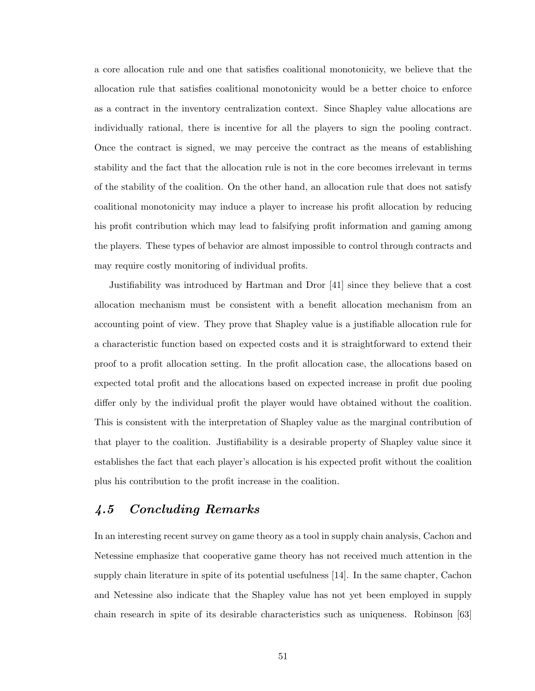a core allocation rule and one that satisfies coalitional monotonicity, we believe that the allocation rule that satisfies coalitional monotonicity would be a better choice to enforce as a contract in the inventory centralization context. Since Shapley value allocations are individually rational, there is incentive for all the players to sign the pooling contract. Once the contract is signed, we may perceive the contract as the means of establishing stability and the fact that the allocation rule is not in the core becomes irrelevant in terms of the stability of the coalition. On the other hand, an allocation rule that does not satisfy coalitional monotonicity may induce a player to increase his profit allocation by reducing his profit contribution which may lead to falsifying profit information and gaming among the players. These types of behavior are almost impossible to control through contracts and may require costly monitoring of individual profits.

Justifiability was introduced by Hartman and Dror [41] since they believe that a cost allocation mechanism must be consistent with a benefit allocation mechanism from an accounting point of view. They prove that Shapley value is a justifiable allocation rule for a characteristic function based on expected costs and it is straightforward to extend their proof to a profit allocation setting. In the profit allocation case, the allocations based on expected total profit and the allocations based on expected increase in profit due pooling differ only by the individual profit the player would have obtained without the coalition. This is consistent with the interpretation of Shapley value as the marginal contribution of that player to the coalition. Justifiability is a desirable property of Shapley value since it establishes the fact that each player's allocation is his expected profit without the coalition plus his contribution to the profit increase in the coalition.

# 4.5 Concluding Remarks

In an interesting recent survey on game theory as a tool in supply chain analysis, Cachon and Netessine emphasize that cooperative game theory has not received much attention in the supply chain literature in spite of its potential usefulness [14]. In the same chapter, Cachon and Netessine also indicate that the Shapley value has not yet been employed in supply chain research in spite of its desirable characteristics such as uniqueness. Robinson [63]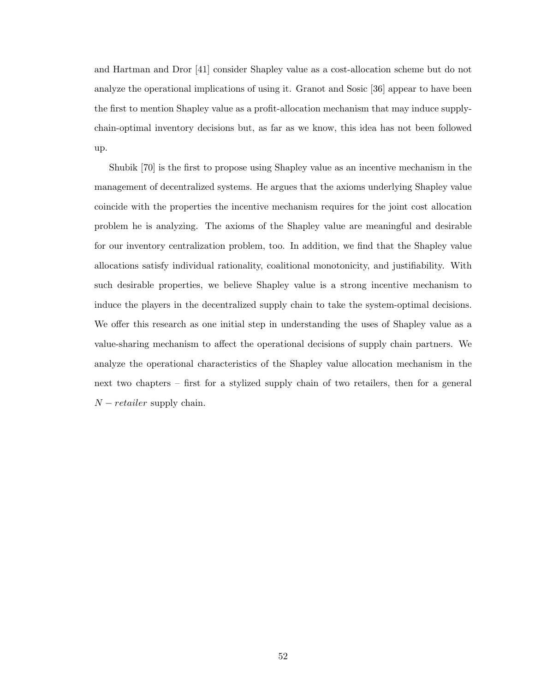and Hartman and Dror [41] consider Shapley value as a cost-allocation scheme but do not analyze the operational implications of using it. Granot and Sosic [36] appear to have been the first to mention Shapley value as a profit-allocation mechanism that may induce supplychain-optimal inventory decisions but, as far as we know, this idea has not been followed up.

Shubik [70] is the first to propose using Shapley value as an incentive mechanism in the management of decentralized systems. He argues that the axioms underlying Shapley value coincide with the properties the incentive mechanism requires for the joint cost allocation problem he is analyzing. The axioms of the Shapley value are meaningful and desirable for our inventory centralization problem, too. In addition, we find that the Shapley value allocations satisfy individual rationality, coalitional monotonicity, and justifiability. With such desirable properties, we believe Shapley value is a strong incentive mechanism to induce the players in the decentralized supply chain to take the system-optimal decisions. We offer this research as one initial step in understanding the uses of Shapley value as a value-sharing mechanism to affect the operational decisions of supply chain partners. We analyze the operational characteristics of the Shapley value allocation mechanism in the next two chapters – first for a stylized supply chain of two retailers, then for a general  $N - retailer$  supply chain.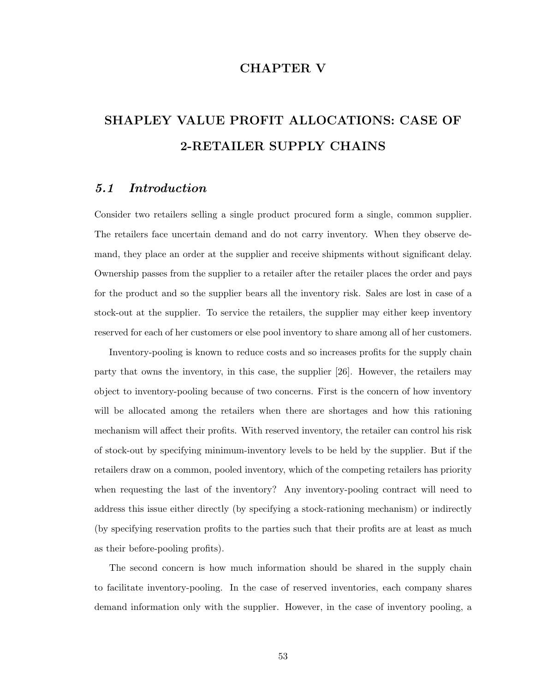# CHAPTER V

# SHAPLEY VALUE PROFIT ALLOCATIONS: CASE OF 2-RETAILER SUPPLY CHAINS

### 5.1 Introduction

Consider two retailers selling a single product procured form a single, common supplier. The retailers face uncertain demand and do not carry inventory. When they observe demand, they place an order at the supplier and receive shipments without significant delay. Ownership passes from the supplier to a retailer after the retailer places the order and pays for the product and so the supplier bears all the inventory risk. Sales are lost in case of a stock-out at the supplier. To service the retailers, the supplier may either keep inventory reserved for each of her customers or else pool inventory to share among all of her customers.

Inventory-pooling is known to reduce costs and so increases profits for the supply chain party that owns the inventory, in this case, the supplier [26]. However, the retailers may object to inventory-pooling because of two concerns. First is the concern of how inventory will be allocated among the retailers when there are shortages and how this rationing mechanism will affect their profits. With reserved inventory, the retailer can control his risk of stock-out by specifying minimum-inventory levels to be held by the supplier. But if the retailers draw on a common, pooled inventory, which of the competing retailers has priority when requesting the last of the inventory? Any inventory-pooling contract will need to address this issue either directly (by specifying a stock-rationing mechanism) or indirectly (by specifying reservation profits to the parties such that their profits are at least as much as their before-pooling profits).

The second concern is how much information should be shared in the supply chain to facilitate inventory-pooling. In the case of reserved inventories, each company shares demand information only with the supplier. However, in the case of inventory pooling, a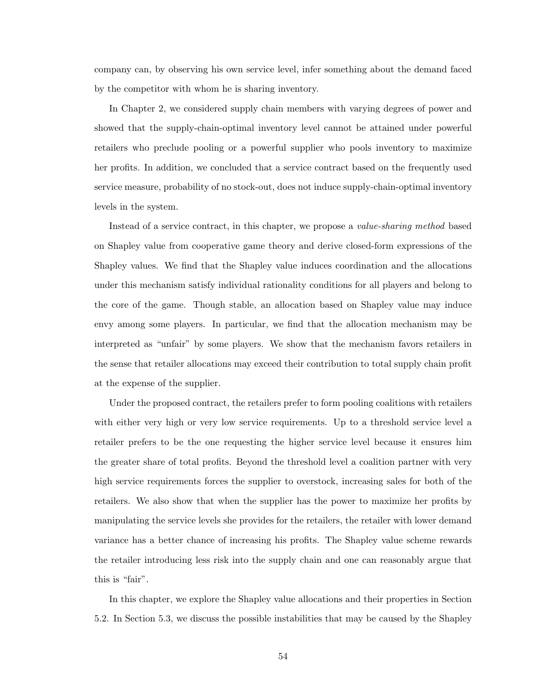company can, by observing his own service level, infer something about the demand faced by the competitor with whom he is sharing inventory.

In Chapter 2, we considered supply chain members with varying degrees of power and showed that the supply-chain-optimal inventory level cannot be attained under powerful retailers who preclude pooling or a powerful supplier who pools inventory to maximize her profits. In addition, we concluded that a service contract based on the frequently used service measure, probability of no stock-out, does not induce supply-chain-optimal inventory levels in the system.

Instead of a service contract, in this chapter, we propose a value-sharing method based on Shapley value from cooperative game theory and derive closed-form expressions of the Shapley values. We find that the Shapley value induces coordination and the allocations under this mechanism satisfy individual rationality conditions for all players and belong to the core of the game. Though stable, an allocation based on Shapley value may induce envy among some players. In particular, we find that the allocation mechanism may be interpreted as "unfair" by some players. We show that the mechanism favors retailers in the sense that retailer allocations may exceed their contribution to total supply chain profit at the expense of the supplier.

Under the proposed contract, the retailers prefer to form pooling coalitions with retailers with either very high or very low service requirements. Up to a threshold service level a retailer prefers to be the one requesting the higher service level because it ensures him the greater share of total profits. Beyond the threshold level a coalition partner with very high service requirements forces the supplier to overstock, increasing sales for both of the retailers. We also show that when the supplier has the power to maximize her profits by manipulating the service levels she provides for the retailers, the retailer with lower demand variance has a better chance of increasing his profits. The Shapley value scheme rewards the retailer introducing less risk into the supply chain and one can reasonably argue that this is "fair".

In this chapter, we explore the Shapley value allocations and their properties in Section 5.2. In Section 5.3, we discuss the possible instabilities that may be caused by the Shapley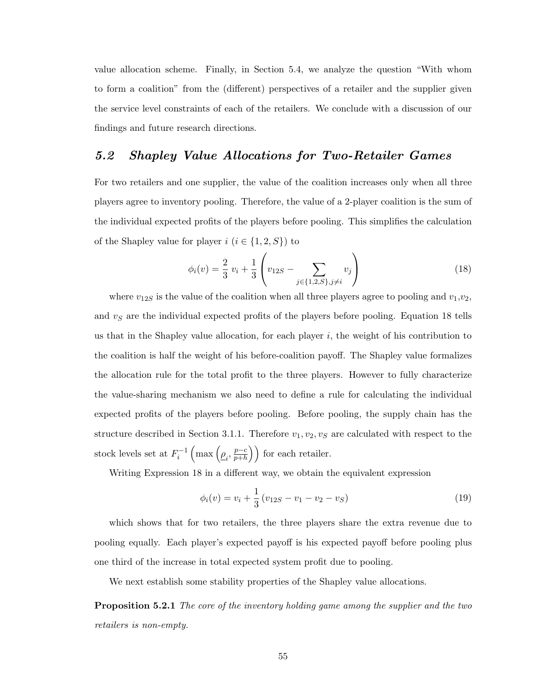value allocation scheme. Finally, in Section 5.4, we analyze the question "With whom to form a coalition" from the (different) perspectives of a retailer and the supplier given the service level constraints of each of the retailers. We conclude with a discussion of our findings and future research directions.

# 5.2 Shapley Value Allocations for Two-Retailer Games

For two retailers and one supplier, the value of the coalition increases only when all three players agree to inventory pooling. Therefore, the value of a 2-player coalition is the sum of the individual expected profits of the players before pooling. This simplifies the calculation of the Shapley value for player  $i$   $(i \in \{1, 2, S\})$  to

$$
\phi_i(v) = \frac{2}{3} v_i + \frac{1}{3} \left( v_{12S} - \sum_{j \in \{1, 2, S\}, j \neq i} v_j \right)
$$
(18)

where  $v_{12S}$  is the value of the coalition when all three players agree to pooling and  $v_1,v_2$ , and  $v<sub>S</sub>$  are the individual expected profits of the players before pooling. Equation 18 tells us that in the Shapley value allocation, for each player  $i$ , the weight of his contribution to the coalition is half the weight of his before-coalition payoff. The Shapley value formalizes the allocation rule for the total profit to the three players. However to fully characterize the value-sharing mechanism we also need to define a rule for calculating the individual expected profits of the players before pooling. Before pooling, the supply chain has the structure described in Section 3.1.1. Therefore  $v_1, v_2, v_S$  are calculated with respect to the stock levels set at  $F_i^{-1}$  $\left(\max\left(\underline{\rho}_i, \frac{p-c}{p+h}\right)\right)$  $\overline{p+h}$  $\ddot{\mathbf{r}}$ for each retailer.

Writing Expression 18 in a different way, we obtain the equivalent expression

$$
\phi_i(v) = v_i + \frac{1}{3} (v_{12S} - v_1 - v_2 - v_S)
$$
\n(19)

which shows that for two retailers, the three players share the extra revenue due to pooling equally. Each player's expected payoff is his expected payoff before pooling plus one third of the increase in total expected system profit due to pooling.

We next establish some stability properties of the Shapley value allocations.

**Proposition 5.2.1** The core of the inventory holding game among the supplier and the two retailers is non-empty.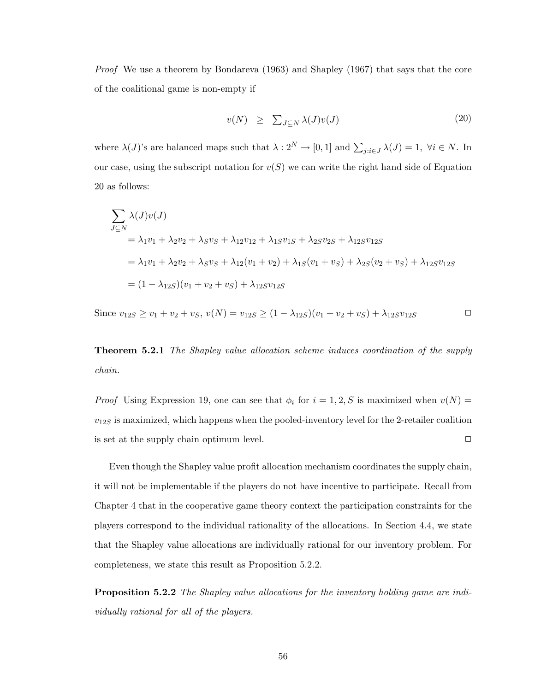Proof We use a theorem by Bondareva (1963) and Shapley (1967) that says that the core of the coalitional game is non-empty if

$$
v(N) \geq \sum_{J \subseteq N} \lambda(J)v(J) \tag{20}
$$

where  $\lambda(J)$ 's are balanced maps such that  $\lambda: 2^N \to [0,1]$  and  $\sum_{j:i \in J} \lambda(J) = 1$ ,  $\forall i \in N$ . In our case, using the subscript notation for  $v(S)$  we can write the right hand side of Equation 20 as follows:

$$
\sum_{J \subseteq N} \lambda(J)v(J)
$$
  
=  $\lambda_1 v_1 + \lambda_2 v_2 + \lambda_S v_S + \lambda_{12} v_{12} + \lambda_{1S} v_{1S} + \lambda_{2S} v_{2S} + \lambda_{12S} v_{12S}$   
=  $\lambda_1 v_1 + \lambda_2 v_2 + \lambda_S v_S + \lambda_{12} (v_1 + v_2) + \lambda_{1S} (v_1 + v_S) + \lambda_{2S} (v_2 + v_S) + \lambda_{12S} v_{12S}$   
=  $(1 - \lambda_{12S})(v_1 + v_2 + v_S) + \lambda_{12S} v_{12S}$ 

Since  $v_{12S} \ge v_1 + v_2 + v_S$ ,  $v(N) = v_{12S} \ge (1 - \lambda_{12S})(v_1 + v_2 + v_S) + \lambda_{12S}v_{12S}$ 

Theorem 5.2.1 The Shapley value allocation scheme induces coordination of the supply chain.

*Proof* Using Expression 19, one can see that  $\phi_i$  for  $i = 1, 2, S$  is maximized when  $v(N) =$  $v_{12S}$  is maximized, which happens when the pooled-inventory level for the 2-retailer coalition is set at the supply chain optimum level.  $\Box$ 

Even though the Shapley value profit allocation mechanism coordinates the supply chain, it will not be implementable if the players do not have incentive to participate. Recall from Chapter 4 that in the cooperative game theory context the participation constraints for the players correspond to the individual rationality of the allocations. In Section 4.4, we state that the Shapley value allocations are individually rational for our inventory problem. For completeness, we state this result as Proposition 5.2.2.

Proposition 5.2.2 The Shapley value allocations for the inventory holding game are individually rational for all of the players.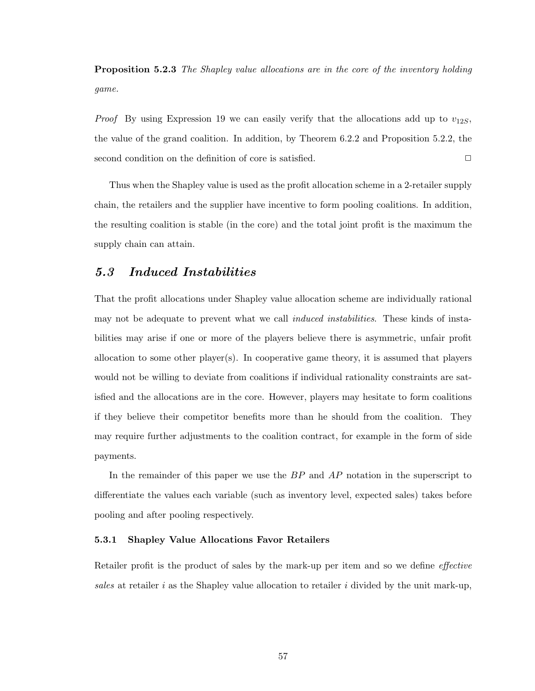**Proposition 5.2.3** The Shapley value allocations are in the core of the inventory holding game.

*Proof* By using Expression 19 we can easily verify that the allocations add up to  $v_{12S}$ , the value of the grand coalition. In addition, by Theorem 6.2.2 and Proposition 5.2.2, the second condition on the definition of core is satisfied.  $\Box$ 

Thus when the Shapley value is used as the profit allocation scheme in a 2-retailer supply chain, the retailers and the supplier have incentive to form pooling coalitions. In addition, the resulting coalition is stable (in the core) and the total joint profit is the maximum the supply chain can attain.

# 5.3 Induced Instabilities

That the profit allocations under Shapley value allocation scheme are individually rational may not be adequate to prevent what we call *induced instabilities*. These kinds of instabilities may arise if one or more of the players believe there is asymmetric, unfair profit allocation to some other player(s). In cooperative game theory, it is assumed that players would not be willing to deviate from coalitions if individual rationality constraints are satisfied and the allocations are in the core. However, players may hesitate to form coalitions if they believe their competitor benefits more than he should from the coalition. They may require further adjustments to the coalition contract, for example in the form of side payments.

In the remainder of this paper we use the  $BP$  and  $AP$  notation in the superscript to differentiate the values each variable (such as inventory level, expected sales) takes before pooling and after pooling respectively.

#### 5.3.1 Shapley Value Allocations Favor Retailers

Retailer profit is the product of sales by the mark-up per item and so we define *effective* sales at retailer i as the Shapley value allocation to retailer i divided by the unit mark-up,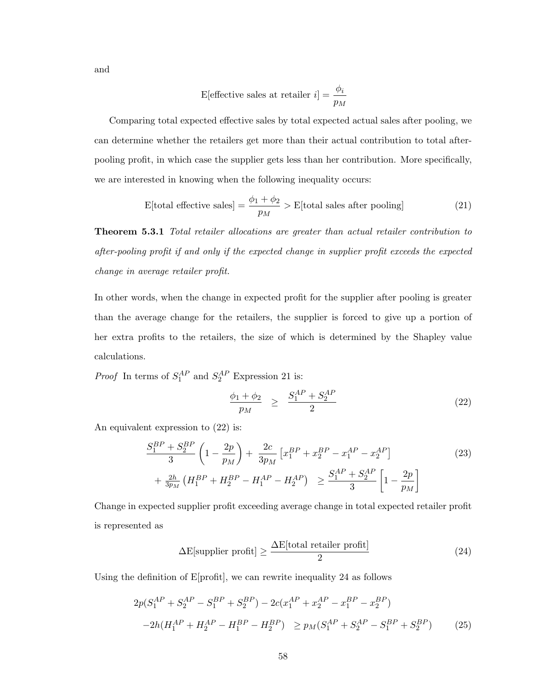and

E[effective sales at retailer 
$$
i
$$
] =  $\frac{\phi_i}{p_M}$ 

Comparing total expected effective sales by total expected actual sales after pooling, we can determine whether the retailers get more than their actual contribution to total afterpooling profit, in which case the supplier gets less than her contribution. More specifically, we are interested in knowing when the following inequality occurs:

$$
E[\text{total effective sales}] = \frac{\phi_1 + \phi_2}{p_M} > E[\text{total sales after pooling}] \tag{21}
$$

**Theorem 5.3.1** Total retailer allocations are greater than actual retailer contribution to after-pooling profit if and only if the expected change in supplier profit exceeds the expected change in average retailer profit.

In other words, when the change in expected profit for the supplier after pooling is greater than the average change for the retailers, the supplier is forced to give up a portion of her extra profits to the retailers, the size of which is determined by the Shapley value calculations.

*Proof* In terms of  $S_1^{AP}$  and  $S_2^{AP}$  Expression 21 is:

$$
\frac{\phi_1 + \phi_2}{p_M} \ge \frac{S_1^{AP} + S_2^{AP}}{2} \tag{22}
$$

An equivalent expression to (22) is:

$$
\frac{S_1^{BP} + S_2^{BP}}{3} \left( 1 - \frac{2p}{p_M} \right) + \frac{2c}{3p_M} \left[ x_1^{BP} + x_2^{BP} - x_1^{AP} - x_2^{AP} \right] + \frac{2h}{3p_M} \left( H_1^{BP} + H_2^{BP} - H_1^{AP} - H_2^{AP} \right) \ge \frac{S_1^{AP} + S_2^{AP}}{3} \left[ 1 - \frac{2p}{p_M} \right]
$$
(23)

Change in expected supplier profit exceeding average change in total expected retailer profit is represented as

$$
\Delta E[\text{supplier profit}] \ge \frac{\Delta E[\text{total retailer profit}]}{2} \tag{24}
$$

Using the definition of E[profit], we can rewrite inequality 24 as follows

$$
2p(S_1^{AP} + S_2^{AP} - S_1^{BP} + S_2^{BP}) - 2c(x_1^{AP} + x_2^{AP} - x_1^{BP} - x_2^{BP})
$$
  

$$
-2h(H_1^{AP} + H_2^{AP} - H_1^{BP} - H_2^{BP}) \ge p_M(S_1^{AP} + S_2^{AP} - S_1^{BP} + S_2^{BP})
$$
 (25)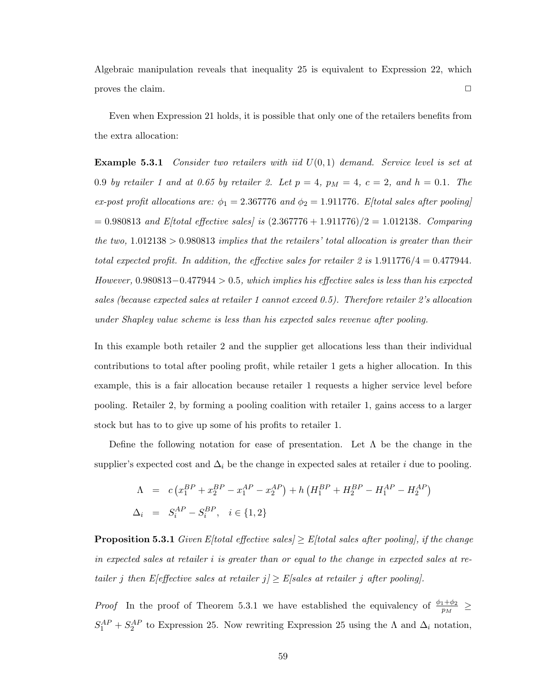Algebraic manipulation reveals that inequality 25 is equivalent to Expression 22, which proves the claim.  $\Box$ 

Even when Expression 21 holds, it is possible that only one of the retailers benefits from the extra allocation:

**Example 5.3.1** Consider two retailers with iid  $U(0,1)$  demand. Service level is set at 0.9 by retailer 1 and at 0.65 by retailer 2. Let  $p = 4$ ,  $p_M = 4$ ,  $c = 2$ , and  $h = 0.1$ . The ex-post profit allocations are:  $\phi_1 = 2.367776$  and  $\phi_2 = 1.911776$ . E[total sales after pooling]  $= 0.980813$  and E/total effective sales/ is  $(2.367776 + 1.911776)/2 = 1.012138$ . Comparing the two,  $1.012138 > 0.980813$  implies that the retailers' total allocation is greater than their total expected profit. In addition, the effective sales for retailer 2 is  $1.911776/4 = 0.477944$ . However, 0.980813−0.477944 > 0.5, which implies his effective sales is less than his expected sales (because expected sales at retailer 1 cannot exceed 0.5). Therefore retailer 2's allocation under Shapley value scheme is less than his expected sales revenue after pooling.

In this example both retailer 2 and the supplier get allocations less than their individual contributions to total after pooling profit, while retailer 1 gets a higher allocation. In this example, this is a fair allocation because retailer 1 requests a higher service level before pooling. Retailer 2, by forming a pooling coalition with retailer 1, gains access to a larger stock but has to to give up some of his profits to retailer 1.

Define the following notation for ease of presentation. Let  $\Lambda$  be the change in the supplier's expected cost and  $\Delta_i$  be the change in expected sales at retailer i due to pooling.

$$
\Lambda = c (x_1^{BP} + x_2^{BP} - x_1^{AP} - x_2^{AP}) + h (H_1^{BP} + H_2^{BP} - H_1^{AP} - H_2^{AP})
$$
  
\n
$$
\Delta_i = S_i^{AP} - S_i^{BP}, \quad i \in \{1, 2\}
$$

**Proposition 5.3.1** Given Eftotal effective sales  $\geq$  Eftotal sales after poolingl, if the change in expected sales at retailer i is greater than or equal to the change in expected sales at retailer j then E[effective sales at retailer  $j \geq E$ [sales at retailer j after pooling].

*Proof* In the proof of Theorem 5.3.1 we have established the equivalency of  $\frac{\phi_1+\phi_2}{p_M}$   $\geq$  $S_1^{AP} + S_2^{AP}$  to Expression 25. Now rewriting Expression 25 using the  $\Lambda$  and  $\Delta_i$  notation,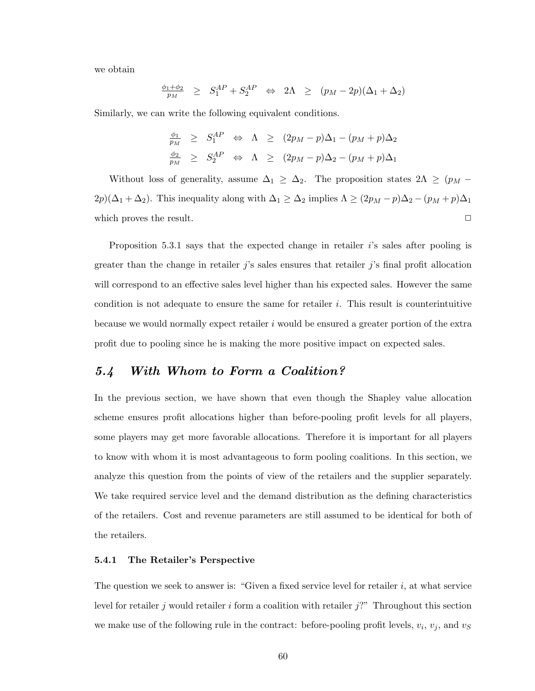we obtain

$$
\frac{\phi_1 + \phi_2}{p_M} \geq S_1^{AP} + S_2^{AP} \Leftrightarrow 2\Lambda \geq (p_M - 2p)(\Delta_1 + \Delta_2)
$$

Similarly, we can write the following equivalent conditions.

$$
\frac{\phi_1}{p_M} \geq S_1^{AP} \Leftrightarrow \Lambda \geq (2p_M - p)\Delta_1 - (p_M + p)\Delta_2
$$
  

$$
\frac{\phi_2}{p_M} \geq S_2^{AP} \Leftrightarrow \Lambda \geq (2p_M - p)\Delta_2 - (p_M + p)\Delta_1
$$

Without loss of generality, assume  $\Delta_1 \geq \Delta_2$ . The proposition states  $2\Lambda \geq (p_M 2p)(\Delta_1 + \Delta_2)$ . This inequality along with  $\Delta_1 \ge \Delta_2$  implies  $\Lambda \ge (2p_M - p)\Delta_2 - (p_M + p)\Delta_1$ which proves the result.  $\Box$ 

Proposition 5.3.1 says that the expected change in retailer  $i$ 's sales after pooling is greater than the change in retailer  $j$ 's sales ensures that retailer  $j$ 's final profit allocation will correspond to an effective sales level higher than his expected sales. However the same condition is not adequate to ensure the same for retailer  $i$ . This result is counterintuitive because we would normally expect retailer i would be ensured a greater portion of the extra profit due to pooling since he is making the more positive impact on expected sales.

# 5.4 With Whom to Form a Coalition?

In the previous section, we have shown that even though the Shapley value allocation scheme ensures profit allocations higher than before-pooling profit levels for all players, some players may get more favorable allocations. Therefore it is important for all players to know with whom it is most advantageous to form pooling coalitions. In this section, we analyze this question from the points of view of the retailers and the supplier separately. We take required service level and the demand distribution as the defining characteristics of the retailers. Cost and revenue parameters are still assumed to be identical for both of the retailers.

#### 5.4.1 The Retailer's Perspective

The question we seek to answer is: "Given a fixed service level for retailer  $i$ , at what service level for retailer j would retailer i form a coalition with retailer  $j$ ?" Throughout this section we make use of the following rule in the contract: before-pooling profit levels,  $v_i$ ,  $v_j$ , and  $v_S$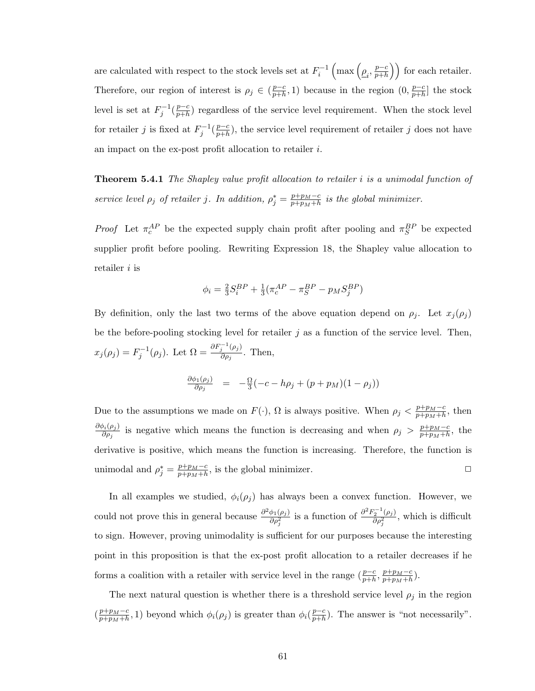are calculated with respect to the stock levels set at  $F_i^{-1}\,$  $\left(\max\left(\underline{\rho}_i, \frac{p-c}{p+h}\right)\right)$  $\overline{p+h}$  $\ddot{\mathbf{r}}$ for each retailer. Therefore, our region of interest is  $\rho_j \in (\frac{p-c}{n+h})$  $\frac{p-c}{p+h}, 1$ ) because in the region  $(0, \frac{p-c}{p+h})$  $\frac{p-c}{p+h}$  the stock level is set at  $F_j^{-1}(\frac{p-c}{p+h})$  $\frac{p-c}{p+h}$  regardless of the service level requirement. When the stock level for retailer j is fixed at  $F_j^{-1}(\frac{p-c}{p+h})$  $\frac{p-c}{p+h}$ , the service level requirement of retailer j does not have an impact on the ex-post profit allocation to retailer i.

Theorem 5.4.1 The Shapley value profit allocation to retailer i is a unimodal function of service level  $\rho_j$  of retailer j. In addition,  $\rho_j^* = \frac{p + p_M - c}{p + p_M + h}$  $\frac{p+p_M-c}{p+p_M+h}$  is the global minimizer.

*Proof* Let  $\pi_c^{AP}$  be the expected supply chain profit after pooling and  $\pi_S^{BP}$  be expected supplier profit before pooling. Rewriting Expression 18, the Shapley value allocation to retailer *i* is

$$
\phi_i = \frac{2}{3} S^{BP}_i + \frac{1}{3} (\pi^{AP}_c - \pi^{BP}_S - p_M S^{BP}_j)
$$

By definition, only the last two terms of the above equation depend on  $\rho_j$ . Let  $x_j(\rho_j)$ be the before-pooling stocking level for retailer  $j$  as a function of the service level. Then,  $x_j(\rho_j) = F_j^{-1}(\rho_j)$ . Let  $\Omega = \frac{\partial F_j^{-1}(\rho_j)}{\partial \rho_j}$  $\frac{\partial \rho_j}{\partial \rho_j}$ . Then,

$$
\frac{\partial \phi_1(\rho_j)}{\partial \rho_j} = -\frac{\Omega}{3}(-c - h\rho_j + (p + p_M)(1 - \rho_j))
$$

Due to the assumptions we made on  $F(\cdot)$ ,  $\Omega$  is always positive. When  $\rho_j < \frac{p+p_M-c}{p+m_M+b}$  $\frac{p+p_M-c}{p+p_M+h}$ , then  $\partial \phi_i(\rho_j)$  $\frac{\partial h(\rho_j)}{\partial \rho_j}$  is negative which means the function is decreasing and when  $\rho_j > \frac{p+p_M-c_M}{p+p_M+h}$  $\frac{p+p_M-c}{p+p_M+h}$ , the derivative is positive, which means the function is increasing. Therefore, the function is unimodal and  $\rho_j^* = \frac{p+p_M-c}{p+p_M+h}$  $\frac{p+p_M-c}{p+p_M+h}$ , is the global minimizer.  $\square$ 

In all examples we studied,  $\phi_i(\rho_j)$  has always been a convex function. However, we could not prove this in general because  $\frac{\partial^2 \phi_1(\rho_j)}{\partial \phi_1(\rho_j)}$  $\frac{\phi_1(\rho_j)}{\partial \rho_j^2}$  is a function of  $\frac{\partial^2 F_2^{-1}(\rho_j)}{\partial \rho_j^2}$  $\frac{q_2 - (\rho_j)}{\partial \rho_j^2}$ , which is difficult to sign. However, proving unimodality is sufficient for our purposes because the interesting point in this proposition is that the ex-post profit allocation to a retailer decreases if he forms a coalition with a retailer with service level in the range  $(\frac{p-c}{p+h}, \frac{p+p_M-c}{p+p_M+h})$  $\frac{p+p_M-c}{p+p_M+h}$ ).

The next natural question is whether there is a threshold service level  $\rho_j$  in the region  $\left(\frac{p+p_M-c}{p+n+\mu}\right)$  $\frac{p+p_M-c}{p+p_M+h}$ , 1) beyond which  $\phi_i(\rho_j)$  is greater than  $\phi_i(\frac{p-c}{p+h})$  $\frac{p-c}{p+h}$ ). The answer is "not necessarily".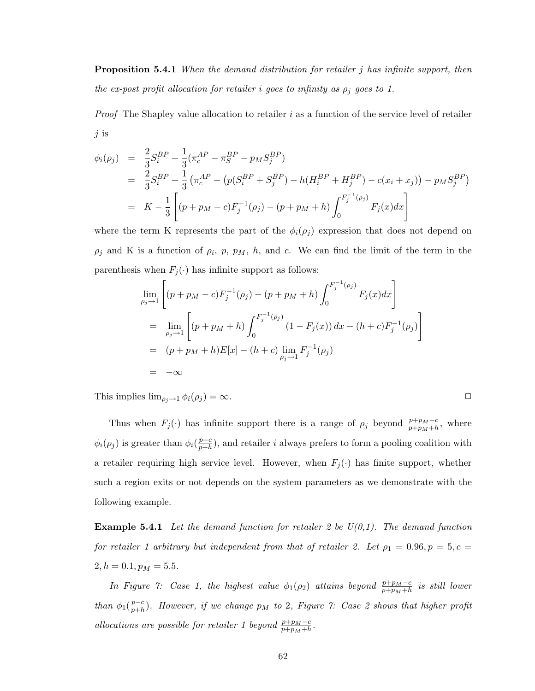**Proposition 5.4.1** When the demand distribution for retailer j has infinite support, then the ex-post profit allocation for retailer i goes to infinity as  $\rho_j$  goes to 1.

*Proof* The Shapley value allocation to retailer  $i$  as a function of the service level of retailer  $j$  is

$$
\begin{split} \phi_i(\rho_j) &= \frac{2}{3} S_i^{BP} + \frac{1}{3} (\pi_c^{AP} - \pi_S^{BP} - p_M S_j^{BP}) \\ &= \frac{2}{3} S_i^{BP} + \frac{1}{3} \left( \pi_c^{AP} - \left( p(S_i^{BP} + S_j^{BP}) - h(H_i^{BP} + H_j^{BP}) - c(x_i + x_j) \right) - p_M S_j^{BP} \right) \\ &= K - \frac{1}{3} \left[ (p + p_M - c) F_j^{-1}(\rho_j) - (p + p_M + h) \int_0^{F_j^{-1}(\rho_j)} F_j(x) dx \right] \end{split}
$$

where the term K represents the part of the  $\phi_i(\rho_j)$  expression that does not depend on  $\rho_j$  and K is a function of  $\rho_i$ ,  $p$ ,  $p_M$ ,  $h$ , and c. We can find the limit of the term in the parenthesis when  $F_j(\cdot)$  has infinite support as follows:

$$
\lim_{\rho_j \to 1} \left[ (p + p_M - c) F_j^{-1}(\rho_j) - (p + p_M + h) \int_0^{F_j^{-1}(\rho_j)} F_j(x) dx \right]
$$
\n
$$
= \lim_{\rho_j \to 1} \left[ (p + p_M + h) \int_0^{F_j^{-1}(\rho_j)} (1 - F_j(x)) dx - (h + c) F_j^{-1}(\rho_j) \right]
$$
\n
$$
= (p + p_M + h) E[x] - (h + c) \lim_{\rho_j \to 1} F_j^{-1}(\rho_j)
$$
\n
$$
= -\infty
$$

This implies  $\lim_{\rho_j \to 1} \phi_i(\rho_j) = \infty$ .

Thus when  $F_j(\cdot)$  has infinite support there is a range of  $\rho_j$  beyond  $\frac{p+p_M-c}{p+p_M+h}$ , where  $\phi_i(\rho_j)$  is greater than  $\phi_i(\frac{p-c}{p+b})$  $\frac{p-c}{p+h}$ , and retailer i always prefers to form a pooling coalition with a retailer requiring high service level. However, when  $F_j(\cdot)$  has finite support, whether such a region exits or not depends on the system parameters as we demonstrate with the following example.

**Example 5.4.1** Let the demand function for retailer 2 be  $U(0,1)$ . The demand function for retailer 1 arbitrary but independent from that of retailer 2. Let  $\rho_1 = 0.96, p = 5, c =$  $2, h = 0.1, p_M = 5.5.$ 

In Figure 7: Case 1, the highest value  $\phi_1(\rho_2)$  attains beyond  $\frac{p+p_M-c}{p+p_M+h}$  is still lower than  $\phi_1(\frac{p-c}{p+h})$  $\frac{p-c}{p+h}$ ). However, if we change  $p_M$  to 2, Figure 7: Case 2 shows that higher profit allocations are possible for retailer 1 beyond  $\frac{p+p_M-c}{p+p_M+h}$ .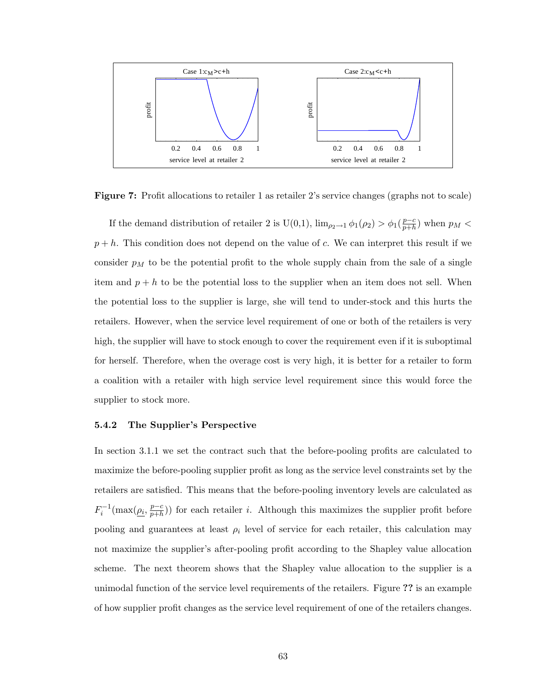

Figure 7: Profit allocations to retailer 1 as retailer 2's service changes (graphs not to scale)

If the demand distribution of retailer 2 is U(0,1),  $\lim_{\rho_2 \to 1} \phi_1(\rho_2) > \phi_1(\frac{p-c}{p+h})$  $\frac{p-c}{p+h}$ ) when  $p_M <$  $p + h$ . This condition does not depend on the value of c. We can interpret this result if we consider  $p_M$  to be the potential profit to the whole supply chain from the sale of a single item and  $p + h$  to be the potential loss to the supplier when an item does not sell. When the potential loss to the supplier is large, she will tend to under-stock and this hurts the retailers. However, when the service level requirement of one or both of the retailers is very high, the supplier will have to stock enough to cover the requirement even if it is suboptimal for herself. Therefore, when the overage cost is very high, it is better for a retailer to form a coalition with a retailer with high service level requirement since this would force the supplier to stock more.

#### 5.4.2 The Supplier's Perspective

In section 3.1.1 we set the contract such that the before-pooling profits are calculated to maximize the before-pooling supplier profit as long as the service level constraints set by the retailers are satisfied. This means that the before-pooling inventory levels are calculated as  $F_i^{-1}(\max(\underline{\rho_i}, \frac{p-c}{p+h}))$  $\frac{p-c}{p+h}$ ) for each retailer *i*. Although this maximizes the supplier profit before pooling and guarantees at least  $\rho_i$  level of service for each retailer, this calculation may not maximize the supplier's after-pooling profit according to the Shapley value allocation scheme. The next theorem shows that the Shapley value allocation to the supplier is a unimodal function of the service level requirements of the retailers. Figure ?? is an example of how supplier profit changes as the service level requirement of one of the retailers changes.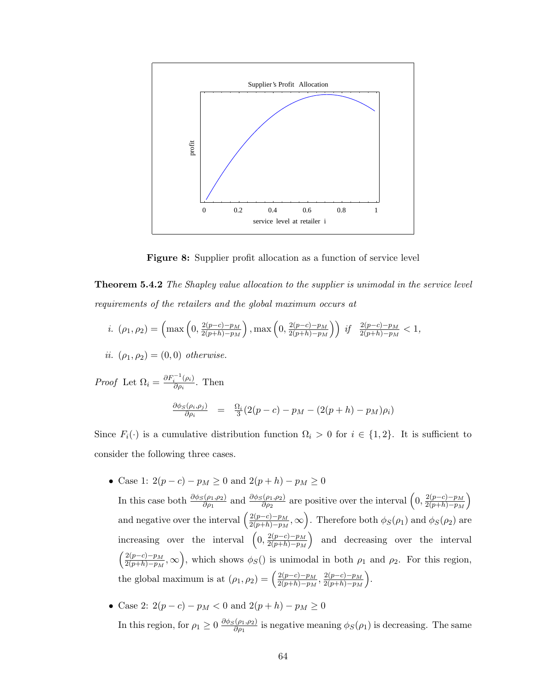

Figure 8: Supplier profit allocation as a function of service level

Theorem 5.4.2 The Shapley value allocation to the supplier is unimodal in the service level requirements of the retailers and the global maximum occurs at

*i.* 
$$
(\rho_1, \rho_2) = \left(\max\left(0, \frac{2(p-c)-p_M}{2(p+h)-p_M}\right), \max\left(0, \frac{2(p-c)-p_M}{2(p+h)-p_M}\right)\right)
$$
 *if*  $\frac{2(p-c)-p_M}{2(p+h)-p_M} < 1$ ,

*ii.* 
$$
(\rho_1, \rho_2) = (0, 0)
$$
 otherwise.

*Proof* Let  $\Omega_i = \frac{\partial F_i^{-1}(\rho_i)}{\partial \rho_i}$  $\frac{i}{\partial \rho_i}^{(\rho_i)}$ . Then  $\partial \phi_S(\rho_i,\rho_j)$  $\frac{\partial \phi_{i}(\rho_{i},\rho_{j})}{\partial \rho_{i}}$  =  $\frac{\Omega_{i}}{3}(2(p-c) - p_{M} - (2(p+h) - p_{M})\rho_{i})$ 

Since  $F_i(\cdot)$  is a cumulative distribution function  $\Omega_i > 0$  for  $i \in \{1,2\}$ . It is sufficient to consider the following three cases.

• Case 1:  $2(p - c) - p_M \ge 0$  and  $2(p + h) - p_M \ge 0$ 

In this case both  $\frac{\partial \phi_S(\rho_1, \rho_2)}{\partial \rho_1}$  and  $\frac{\partial \phi_S(\rho_1, \rho_2)}{\partial \rho_2}$  are positive over the interval  $\left(0, \frac{2(p-c)-p_M}{2(p+h)-p_M}\right)$  $\overline{2(p+h)-p_M}$ ´ and negative over the interval  $\left(\frac{2(p-c)-p_M}{2(p+1)-p_M}\right)$  $\frac{2(p-c)-p_M}{2(p+h)-p_M},\infty$  $\tilde{\cdot}$ . Therefore both  $\phi_S(\rho_1)$  and  $\phi_S(\rho_2)$  are increasing over the interval  $\left(0, \frac{2(p-c)-p_M}{2(p+h)-p_M}\right)$  $\left(\frac{2(p-c)-p_M}{2(p+h)-p_M}\right)$  and decreasing over the interval ´  $\frac{1}{\sqrt{2}}$  $2(p-c)-p_M$  $\frac{2(p-c)-p_M}{2(p+h)-p_M}$ ,  $\infty$ , which shows  $\phi_S$ () is unimodal in both  $\rho_1$  and  $\rho_2$ . For this region, the global maximum is at  $(\rho_1, \rho_2) = \left(\frac{2(p-c)-p_M}{2(p+h)-p_M}\right)$  $\frac{2(p-c)-p_M}{2(p+h)-p_M}, \frac{2(p-c)-p_M}{2(p+h)-p_M}$  $\frac{2(p-c)-p_M}{2(p+h)-p_M}$ .  $\ddot{\phantom{a}}$ 

\n- Case 2: 
$$
2(p-c) - p_M < 0
$$
 and  $2(p+h) - p_M \ge 0$
\n- In this region, for  $\rho_1 \ge 0$  and  $\frac{\partial \phi_S(\rho_1, \rho_2)}{\partial \rho_1}$  is negative meaning  $\phi_S(\rho_1)$  is decreasing. The same
\n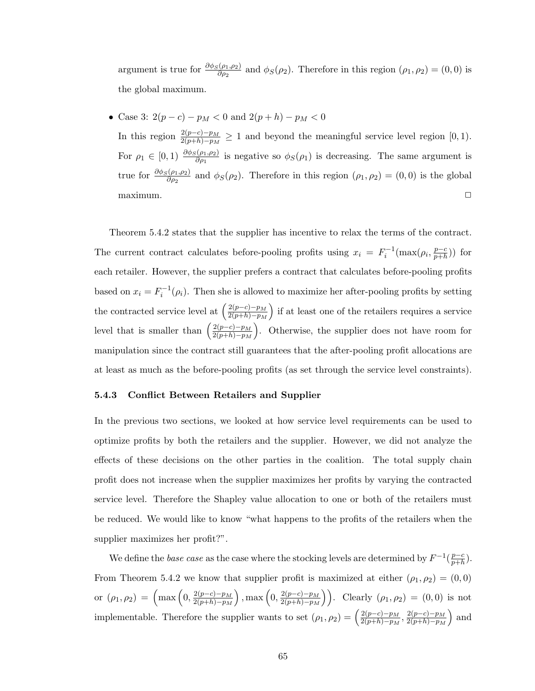argument is true for  $\frac{\partial \phi_S(\rho_1,\rho_2)}{\partial \rho_2}$  and  $\phi_S(\rho_2)$ . Therefore in this region  $(\rho_1,\rho_2)=(0,0)$  is the global maximum.

• Case 3:  $2(p-c) - p_M < 0$  and  $2(p+h) - p_M < 0$ 

In this region  $\frac{2(p-c)-p_M}{2(p+h)-p_M} \geq 1$  and beyond the meaningful service level region [0, 1). For  $\rho_1 \in [0,1]$   $\frac{\partial \phi_S(\rho_1,\rho_2)}{\partial \rho_1}$  is negative so  $\phi_S(\rho_1)$  is decreasing. The same argument is true for  $\frac{\partial \phi_S(\rho_1,\rho_2)}{\partial \rho_2}$  and  $\phi_S(\rho_2)$ . Therefore in this region  $(\rho_1,\rho_2)=(0,0)$  is the global  $maximum.$   $\Box$ 

Theorem 5.4.2 states that the supplier has incentive to relax the terms of the contract. The current contract calculates before-pooling profits using  $x_i = F_i^{-1}(\max(\rho_i, \frac{p-c_i}{p+h})$  $\frac{p-c}{p+h})$ ) for each retailer. However, the supplier prefers a contract that calculates before-pooling profits based on  $x_i = F_i^{-1}(\rho_i)$ . Then she is allowed to maximize her after-pooling profits by setting the contracted service level at  $\left(\frac{2(p-c)-p_M}{2(p+h)-p_M}\right)$  $\overline{2(p+h)-p_M}$ ´ if at least one of the retailers requires a service level that is smaller than  $\left(\frac{2(p-c)-p_M}{2(n+h)-p_M}\right)$  $\frac{2(p-c)-p_M}{2(p+h)-p_M}$ . Otherwise, the supplier does not have room for  $\bar{a}$ manipulation since the contract still guarantees that the after-pooling profit allocations are at least as much as the before-pooling profits (as set through the service level constraints).

### 5.4.3 Conflict Between Retailers and Supplier

In the previous two sections, we looked at how service level requirements can be used to optimize profits by both the retailers and the supplier. However, we did not analyze the effects of these decisions on the other parties in the coalition. The total supply chain profit does not increase when the supplier maximizes her profits by varying the contracted service level. Therefore the Shapley value allocation to one or both of the retailers must be reduced. We would like to know "what happens to the profits of the retailers when the supplier maximizes her profit?".

We define the *base case* as the case where the stocking levels are determined by  $F^{-1}(\frac{p-c}{n+h})$  $\frac{p-c}{p+h}$ ). From Theorem 5.4.2 we know that supplier profit is maximized at either  $(\rho_1, \rho_2) = (0, 0)$ or  $(\rho_1, \rho_2) = \left( \max \left( 0, \frac{2(p-c)-p_M}{2(p+h)-p_M} \right) \right)$  $2(p+h)-p_M$ ), max  $\left(0, \frac{2(p-c)-p_M}{2(p+b)-p_M}\right)$  $2(p+h)-p_M$  $\ddot{\mathbf{r}}$ . Clearly  $(\rho_1, \rho_2) = (0, 0)$  is not implementable. Therefore the supplier wants to set  $(\rho_1, \rho_2) = \left(\frac{2(p-c)-p_M}{2(n+h)-p_M}\right)^2$  $\frac{2(p-c)-p_M}{2(p+h)-p_M}, \frac{2(p-c)-p_M}{2(p+h)-p_M}$  $\frac{2(p-c)-p_M}{2(p+h)-p_M}$  and ´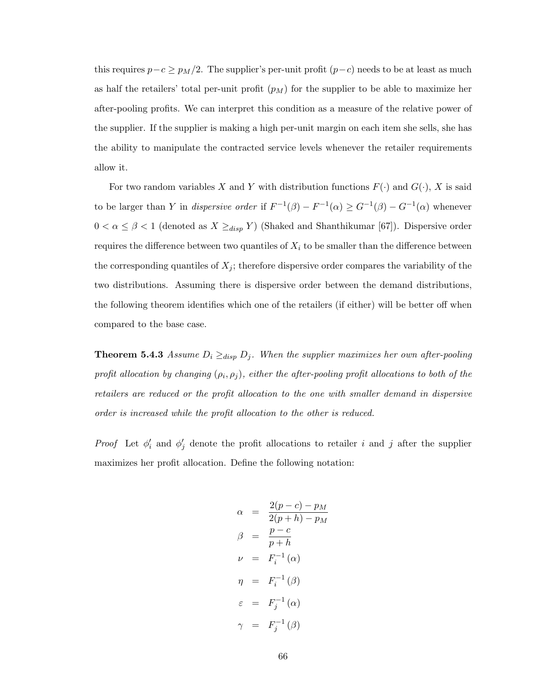this requires  $p-c \geq p_M/2$ . The supplier's per-unit profit  $(p-c)$  needs to be at least as much as half the retailers' total per-unit profit  $(p_M)$  for the supplier to be able to maximize her after-pooling profits. We can interpret this condition as a measure of the relative power of the supplier. If the supplier is making a high per-unit margin on each item she sells, she has the ability to manipulate the contracted service levels whenever the retailer requirements allow it.

For two random variables X and Y with distribution functions  $F(\cdot)$  and  $G(\cdot)$ , X is said to be larger than Y in *dispersive order* if  $F^{-1}(\beta) - F^{-1}(\alpha) \geq G^{-1}(\beta) - G^{-1}(\alpha)$  whenever  $0 < \alpha \leq \beta < 1$  (denoted as  $X \geq_{disp} Y$ ) (Shaked and Shanthikumar [67]). Dispersive order requires the difference between two quantiles of  $X_i$  to be smaller than the difference between the corresponding quantiles of  $X_j$ ; therefore dispersive order compares the variability of the two distributions. Assuming there is dispersive order between the demand distributions, the following theorem identifies which one of the retailers (if either) will be better off when compared to the base case.

**Theorem 5.4.3** Assume  $D_i \geq_{disp} D_j$ . When the supplier maximizes her own after-pooling profit allocation by changing  $(\rho_i, \rho_j)$ , either the after-pooling profit allocations to both of the retailers are reduced or the profit allocation to the one with smaller demand in dispersive order is increased while the profit allocation to the other is reduced.

*Proof* Let  $\phi'_i$  and  $\phi'_j$  denote the profit allocations to retailer i and j after the supplier maximizes her profit allocation. Define the following notation:

$$
\alpha = \frac{2(p-c) - p_M}{2(p+h) - p_M}
$$
  
\n
$$
\beta = \frac{p-c}{p+h}
$$
  
\n
$$
\nu = F_i^{-1}(\alpha)
$$
  
\n
$$
\eta = F_i^{-1}(\beta)
$$
  
\n
$$
\varepsilon = F_j^{-1}(\alpha)
$$
  
\n
$$
\gamma = F_j^{-1}(\beta)
$$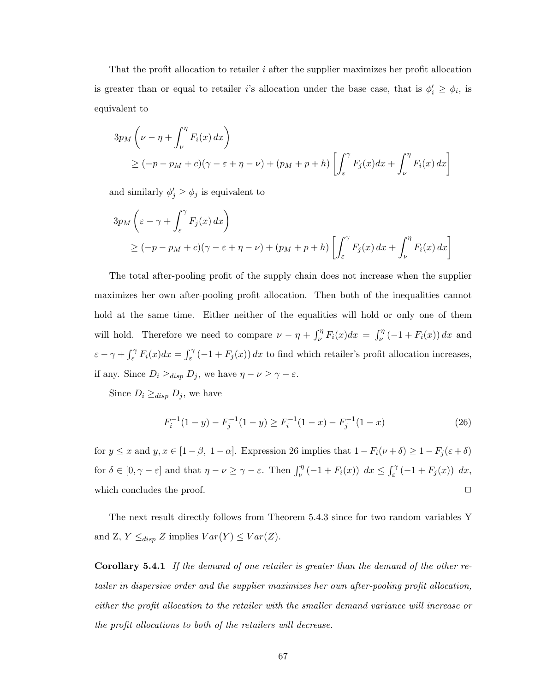That the profit allocation to retailer  $i$  after the supplier maximizes her profit allocation is greater than or equal to retailer i's allocation under the base case, that is  $\phi'_i \ge \phi_i$ , is equivalent to

$$
3p_M \left( \nu - \eta + \int_{\nu}^{\eta} F_i(x) dx \right)
$$
  
\n
$$
\geq (-p - p_M + c)(\gamma - \varepsilon + \eta - \nu) + (p_M + p + h) \left[ \int_{\varepsilon}^{\gamma} F_j(x) dx + \int_{\nu}^{\eta} F_i(x) dx \right]
$$

and similarly  $\phi'_j \ge \phi_j$  is equivalent to

$$
3p_M\left(\varepsilon - \gamma + \int_{\varepsilon}^{\gamma} F_j(x) dx\right)
$$
  
\n
$$
\geq (-p - p_M + c)(\gamma - \varepsilon + \eta - \nu) + (p_M + p + h) \left[ \int_{\varepsilon}^{\gamma} F_j(x) dx + \int_{\nu}^{\eta} F_i(x) dx \right]
$$

The total after-pooling profit of the supply chain does not increase when the supplier maximizes her own after-pooling profit allocation. Then both of the inequalities cannot hold at the same time. Either neither of the equalities will hold or only one of them will hold. Therefore we need to compare  $\nu - \eta + \int_{\nu}^{\eta}$  $\int_{\nu}^{\eta} F_i(x) dx = \int_{\nu}^{\eta}$  $\int_{\nu}^{\eta}$  (-1 +  $F_i(x)$ ) dx and  $\varepsilon - \gamma + \int_{\varepsilon}^{\gamma}$  $\int_{\varepsilon}^{\gamma} F_i(x) dx = \int_{\varepsilon}^{\gamma}$  $\int_{\varepsilon}^{\gamma}$  (-1 +  $F_j(x)$ ) dx to find which retailer's profit allocation increases, if any. Since  $D_i \geq_{disp} D_j$ , we have  $\eta - \nu \geq \gamma - \varepsilon$ .

Since  $D_i \geq_{disp} D_j$ , we have

$$
F_i^{-1}(1-y) - F_j^{-1}(1-y) \ge F_i^{-1}(1-x) - F_j^{-1}(1-x) \tag{26}
$$

for  $y \le x$  and  $y, x \in [1 - \beta, 1 - \alpha]$ . Expression 26 implies that  $1 - F_i(\nu + \delta) \ge 1 - F_j(\varepsilon + \delta)$ for  $\delta \in [0, \gamma - \varepsilon]$  and that  $\eta - \nu \geq \gamma - \varepsilon$ . Then  $\int_{\nu}^{\eta} (-1 + F_i(x)) dx \leq \int_{\varepsilon}^{\gamma}$  $\int_{\varepsilon}^{\gamma} \left( -1 + F_j(x) \right) \, dx,$ which concludes the proof.  $\Box$ 

The next result directly follows from Theorem 5.4.3 since for two random variables Y and Z,  $Y \leq_{disp} Z$  implies  $Var(Y) \leq Var(Z)$ .

Corollary 5.4.1 If the demand of one retailer is greater than the demand of the other retailer in dispersive order and the supplier maximizes her own after-pooling profit allocation, either the profit allocation to the retailer with the smaller demand variance will increase or the profit allocations to both of the retailers will decrease.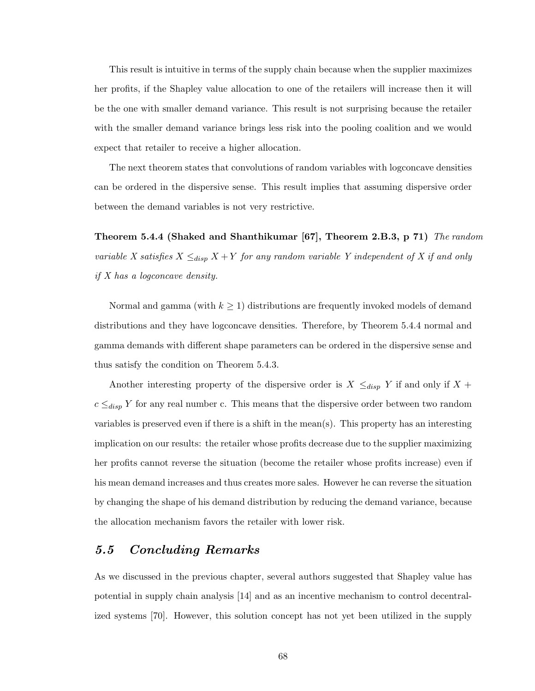This result is intuitive in terms of the supply chain because when the supplier maximizes her profits, if the Shapley value allocation to one of the retailers will increase then it will be the one with smaller demand variance. This result is not surprising because the retailer with the smaller demand variance brings less risk into the pooling coalition and we would expect that retailer to receive a higher allocation.

The next theorem states that convolutions of random variables with logconcave densities can be ordered in the dispersive sense. This result implies that assuming dispersive order between the demand variables is not very restrictive.

Theorem 5.4.4 (Shaked and Shanthikumar [67], Theorem 2.B.3, p 71) The random variable X satisfies  $X \leq_{disp} X + Y$  for any random variable Y independent of X if and only if X has a logconcave density.

Normal and gamma (with  $k \geq 1$ ) distributions are frequently invoked models of demand distributions and they have logconcave densities. Therefore, by Theorem 5.4.4 normal and gamma demands with different shape parameters can be ordered in the dispersive sense and thus satisfy the condition on Theorem 5.4.3.

Another interesting property of the dispersive order is  $X \leq_{disp} Y$  if and only if  $X +$  $c \leq_{disp} Y$  for any real number c. This means that the dispersive order between two random variables is preserved even if there is a shift in the mean(s). This property has an interesting implication on our results: the retailer whose profits decrease due to the supplier maximizing her profits cannot reverse the situation (become the retailer whose profits increase) even if his mean demand increases and thus creates more sales. However he can reverse the situation by changing the shape of his demand distribution by reducing the demand variance, because the allocation mechanism favors the retailer with lower risk.

## 5.5 Concluding Remarks

As we discussed in the previous chapter, several authors suggested that Shapley value has potential in supply chain analysis [14] and as an incentive mechanism to control decentralized systems [70]. However, this solution concept has not yet been utilized in the supply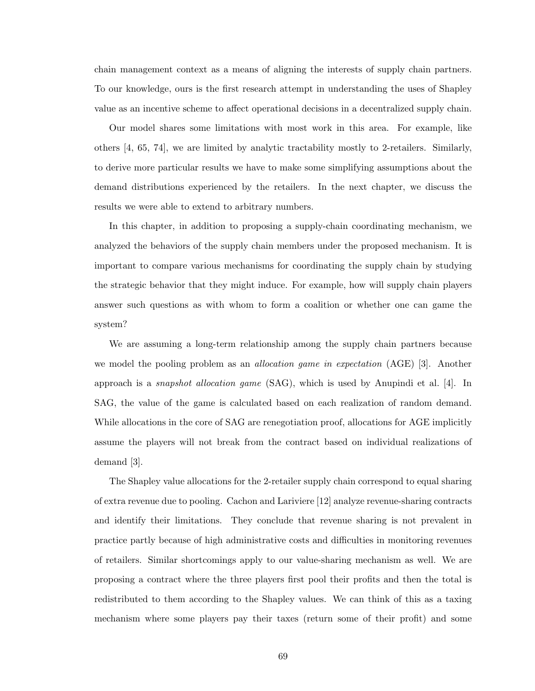chain management context as a means of aligning the interests of supply chain partners. To our knowledge, ours is the first research attempt in understanding the uses of Shapley value as an incentive scheme to affect operational decisions in a decentralized supply chain.

Our model shares some limitations with most work in this area. For example, like others [4, 65, 74], we are limited by analytic tractability mostly to 2-retailers. Similarly, to derive more particular results we have to make some simplifying assumptions about the demand distributions experienced by the retailers. In the next chapter, we discuss the results we were able to extend to arbitrary numbers.

In this chapter, in addition to proposing a supply-chain coordinating mechanism, we analyzed the behaviors of the supply chain members under the proposed mechanism. It is important to compare various mechanisms for coordinating the supply chain by studying the strategic behavior that they might induce. For example, how will supply chain players answer such questions as with whom to form a coalition or whether one can game the system?

We are assuming a long-term relationship among the supply chain partners because we model the pooling problem as an *allocation game in expectation* (AGE) [3]. Another approach is a *snapshot allocation game*  $(SAG)$ , which is used by Anupindi et al. [4]. In SAG, the value of the game is calculated based on each realization of random demand. While allocations in the core of SAG are renegotiation proof, allocations for AGE implicitly assume the players will not break from the contract based on individual realizations of demand [3].

The Shapley value allocations for the 2-retailer supply chain correspond to equal sharing of extra revenue due to pooling. Cachon and Lariviere [12] analyze revenue-sharing contracts and identify their limitations. They conclude that revenue sharing is not prevalent in practice partly because of high administrative costs and difficulties in monitoring revenues of retailers. Similar shortcomings apply to our value-sharing mechanism as well. We are proposing a contract where the three players first pool their profits and then the total is redistributed to them according to the Shapley values. We can think of this as a taxing mechanism where some players pay their taxes (return some of their profit) and some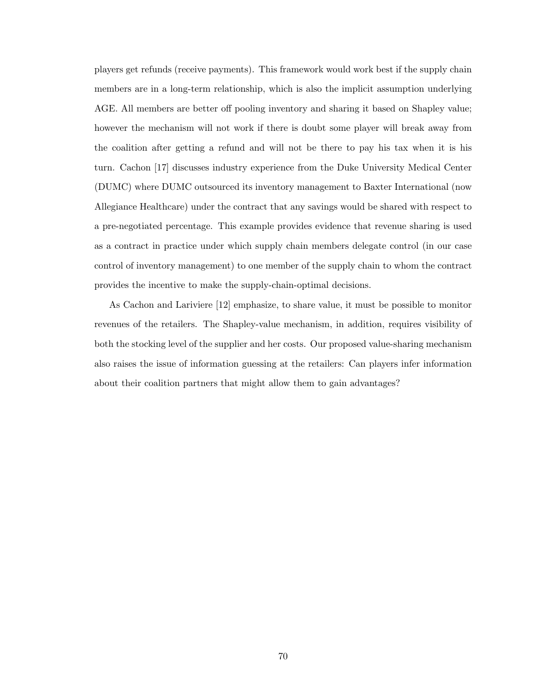players get refunds (receive payments). This framework would work best if the supply chain members are in a long-term relationship, which is also the implicit assumption underlying AGE. All members are better off pooling inventory and sharing it based on Shapley value; however the mechanism will not work if there is doubt some player will break away from the coalition after getting a refund and will not be there to pay his tax when it is his turn. Cachon [17] discusses industry experience from the Duke University Medical Center (DUMC) where DUMC outsourced its inventory management to Baxter International (now Allegiance Healthcare) under the contract that any savings would be shared with respect to a pre-negotiated percentage. This example provides evidence that revenue sharing is used as a contract in practice under which supply chain members delegate control (in our case control of inventory management) to one member of the supply chain to whom the contract provides the incentive to make the supply-chain-optimal decisions.

As Cachon and Lariviere [12] emphasize, to share value, it must be possible to monitor revenues of the retailers. The Shapley-value mechanism, in addition, requires visibility of both the stocking level of the supplier and her costs. Our proposed value-sharing mechanism also raises the issue of information guessing at the retailers: Can players infer information about their coalition partners that might allow them to gain advantages?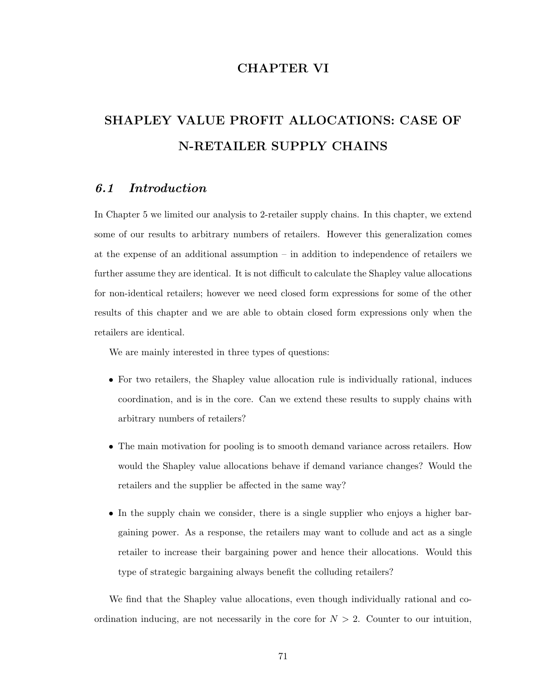# CHAPTER VI

# SHAPLEY VALUE PROFIT ALLOCATIONS: CASE OF N-RETAILER SUPPLY CHAINS

# 6.1 Introduction

In Chapter 5 we limited our analysis to 2-retailer supply chains. In this chapter, we extend some of our results to arbitrary numbers of retailers. However this generalization comes at the expense of an additional assumption – in addition to independence of retailers we further assume they are identical. It is not difficult to calculate the Shapley value allocations for non-identical retailers; however we need closed form expressions for some of the other results of this chapter and we are able to obtain closed form expressions only when the retailers are identical.

We are mainly interested in three types of questions:

- For two retailers, the Shapley value allocation rule is individually rational, induces coordination, and is in the core. Can we extend these results to supply chains with arbitrary numbers of retailers?
- The main motivation for pooling is to smooth demand variance across retailers. How would the Shapley value allocations behave if demand variance changes? Would the retailers and the supplier be affected in the same way?
- In the supply chain we consider, there is a single supplier who enjoys a higher bargaining power. As a response, the retailers may want to collude and act as a single retailer to increase their bargaining power and hence their allocations. Would this type of strategic bargaining always benefit the colluding retailers?

We find that the Shapley value allocations, even though individually rational and coordination inducing, are not necessarily in the core for  $N > 2$ . Counter to our intuition,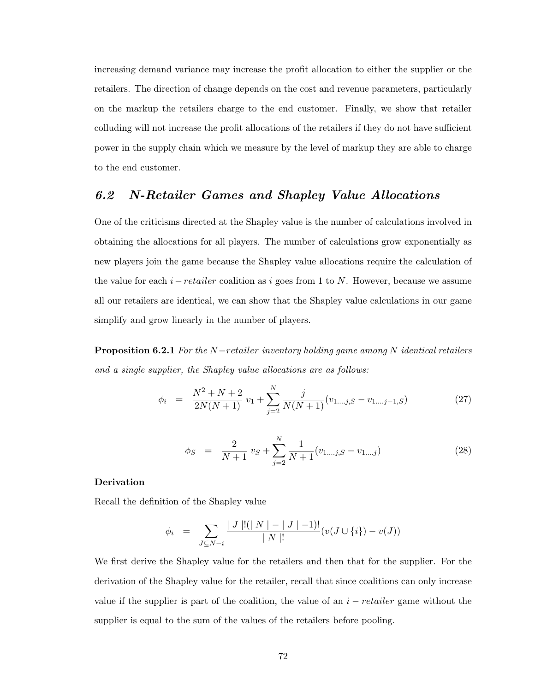increasing demand variance may increase the profit allocation to either the supplier or the retailers. The direction of change depends on the cost and revenue parameters, particularly on the markup the retailers charge to the end customer. Finally, we show that retailer colluding will not increase the profit allocations of the retailers if they do not have sufficient power in the supply chain which we measure by the level of markup they are able to charge to the end customer.

## 6.2 N-Retailer Games and Shapley Value Allocations

One of the criticisms directed at the Shapley value is the number of calculations involved in obtaining the allocations for all players. The number of calculations grow exponentially as new players join the game because the Shapley value allocations require the calculation of the value for each  $i-retailer$  coalition as i goes from 1 to N. However, because we assume all our retailers are identical, we can show that the Shapley value calculations in our game simplify and grow linearly in the number of players.

**Proposition 6.2.1** For the N-retailer inventory holding game among N identical retailers and a single supplier, the Shapley value allocations are as follows:

$$
\phi_i = \frac{N^2 + N + 2}{2N(N+1)} v_1 + \sum_{j=2}^N \frac{j}{N(N+1)} (v_{1\ldots j,S} - v_{1\ldots j-1,S})
$$
\n(27)

$$
\phi_S = \frac{2}{N+1} v_S + \sum_{j=2}^N \frac{1}{N+1} (v_{1\ldots j,S} - v_{1\ldots j})
$$
\n(28)

## Derivation

Recall the definition of the Shapley value

$$
\phi_i = \sum_{J \subseteq N-i} \frac{|J|!(|N|-|J|-1)!}{|N|!} (v(J \cup \{i\}) - v(J))
$$

We first derive the Shapley value for the retailers and then that for the supplier. For the derivation of the Shapley value for the retailer, recall that since coalitions can only increase value if the supplier is part of the coalition, the value of an  $i - retailer$  game without the supplier is equal to the sum of the values of the retailers before pooling.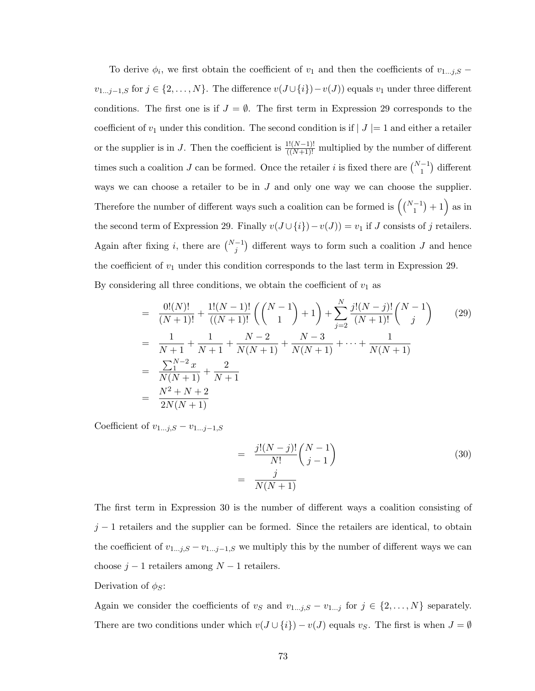To derive  $\phi_i$ , we first obtain the coefficient of  $v_1$  and then the coefficients of  $v_{1...j,S}$  –  $v_{1...j-1,S}$  for  $j \in \{2,...,N\}$ . The difference  $v(J \cup \{i\}) - v(J)$  equals  $v_1$  under three different conditions. The first one is if  $J = \emptyset$ . The first term in Expression 29 corresponds to the coefficient of  $v_1$  under this condition. The second condition is if  $|J|=1$  and either a retailer or the supplier is in J. Then the coefficient is  $\frac{1!(N-1)!}{((N+1)!}$  multiplied by the number of different times such a coalition J can be formed. Once the retailer i is fixed there are  $\binom{N-1}{1}$ ¢ different ways we can choose a retailer to be in  $J$  and only one way we can choose the supplier. Therefore the number of different ways such a coalition can be formed is  $\binom{N-1}{1}$  $+1$  as in the second term of Expression 29. Finally  $v(J \cup \{i\}) - v(J)) = v_1$  if J consists of j retailers. Again after fixing *i*, there are  $\binom{N-1}{j}$ ¢ different ways to form such a coalition  $J$  and hence the coefficient of  $v_1$  under this condition corresponds to the last term in Expression 29. By considering all three conditions, we obtain the coefficient of  $v_1$  as

$$
= \frac{0!(N)!}{(N+1)!} + \frac{1!(N-1)!}{((N+1)!} \left( \binom{N-1}{1} + 1 \right) + \sum_{j=2}^{N} \frac{j!(N-j)!}{(N+1)!} \binom{N-1}{j} \tag{29}
$$
  
\n
$$
= \frac{1}{N+1} + \frac{1}{N+1} + \frac{N-2}{N(N+1)} + \frac{N-3}{N(N+1)} + \dots + \frac{1}{N(N+1)}
$$
  
\n
$$
= \frac{\sum_{1}^{N-2} x}{N(N+1)} + \frac{2}{N+1}
$$
  
\n
$$
= \frac{N^2 + N + 2}{2N(N+1)}
$$

Coefficient of  $v_{1...j,S} - v_{1...j-1,S}$ 

$$
= \frac{j!(N-j)!}{N!} {N-1 \choose j-1}
$$
\n
$$
= \frac{j}{N(N+1)}
$$
\n(30)

The first term in Expression 30 is the number of different ways a coalition consisting of  $j-1$  retailers and the supplier can be formed. Since the retailers are identical, to obtain the coefficient of  $v_{1...j,S} - v_{1...j-1,S}$  we multiply this by the number of different ways we can choose  $j - 1$  retailers among  $N - 1$  retailers.

## Derivation of  $\phi_S$ :

Again we consider the coefficients of  $v_S$  and  $v_{1...j,S} - v_{1...j}$  for  $j \in \{2,...,N\}$  separately. There are two conditions under which  $v(J \cup \{i\}) - v(J)$  equals  $v_S$ . The first is when  $J = \emptyset$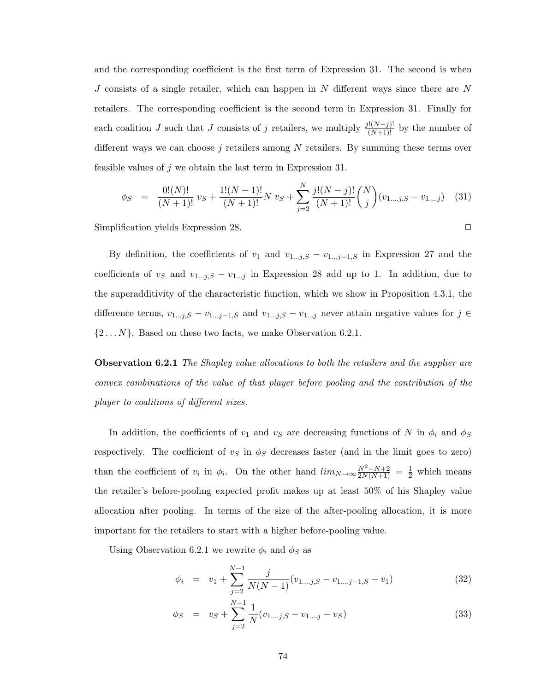and the corresponding coefficient is the first term of Expression 31. The second is when J consists of a single retailer, which can happen in N different ways since there are N retailers. The corresponding coefficient is the second term in Expression 31. Finally for each coalition J such that J consists of j retailers, we multiply  $\frac{j!(N-j)!}{(N+1)!}$  by the number of different ways we can choose  $j$  retailers among  $N$  retailers. By summing these terms over feasible values of  $j$  we obtain the last term in Expression 31.

$$
\phi_S = \frac{0!(N)!}{(N+1)!} v_S + \frac{1!(N-1)!}{(N+1)!} N v_S + \sum_{j=2}^N \frac{j!(N-j)!}{(N+1)!} \binom{N}{j} (v_{1,\dots j,S} - v_{1,\dots j}) \tag{31}
$$

Simplification yields Expression 28.

By definition, the coefficients of  $v_1$  and  $v_{1...j,S} - v_{1...j-1,S}$  in Expression 27 and the coefficients of  $v_s$  and  $v_{1...j,S} - v_{1...j}$  in Expression 28 add up to 1. In addition, due to the superadditivity of the characteristic function, which we show in Proposition 4.3.1, the difference terms,  $v_{1...j,S} - v_{1...j-1,S}$  and  $v_{1...j,S} - v_{1...j}$  never attain negative values for  $j \in$  $\{2...N\}$ . Based on these two facts, we make Observation 6.2.1.

Observation 6.2.1 The Shapley value allocations to both the retailers and the supplier are convex combinations of the value of that player before pooling and the contribution of the player to coalitions of different sizes.

In addition, the coefficients of  $v_1$  and  $v_S$  are decreasing functions of N in  $\phi_i$  and  $\phi_S$ respectively. The coefficient of  $v<sub>S</sub>$  in  $\phi<sub>S</sub>$  decreases faster (and in the limit goes to zero) than the coefficient of  $v_i$  in  $\phi_i$ . On the other hand  $\lim_{N\to\infty} \frac{N^2+N+2}{2N(N+1)} = \frac{1}{2}$  which means the retailer's before-pooling expected profit makes up at least 50% of his Shapley value allocation after pooling. In terms of the size of the after-pooling allocation, it is more important for the retailers to start with a higher before-pooling value.

Using Observation 6.2.1 we rewrite  $\phi_i$  and  $\phi_S$  as

$$
\phi_i = v_1 + \sum_{j=2}^{N-1} \frac{j}{N(N-1)} (v_{1\ldots j,S} - v_{1\ldots j-1,S} - v_1)
$$
\n(32)

$$
\phi_S = v_S + \sum_{j=2}^{N-1} \frac{1}{N} (v_{1\ldots j,S} - v_{1\ldots j} - v_S)
$$
\n(33)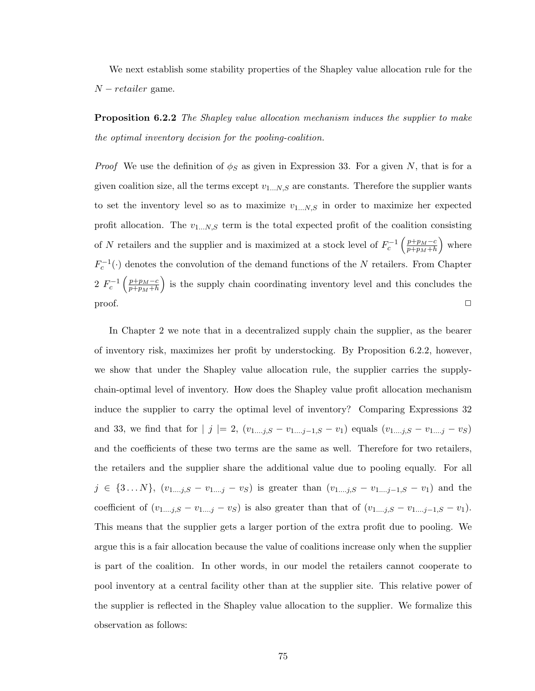We next establish some stability properties of the Shapley value allocation rule for the  $N - retailer$  game.

**Proposition 6.2.2** The Shapley value allocation mechanism induces the supplier to make the optimal inventory decision for the pooling-coalition.

*Proof* We use the definition of  $\phi_S$  as given in Expression 33. For a given N, that is for a given coalition size, all the terms except  $v_{1...N,S}$  are constants. Therefore the supplier wants to set the inventory level so as to maximize  $v_{1...N,S}$  in order to maximize her expected profit allocation. The  $v_{1...N,S}$  term is the total expected profit of the coalition consisting of N retailers and the supplier and is maximized at a stock level of  $F_c^{-1}$  $\int p+p_M-c$  $p+p_M+h$ ´ where  $F_c^{-1}(\cdot)$  denotes the convolution of the demand functions of the N retailers. From Chapter 2  $F_c^{-1} \left( \frac{p+p_M-c}{p+p_M+h} \right)$ ³ ´  $\frac{p+p_M-c}{p+p_M+h}$  is the supply chain coordinating inventory level and this concludes the  $\Box$ 

In Chapter 2 we note that in a decentralized supply chain the supplier, as the bearer of inventory risk, maximizes her profit by understocking. By Proposition 6.2.2, however, we show that under the Shapley value allocation rule, the supplier carries the supplychain-optimal level of inventory. How does the Shapley value profit allocation mechanism induce the supplier to carry the optimal level of inventory? Comparing Expressions 32 and 33, we find that for  $|j| = 2$ ,  $(v_{1...j,S} - v_{1...j-1,S} - v_1)$  equals  $(v_{1...j,S} - v_{1...j} - v_S)$ and the coefficients of these two terms are the same as well. Therefore for two retailers, the retailers and the supplier share the additional value due to pooling equally. For all  $j \in \{3...N\}, (v_{1...j,S} - v_{1...j} - v_S)$  is greater than  $(v_{1...j,S} - v_{1...j-1,S} - v_1)$  and the coefficient of  $(v_{1...j,S} - v_{1...j} - v_S)$  is also greater than that of  $(v_{1...j,S} - v_{1...j-1,S} - v_1)$ . This means that the supplier gets a larger portion of the extra profit due to pooling. We argue this is a fair allocation because the value of coalitions increase only when the supplier is part of the coalition. In other words, in our model the retailers cannot cooperate to pool inventory at a central facility other than at the supplier site. This relative power of the supplier is reflected in the Shapley value allocation to the supplier. We formalize this observation as follows: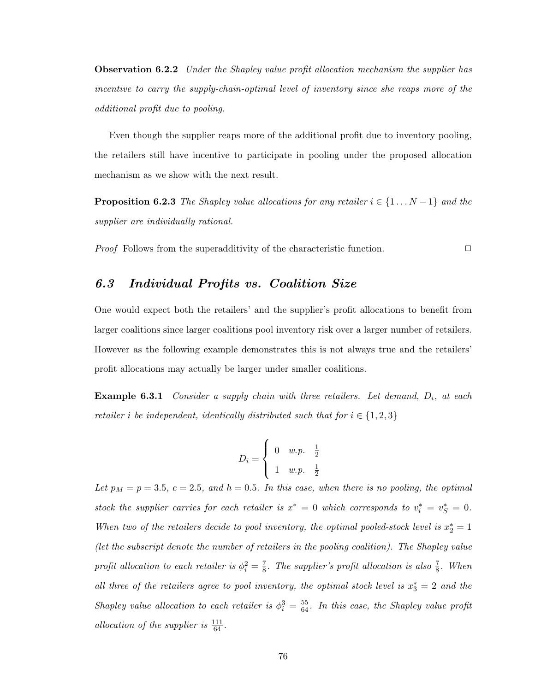**Observation 6.2.2** Under the Shapley value profit allocation mechanism the supplier has incentive to carry the supply-chain-optimal level of inventory since she reaps more of the additional profit due to pooling.

Even though the supplier reaps more of the additional profit due to inventory pooling, the retailers still have incentive to participate in pooling under the proposed allocation mechanism as we show with the next result.

**Proposition 6.2.3** The Shapley value allocations for any retailer  $i \in \{1 \dots N-1\}$  and the supplier are individually rational.

*Proof* Follows from the superadditivity of the characteristic function.  $\Box$ 

## 6.3 Individual Profits vs. Coalition Size

One would expect both the retailers' and the supplier's profit allocations to benefit from larger coalitions since larger coalitions pool inventory risk over a larger number of retailers. However as the following example demonstrates this is not always true and the retailers' profit allocations may actually be larger under smaller coalitions.

**Example 6.3.1** Consider a supply chain with three retailers. Let demand,  $D_i$ , at each retailer i be independent, identically distributed such that for  $i \in \{1,2,3\}$ 

$$
D_i = \begin{cases} 0 & w.p. & \frac{1}{2} \\ 1 & w.p. & \frac{1}{2} \end{cases}
$$

Let  $p_M = p = 3.5$ ,  $c = 2.5$ , and  $h = 0.5$ . In this case, when there is no pooling, the optimal stock the supplier carries for each retailer is  $x^* = 0$  which corresponds to  $v_i^* = v_S^* = 0$ . When two of the retailers decide to pool inventory, the optimal pooled-stock level is  $x_2^* = 1$ (let the subscript denote the number of retailers in the pooling coalition). The Shapley value profit allocation to each retailer is  $\phi_i^2 = \frac{7}{8}$  $\frac{7}{8}$ . The supplier's profit allocation is also  $\frac{7}{8}$ . When all three of the retailers agree to pool inventory, the optimal stock level is  $x_3^* = 2$  and the Shapley value allocation to each retailer is  $\phi_i^3 = \frac{55}{64}$ . In this case, the Shapley value profit allocation of the supplier is  $\frac{111}{64}$ .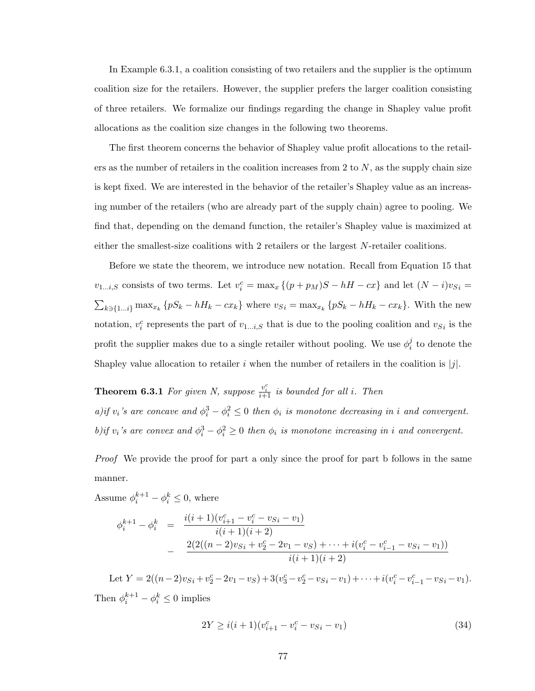In Example 6.3.1, a coalition consisting of two retailers and the supplier is the optimum coalition size for the retailers. However, the supplier prefers the larger coalition consisting of three retailers. We formalize our findings regarding the change in Shapley value profit allocations as the coalition size changes in the following two theorems.

The first theorem concerns the behavior of Shapley value profit allocations to the retailers as the number of retailers in the coalition increases from 2 to  $N$ , as the supply chain size is kept fixed. We are interested in the behavior of the retailer's Shapley value as an increasing number of the retailers (who are already part of the supply chain) agree to pooling. We find that, depending on the demand function, the retailer's Shapley value is maximized at either the smallest-size coalitions with 2 retailers or the largest N-retailer coalitions.

Before we state the theorem, we introduce new notation. Recall from Equation 15 that  $v_{1...i,S}$  consists of two terms. Let  $v_i^c = \max_x \{(p+p_M)S - hH - cx\}$  and let  $(N-i)v_{S_i} =$  $\overline{ }$  $k\in\{1...i\}$  max<sub>xk</sub>  $\{pS_k - hH_k - cx_k\}$  where  $v_{S_i} = \max_{x_k} \{pS_k - hH_k - cx_k\}$ . With the new notation,  $v_i^c$  represents the part of  $v_{1...i,S}$  that is due to the pooling coalition and  $v_{S_i}$  is the profit the supplier makes due to a single retailer without pooling. We use  $\phi_i^j$  $\frac{j}{i}$  to denote the Shapley value allocation to retailer i when the number of retailers in the coalition is  $|j|$ .

**Theorem 6.3.1** For given N, suppose  $\frac{v_i^c}{i+1}$  is bounded for all i. Then a)if  $v_i$ 's are concave and  $\phi_i^3 - \phi_i^2 \leq 0$  then  $\phi_i$  is monotone decreasing in i and convergent. b)if  $v_i$ 's are convex and  $\phi_i^3 - \phi_i^2 \ge 0$  then  $\phi_i$  is monotone increasing in i and convergent.

Proof We provide the proof for part a only since the proof for part b follows in the same manner.

Assume  $\phi_i^{k+1} - \phi_i^k \leq 0$ , where

$$
\phi_i^{k+1} - \phi_i^k = \frac{i(i+1)(v_{i+1}^c - v_i^c - v_{i-1})}{i(i+1)(i+2)}
$$
  
 
$$
- \frac{2(2((n-2)v_{Si} + v_2^c - 2v_1 - v_{i-1}) + \dots + i(v_i^c - v_{i-1}^c - v_{Si} - v_{i-1}))}{i(i+1)(i+2)}
$$

Let  $Y = 2((n-2)v_{S_i} + v_2^c - 2v_1 - v_S) + 3(v_3^c - v_2^c - v_{S_i} - v_1) + \cdots + i(v_i^c - v_{i-1}^c - v_{S_i} - v_1).$ Then  $\phi_i^{k+1} - \phi_i^k \leq 0$  implies

$$
2Y \ge i(i+1)(v_{i+1}^c - v_{i}^c - v_{Si} - v_1)
$$
\n(34)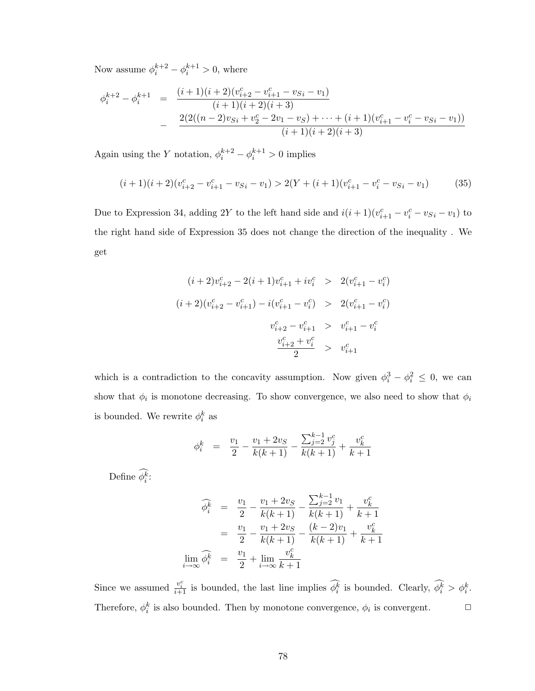Now assume  $\phi_i^{k+2} - \phi_i^{k+1} > 0$ , where

$$
\begin{array}{rcl}\n\phi_i^{k+2} - \phi_i^{k+1} & = & \frac{(i+1)(i+2)(v_{i+2}^c - v_{i+1}^c - v_{i-1}^c - v_{i-1}^c)}{(i+1)(i+2)(i+3)} \\
& & - \frac{2(2((n-2)v_{Si} + v_2^c - 2v_1 - v_{S}) + \dots + (i+1)(v_{i+1}^c - v_{i-1}^c - v_{i-1}^c)}{(i+1)(i+2)(i+3)}\n\end{array}
$$

Again using the Y notation,  $\phi_i^{k+2} - \phi_i^{k+1} > 0$  implies

$$
(i+1)(i+2)(v_{i+2}^c - v_{i+1}^c - v_{Si} - v_1) > 2(Y + (i+1)(v_{i+1}^c - v_i^c - v_{Si} - v_1)
$$
(35)

Due to Expression 34, adding 2Y to the left hand side and  $i(i+1)(v_{i+1}^c - v_i^c - v_{Si} - v_1)$  to the right hand side of Expression 35 does not change the direction of the inequality . We get

$$
(i+2)v_{i+2}^c - 2(i+1)v_{i+1}^c + iv_i^c > 2(v_{i+1}^c - v_i^c)
$$
  
\n
$$
(i+2)(v_{i+2}^c - v_{i+1}^c) - i(v_{i+1}^c - v_i^c) > 2(v_{i+1}^c - v_i^c)
$$
  
\n
$$
v_{i+2}^c - v_{i+1}^c > v_{i+1}^c - v_i^c
$$
  
\n
$$
\frac{v_{i+2}^c + v_i^c}{2} > v_{i+1}^c
$$

which is a contradiction to the concavity assumption. Now given  $\phi_i^3 - \phi_i^2 \leq 0$ , we can show that  $\phi_i$  is monotone decreasing. To show convergence, we also need to show that  $\phi_i$ is bounded. We rewrite  $\phi_i^k$  as

$$
\phi_i^k = \frac{v_1}{2} - \frac{v_1 + 2v_S}{k(k+1)} - \frac{\sum_{j=2}^{k-1} v_j^c}{k(k+1)} + \frac{v_k^c}{k+1}
$$

Define  $\widehat{\phi_i^k}$ :

$$
\widehat{\phi_i^k} = \frac{v_1}{2} - \frac{v_1 + 2v_S}{k(k+1)} - \frac{\sum_{j=2}^{k-1} v_1}{k(k+1)} + \frac{v_k^c}{k+1}
$$

$$
= \frac{v_1}{2} - \frac{v_1 + 2v_S}{k(k+1)} - \frac{(k-2)v_1}{k(k+1)} + \frac{v_k^c}{k+1}
$$

$$
\lim_{i \to \infty} \widehat{\phi_i^k} = \frac{v_1}{2} + \lim_{i \to \infty} \frac{v_k^c}{k+1}
$$

Since we assumed  $\frac{v_i^c}{i+1}$  is bounded, the last line implies  $\widehat{\phi_i^k}$  is bounded. Clearly,  $\widehat{\phi_i^k} > \phi_i^k$ . Therefore,  $\phi_i^k$  is also bounded. Then by monotone convergence,  $\phi_i$  is convergent.  $\Box$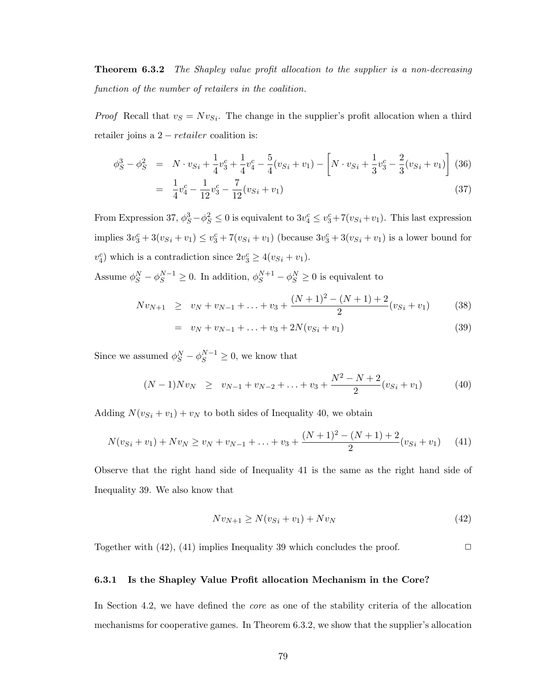**Theorem 6.3.2** The Shapley value profit allocation to the supplier is a non-decreasing function of the number of retailers in the coalition.

*Proof* Recall that  $v_s = Nv_{Si}$ . The change in the supplier's profit allocation when a third retailer joins a  $2 - retailer$  coalition is:

$$
\phi_S^3 - \phi_S^2 = N \cdot v_{Si} + \frac{1}{4} v_3^c + \frac{1}{4} v_4^c - \frac{5}{4} (v_{Si} + v_1) - \left[ N \cdot v_{Si} + \frac{1}{3} v_3^c - \frac{2}{3} (v_{Si} + v_1) \right] (36)
$$
  
= 
$$
\frac{1}{4} v_4^c - \frac{1}{12} v_3^c - \frac{7}{12} (v_{Si} + v_1)
$$
 (37)

From Expression 37,  $\phi_S^3 - \phi_S^2 \le 0$  is equivalent to  $3v_4^c \le v_3^c + 7(v_{Si} + v_1)$ . This last expression implies  $3v_3^c + 3(v_{Si} + v_1) \le v_3^c + 7(v_{Si} + v_1)$  (because  $3v_3^c + 3(v_{Si} + v_1)$  is a lower bound for  $v_4^c$ ) which is a contradiction since  $2v_3^c \geq 4(v_{Si} + v_1)$ .

Assume  $\phi_S^N - \phi_S^{N-1} \geq 0$ . In addition,  $\phi_S^{N+1} - \phi_S^N \geq 0$  is equivalent to

$$
Nv_{N+1} \ge v_N + v_{N-1} + \ldots + v_3 + \frac{(N+1)^2 - (N+1) + 2}{2}(v_{Si} + v_1) \tag{38}
$$

$$
= v_N + v_{N-1} + \ldots + v_3 + 2N(v_{Si} + v_1) \tag{39}
$$

Since we assumed  $\phi_S^N - \phi_S^{N-1} \geq 0$ , we know that

$$
(N-1)Nv_N \ge v_{N-1} + v_{N-2} + \ldots + v_3 + \frac{N^2 - N + 2}{2}(v_{Si} + v_1) \tag{40}
$$

Adding  $N(v_{Si} + v_1) + v_N$  to both sides of Inequality 40, we obtain

$$
N(v_{Si} + v_1) + Nv_N \ge v_N + v_{N-1} + \ldots + v_3 + \frac{(N+1)^2 - (N+1) + 2}{2}(v_{Si} + v_1)
$$
 (41)

Observe that the right hand side of Inequality 41 is the same as the right hand side of Inequality 39. We also know that

$$
Nv_{N+1} \ge N(v_{Si} + v_1) + Nv_N \tag{42}
$$

Together with  $(42)$ ,  $(41)$  implies Inequality 39 which concludes the proof.  $\Box$ 

## 6.3.1 Is the Shapley Value Profit allocation Mechanism in the Core?

In Section 4.2, we have defined the core as one of the stability criteria of the allocation mechanisms for cooperative games. In Theorem 6.3.2, we show that the supplier's allocation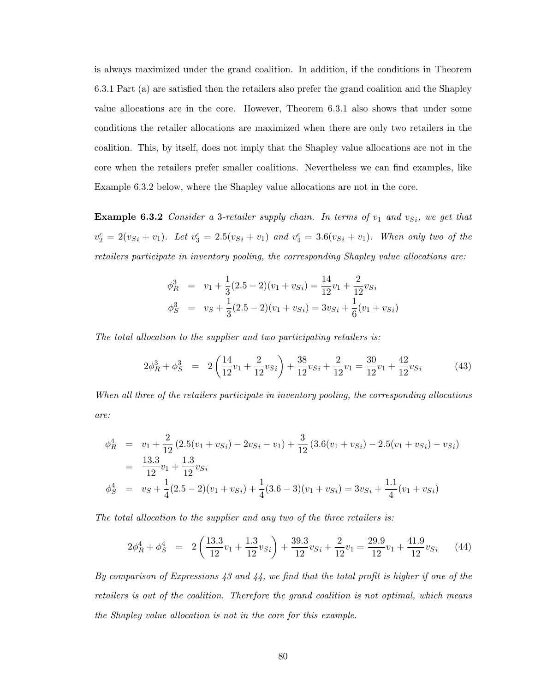is always maximized under the grand coalition. In addition, if the conditions in Theorem 6.3.1 Part (a) are satisfied then the retailers also prefer the grand coalition and the Shapley value allocations are in the core. However, Theorem 6.3.1 also shows that under some conditions the retailer allocations are maximized when there are only two retailers in the coalition. This, by itself, does not imply that the Shapley value allocations are not in the core when the retailers prefer smaller coalitions. Nevertheless we can find examples, like Example 6.3.2 below, where the Shapley value allocations are not in the core.

**Example 6.3.2** Consider a 3-retailer supply chain. In terms of  $v_1$  and  $v_{Si}$ , we get that  $v_2^c = 2(v_{S_i} + v_1)$ . Let  $v_3^c = 2.5(v_{S_i} + v_1)$  and  $v_4^c = 3.6(v_{S_i} + v_1)$ . When only two of the retailers participate in inventory pooling, the corresponding Shapley value allocations are:

$$
\begin{aligned}\n\phi_R^3 &= v_1 + \frac{1}{3}(2.5 - 2)(v_1 + v_{Si}) = \frac{14}{12}v_1 + \frac{2}{12}v_{Si} \\
\phi_S^3 &= v_S + \frac{1}{3}(2.5 - 2)(v_1 + v_{Si}) = 3v_{Si} + \frac{1}{6}(v_1 + v_{Si})\n\end{aligned}
$$

The total allocation to the supplier and two participating retailers is:

$$
2\phi_R^3 + \phi_S^3 = 2\left(\frac{14}{12}v_1 + \frac{2}{12}v_{Si}\right) + \frac{38}{12}v_{Si} + \frac{2}{12}v_1 = \frac{30}{12}v_1 + \frac{42}{12}v_{Si}
$$
(43)

When all three of the retailers participate in inventory pooling, the corresponding allocations are:

$$
\begin{aligned}\n\phi_R^4 &= v_1 + \frac{2}{12} \left( 2.5(v_1 + v_{Si}) - 2v_{Si} - v_1 \right) + \frac{3}{12} \left( 3.6(v_1 + v_{Si}) - 2.5(v_1 + v_{Si}) - v_{Si} \right) \\
&= \frac{13.3}{12} v_1 + \frac{1.3}{12} v_{Si} \\
\phi_S^4 &= v_S + \frac{1}{4} (2.5 - 2)(v_1 + v_{Si}) + \frac{1}{4} (3.6 - 3)(v_1 + v_{Si}) = 3v_{Si} + \frac{1.1}{4} (v_1 + v_{Si})\n\end{aligned}
$$

The total allocation to the supplier and any two of the three retailers is:

$$
2\phi_R^4 + \phi_S^4 = 2\left(\frac{13.3}{12}v_1 + \frac{1.3}{12}v_{Si}\right) + \frac{39.3}{12}v_{Si} + \frac{2}{12}v_1 = \frac{29.9}{12}v_1 + \frac{41.9}{12}v_{Si} \tag{44}
$$

By comparison of Expressions 43 and 44, we find that the total profit is higher if one of the retailers is out of the coalition. Therefore the grand coalition is not optimal, which means the Shapley value allocation is not in the core for this example.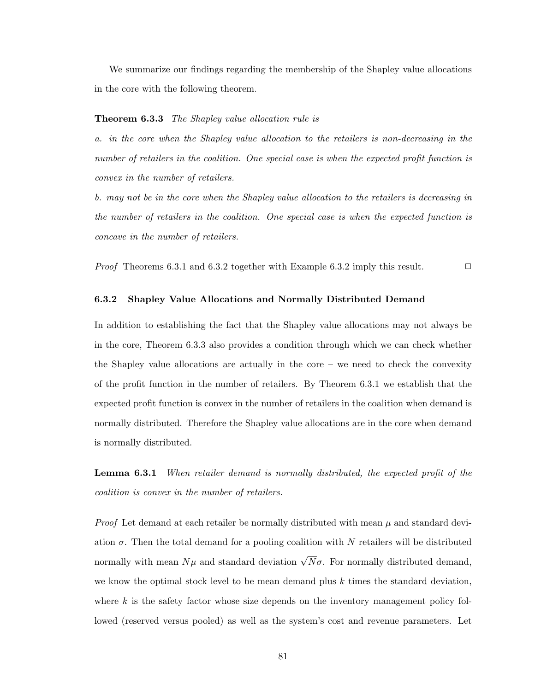We summarize our findings regarding the membership of the Shapley value allocations in the core with the following theorem.

#### **Theorem 6.3.3** The Shapley value allocation rule is

a. in the core when the Shapley value allocation to the retailers is non-decreasing in the number of retailers in the coalition. One special case is when the expected profit function is convex in the number of retailers.

b. may not be in the core when the Shapley value allocation to the retailers is decreasing in the number of retailers in the coalition. One special case is when the expected function is concave in the number of retailers.

*Proof* Theorems 6.3.1 and 6.3.2 together with Example 6.3.2 imply this result.  $\Box$ 

## 6.3.2 Shapley Value Allocations and Normally Distributed Demand

In addition to establishing the fact that the Shapley value allocations may not always be in the core, Theorem 6.3.3 also provides a condition through which we can check whether the Shapley value allocations are actually in the core – we need to check the convexity of the profit function in the number of retailers. By Theorem 6.3.1 we establish that the expected profit function is convex in the number of retailers in the coalition when demand is normally distributed. Therefore the Shapley value allocations are in the core when demand is normally distributed.

Lemma 6.3.1 When retailer demand is normally distributed, the expected profit of the coalition is convex in the number of retailers.

*Proof* Let demand at each retailer be normally distributed with mean  $\mu$  and standard deviation  $\sigma$ . Then the total demand for a pooling coalition with N retailers will be distributed normally with mean  $N\mu$  and standard deviation  $\sqrt{N}\sigma$ . For normally distributed demand, we know the optimal stock level to be mean demand plus  $k$  times the standard deviation, where  $k$  is the safety factor whose size depends on the inventory management policy followed (reserved versus pooled) as well as the system's cost and revenue parameters. Let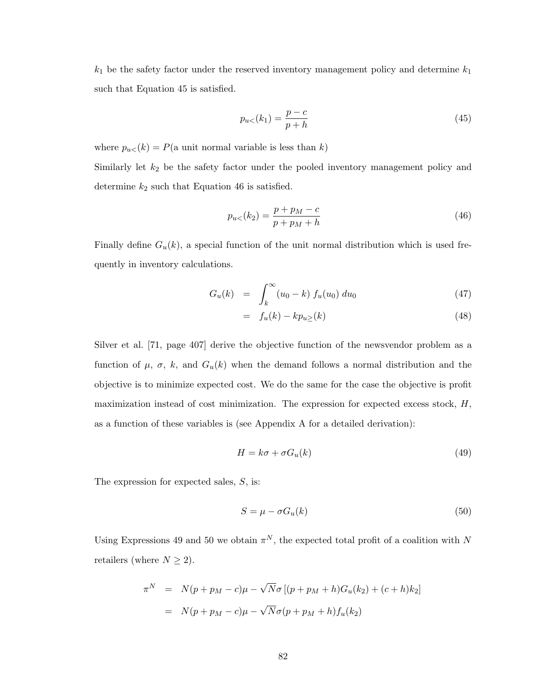$k_1$  be the safety factor under the reserved inventory management policy and determine  $k_1$ such that Equation 45 is satisfied.

$$
p_{u<}(k_1) = \frac{p-c}{p+h}
$$
\n(45)

where  $p_{u\lt}(k) = P(\text{a unit normal variable is less than } k)$ 

Similarly let  $k_2$  be the safety factor under the pooled inventory management policy and determine  $k_2$  such that Equation 46 is satisfied.

$$
p_{u<}(k_2) = \frac{p + p_M - c}{p + p_M + h}
$$
\n(46)

Finally define  $G_u(k)$ , a special function of the unit normal distribution which is used frequently in inventory calculations.

$$
G_u(k) = \int_k^{\infty} (u_0 - k) f_u(u_0) du_0 \tag{47}
$$

$$
= f_u(k) - kp_u \ge (k) \tag{48}
$$

Silver et al. [71, page 407] derive the objective function of the newsvendor problem as a function of  $\mu$ ,  $\sigma$ ,  $k$ , and  $G_u(k)$  when the demand follows a normal distribution and the objective is to minimize expected cost. We do the same for the case the objective is profit maximization instead of cost minimization. The expression for expected excess stock,  $H$ , as a function of these variables is (see Appendix A for a detailed derivation):

$$
H = k\sigma + \sigma G_u(k) \tag{49}
$$

The expression for expected sales, S, is:

$$
S = \mu - \sigma G_u(k) \tag{50}
$$

Using Expressions 49 and 50 we obtain  $\pi^N$ , the expected total profit of a coalition with N retailers (where  $N \geq 2$ ).

$$
\pi^N = N(p + p_M - c)\mu - \sqrt{N}\sigma [(p + p_M + h)G_u(k_2) + (c + h)k_2]
$$
  
=  $N(p + p_M - c)\mu - \sqrt{N}\sigma (p + p_M + h)f_u(k_2)$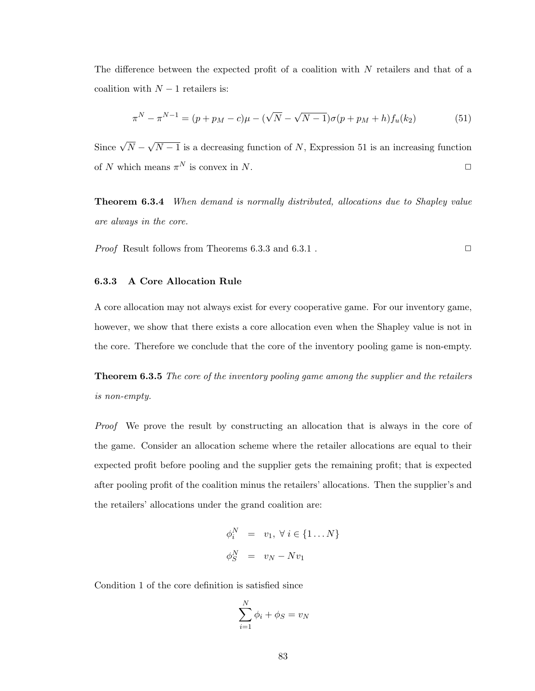The difference between the expected profit of a coalition with  $N$  retailers and that of a coalition with  $N-1$  retailers is:

$$
\pi^N - \pi^{N-1} = (p + p_M - c)\mu - (\sqrt{N} - \sqrt{N-1})\sigma(p + p_M + h)f_u(k_2)
$$
\n(51)

Since  $\sqrt{N}$  – √  $N-1$  is a decreasing function of N, Expression 51 is an increasing function of N which means  $\pi^N$  is convex in N.  $\square$ 

Theorem 6.3.4 When demand is normally distributed, allocations due to Shapley value are always in the core.

*Proof* Result follows from Theorems 6.3.3 and 6.3.1.

## 6.3.3 A Core Allocation Rule

A core allocation may not always exist for every cooperative game. For our inventory game, however, we show that there exists a core allocation even when the Shapley value is not in the core. Therefore we conclude that the core of the inventory pooling game is non-empty.

**Theorem 6.3.5** The core of the inventory pooling game among the supplier and the retailers is non-empty.

Proof We prove the result by constructing an allocation that is always in the core of the game. Consider an allocation scheme where the retailer allocations are equal to their expected profit before pooling and the supplier gets the remaining profit; that is expected after pooling profit of the coalition minus the retailers' allocations. Then the supplier's and the retailers' allocations under the grand coalition are:

$$
\begin{aligned}\n\phi_i^N &= v_1, \ \forall \ i \in \{1 \dots N\} \\
\phi_S^N &= v_N - Nv_1\n\end{aligned}
$$

Condition 1 of the core definition is satisfied since

$$
\sum_{i=1}^{N} \phi_i + \phi_S = v_N
$$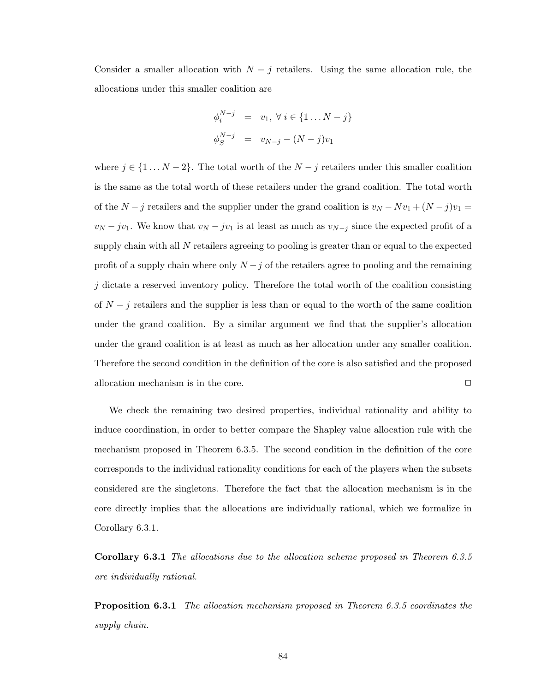Consider a smaller allocation with  $N - j$  retailers. Using the same allocation rule, the allocations under this smaller coalition are

$$
\begin{aligned}\n\phi_i^{N-j} &= v_1, \ \forall \ i \in \{1 \dots N - j\} \\
\phi_S^{N-j} &= v_{N-j} - (N - j)v_1\n\end{aligned}
$$

where  $j \in \{1 \dots N - 2\}$ . The total worth of the  $N - j$  retailers under this smaller coalition is the same as the total worth of these retailers under the grand coalition. The total worth of the  $N - j$  retailers and the supplier under the grand coalition is  $v_N - Nv_1 + (N - j)v_1 =$  $v_N - jv_1$ . We know that  $v_N - jv_1$  is at least as much as  $v_{N-j}$  since the expected profit of a supply chain with all  $N$  retailers agreeing to pooling is greater than or equal to the expected profit of a supply chain where only  $N - j$  of the retailers agree to pooling and the remaining  $j$  dictate a reserved inventory policy. Therefore the total worth of the coalition consisting of  $N - j$  retailers and the supplier is less than or equal to the worth of the same coalition under the grand coalition. By a similar argument we find that the supplier's allocation under the grand coalition is at least as much as her allocation under any smaller coalition. Therefore the second condition in the definition of the core is also satisfied and the proposed allocation mechanism is in the core.  $\Box$ 

We check the remaining two desired properties, individual rationality and ability to induce coordination, in order to better compare the Shapley value allocation rule with the mechanism proposed in Theorem 6.3.5. The second condition in the definition of the core corresponds to the individual rationality conditions for each of the players when the subsets considered are the singletons. Therefore the fact that the allocation mechanism is in the core directly implies that the allocations are individually rational, which we formalize in Corollary 6.3.1.

Corollary 6.3.1 The allocations due to the allocation scheme proposed in Theorem 6.3.5 are individually rational.

**Proposition 6.3.1** The allocation mechanism proposed in Theorem 6.3.5 coordinates the supply chain.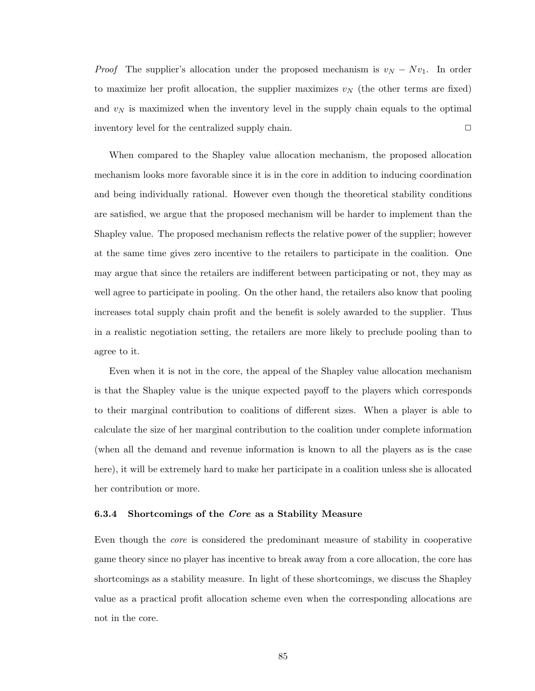*Proof* The supplier's allocation under the proposed mechanism is  $v_N - Nv_1$ . In order to maximize her profit allocation, the supplier maximizes  $v<sub>N</sub>$  (the other terms are fixed) and  $v_N$  is maximized when the inventory level in the supply chain equals to the optimal inventory level for the centralized supply chain.  $\Box$ 

When compared to the Shapley value allocation mechanism, the proposed allocation mechanism looks more favorable since it is in the core in addition to inducing coordination and being individually rational. However even though the theoretical stability conditions are satisfied, we argue that the proposed mechanism will be harder to implement than the Shapley value. The proposed mechanism reflects the relative power of the supplier; however at the same time gives zero incentive to the retailers to participate in the coalition. One may argue that since the retailers are indifferent between participating or not, they may as well agree to participate in pooling. On the other hand, the retailers also know that pooling increases total supply chain profit and the benefit is solely awarded to the supplier. Thus in a realistic negotiation setting, the retailers are more likely to preclude pooling than to agree to it.

Even when it is not in the core, the appeal of the Shapley value allocation mechanism is that the Shapley value is the unique expected payoff to the players which corresponds to their marginal contribution to coalitions of different sizes. When a player is able to calculate the size of her marginal contribution to the coalition under complete information (when all the demand and revenue information is known to all the players as is the case here), it will be extremely hard to make her participate in a coalition unless she is allocated her contribution or more.

### 6.3.4 Shortcomings of the Core as a Stability Measure

Even though the core is considered the predominant measure of stability in cooperative game theory since no player has incentive to break away from a core allocation, the core has shortcomings as a stability measure. In light of these shortcomings, we discuss the Shapley value as a practical profit allocation scheme even when the corresponding allocations are not in the core.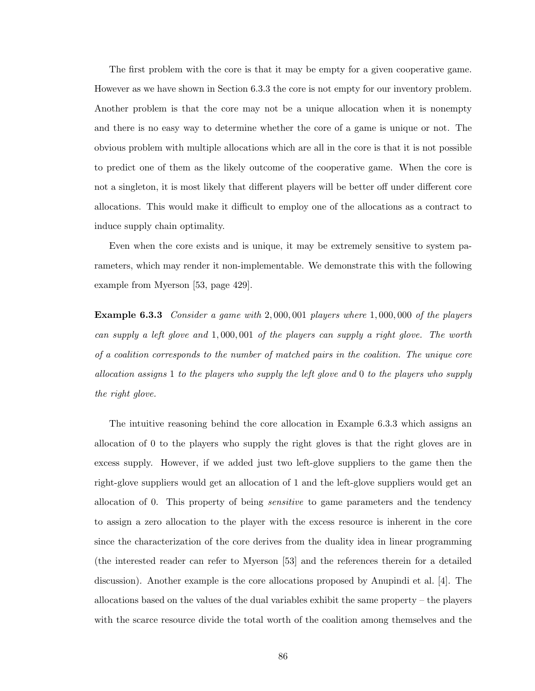The first problem with the core is that it may be empty for a given cooperative game. However as we have shown in Section 6.3.3 the core is not empty for our inventory problem. Another problem is that the core may not be a unique allocation when it is nonempty and there is no easy way to determine whether the core of a game is unique or not. The obvious problem with multiple allocations which are all in the core is that it is not possible to predict one of them as the likely outcome of the cooperative game. When the core is not a singleton, it is most likely that different players will be better off under different core allocations. This would make it difficult to employ one of the allocations as a contract to induce supply chain optimality.

Even when the core exists and is unique, it may be extremely sensitive to system parameters, which may render it non-implementable. We demonstrate this with the following example from Myerson [53, page 429].

Example 6.3.3 Consider a game with 2,000,001 players where 1,000,000 of the players can supply a left glove and 1, 000, 001 of the players can supply a right glove. The worth of a coalition corresponds to the number of matched pairs in the coalition. The unique core allocation assigns 1 to the players who supply the left glove and 0 to the players who supply the right glove.

The intuitive reasoning behind the core allocation in Example 6.3.3 which assigns an allocation of 0 to the players who supply the right gloves is that the right gloves are in excess supply. However, if we added just two left-glove suppliers to the game then the right-glove suppliers would get an allocation of 1 and the left-glove suppliers would get an allocation of 0. This property of being sensitive to game parameters and the tendency to assign a zero allocation to the player with the excess resource is inherent in the core since the characterization of the core derives from the duality idea in linear programming (the interested reader can refer to Myerson [53] and the references therein for a detailed discussion). Another example is the core allocations proposed by Anupindi et al. [4]. The allocations based on the values of the dual variables exhibit the same property – the players with the scarce resource divide the total worth of the coalition among themselves and the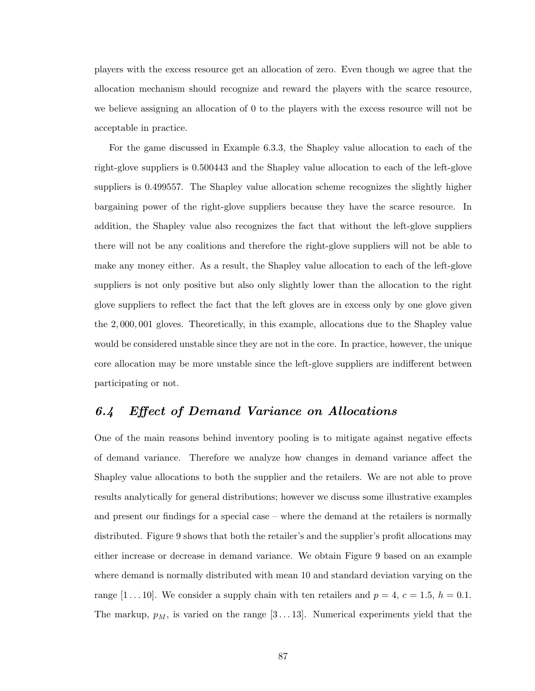players with the excess resource get an allocation of zero. Even though we agree that the allocation mechanism should recognize and reward the players with the scarce resource, we believe assigning an allocation of 0 to the players with the excess resource will not be acceptable in practice.

For the game discussed in Example 6.3.3, the Shapley value allocation to each of the right-glove suppliers is 0.500443 and the Shapley value allocation to each of the left-glove suppliers is 0.499557. The Shapley value allocation scheme recognizes the slightly higher bargaining power of the right-glove suppliers because they have the scarce resource. In addition, the Shapley value also recognizes the fact that without the left-glove suppliers there will not be any coalitions and therefore the right-glove suppliers will not be able to make any money either. As a result, the Shapley value allocation to each of the left-glove suppliers is not only positive but also only slightly lower than the allocation to the right glove suppliers to reflect the fact that the left gloves are in excess only by one glove given the 2, 000, 001 gloves. Theoretically, in this example, allocations due to the Shapley value would be considered unstable since they are not in the core. In practice, however, the unique core allocation may be more unstable since the left-glove suppliers are indifferent between participating or not.

# 6.4 Effect of Demand Variance on Allocations

One of the main reasons behind inventory pooling is to mitigate against negative effects of demand variance. Therefore we analyze how changes in demand variance affect the Shapley value allocations to both the supplier and the retailers. We are not able to prove results analytically for general distributions; however we discuss some illustrative examples and present our findings for a special case – where the demand at the retailers is normally distributed. Figure 9 shows that both the retailer's and the supplier's profit allocations may either increase or decrease in demand variance. We obtain Figure 9 based on an example where demand is normally distributed with mean 10 and standard deviation varying on the range  $[1 \dots 10]$ . We consider a supply chain with ten retailers and  $p = 4$ ,  $c = 1.5$ ,  $h = 0.1$ . The markup,  $p_M$ , is varied on the range [3...13]. Numerical experiments yield that the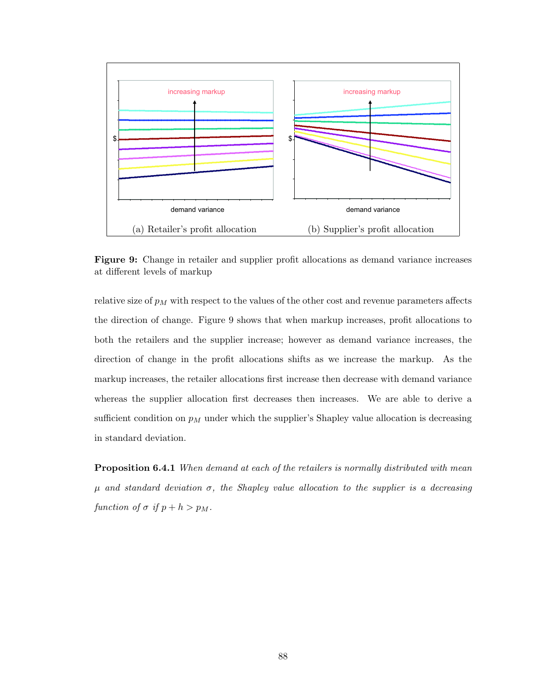

Figure 9: Change in retailer and supplier profit allocations as demand variance increases at different levels of markup

relative size of  $p_M$  with respect to the values of the other cost and revenue parameters affects the direction of change. Figure 9 shows that when markup increases, profit allocations to both the retailers and the supplier increase; however as demand variance increases, the direction of change in the profit allocations shifts as we increase the markup. As the markup increases, the retailer allocations first increase then decrease with demand variance whereas the supplier allocation first decreases then increases. We are able to derive a sufficient condition on  $p_M$  under which the supplier's Shapley value allocation is decreasing in standard deviation.

**Proposition 6.4.1** When demand at each of the retailers is normally distributed with mean  $\mu$  and standard deviation  $\sigma$ , the Shapley value allocation to the supplier is a decreasing function of  $\sigma$  if  $p + h > p_M$ .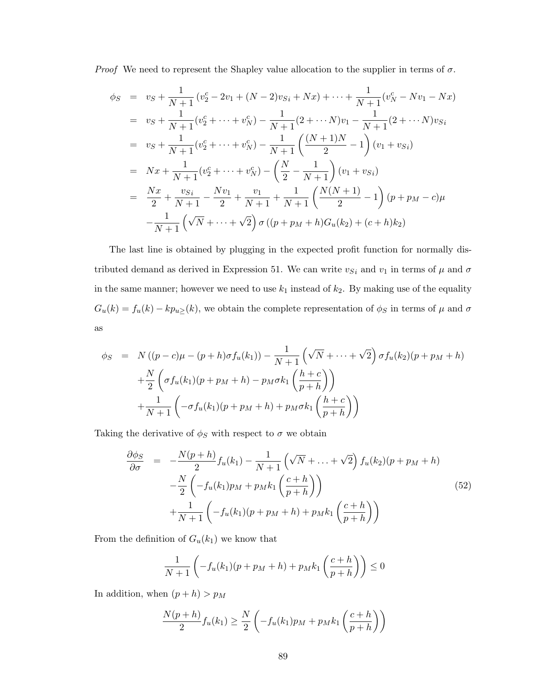*Proof* We need to represent the Shapley value allocation to the supplier in terms of  $\sigma$ .

$$
\phi_S = v_S + \frac{1}{N+1} (v_2^c - 2v_1 + (N-2)v_{Si} + Nx) + \dots + \frac{1}{N+1} (v_N^c - Nv_1 - Nx)
$$
  
\n
$$
= v_S + \frac{1}{N+1} (v_2^c + \dots + v_N^c) - \frac{1}{N+1} (2 + \dots N)v_1 - \frac{1}{N+1} (2 + \dots N)v_{Si}
$$
  
\n
$$
= v_S + \frac{1}{N+1} (v_2^c + \dots + v_N^c) - \frac{1}{N+1} \left( \frac{(N+1)N}{2} - 1 \right) (v_1 + v_{Si})
$$
  
\n
$$
= Nx + \frac{1}{N+1} (v_2^c + \dots + v_N^c) - \left( \frac{N}{2} - \frac{1}{N+1} \right) (v_1 + v_{Si})
$$
  
\n
$$
= \frac{Nx}{2} + \frac{v_{Si}}{N+1} - \frac{Nv_1}{2} + \frac{v_1}{N+1} + \frac{1}{N+1} \left( \frac{N(N+1)}{2} - 1 \right) (p + p_M - c)\mu
$$
  
\n
$$
- \frac{1}{N+1} \left( \sqrt{N} + \dots + \sqrt{2} \right) \sigma \left( (p + p_M + h)G_u(k_2) + (c + h)k_2 \right)
$$

The last line is obtained by plugging in the expected profit function for normally distributed demand as derived in Expression 51. We can write  $v_{Si}$  and  $v_1$  in terms of  $\mu$  and  $\sigma$ in the same manner; however we need to use  $k_1$  instead of  $k_2$ . By making use of the equality  $G_u(k) = f_u(k) - kp_{u}(k)$ , we obtain the complete representation of  $\phi_S$  in terms of  $\mu$  and  $\sigma$ as

$$
\phi_S = N((p-c)\mu - (p+h)\sigma f_u(k_1)) - \frac{1}{N+1} \left(\sqrt{N} + \dots + \sqrt{2}\right) \sigma f_u(k_2)(p+p_M+h) + \frac{N}{2} \left(\sigma f_u(k_1)(p+p_M+h) - p_M \sigma k_1\left(\frac{h+c}{p+h}\right)\right) + \frac{1}{N+1} \left(-\sigma f_u(k_1)(p+p_M+h) + p_M \sigma k_1\left(\frac{h+c}{p+h}\right)\right)
$$

Taking the derivative of  $\phi_S$  with respect to  $\sigma$  we obtain

$$
\frac{\partial \phi_S}{\partial \sigma} = -\frac{N(p+h)}{2} f_u(k_1) - \frac{1}{N+1} \left( \sqrt{N} + \dots + \sqrt{2} \right) f_u(k_2) (p + p_M + h) \n- \frac{N}{2} \left( -f_u(k_1) p_M + p_M k_1 \left( \frac{c+h}{p+h} \right) \right) \n+ \frac{1}{N+1} \left( -f_u(k_1) (p + p_M + h) + p_M k_1 \left( \frac{c+h}{p+h} \right) \right)
$$
\n(52)

From the definition of  $G_u(k_1)$  we know that

$$
\frac{1}{N+1}\left(-f_u(k_1)(p+p_M+h)+p_Mk_1\left(\frac{c+h}{p+h}\right)\right)\leq 0
$$

In addition, when  $(p+h) > p_M$ 

$$
\frac{N(p+h)}{2}f_u(k_1) \ge \frac{N}{2}\left(-f_u(k_1)p_M + p_Mk_1\left(\frac{c+h}{p+h}\right)\right)
$$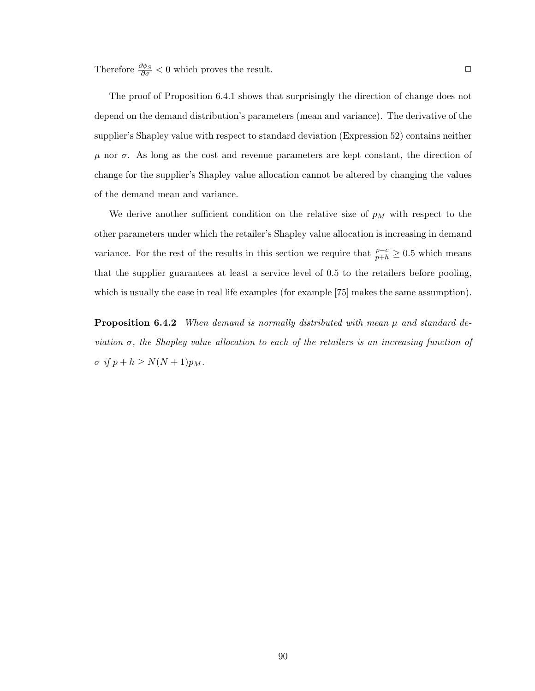Therefore  $\frac{\partial \phi_S}{\partial \sigma} < 0$  which proves the result.  $\Box$ 

The proof of Proposition 6.4.1 shows that surprisingly the direction of change does not depend on the demand distribution's parameters (mean and variance). The derivative of the supplier's Shapley value with respect to standard deviation (Expression 52) contains neither  $\mu$  nor  $\sigma$ . As long as the cost and revenue parameters are kept constant, the direction of change for the supplier's Shapley value allocation cannot be altered by changing the values of the demand mean and variance.

We derive another sufficient condition on the relative size of  $p<sub>M</sub>$  with respect to the other parameters under which the retailer's Shapley value allocation is increasing in demand variance. For the rest of the results in this section we require that  $\frac{p-c}{p+h} \geq 0.5$  which means that the supplier guarantees at least a service level of 0.5 to the retailers before pooling, which is usually the case in real life examples (for example [75] makes the same assumption).

**Proposition 6.4.2** When demand is normally distributed with mean  $\mu$  and standard deviation  $\sigma$ , the Shapley value allocation to each of the retailers is an increasing function of  $\sigma$  if  $p + h \geq N(N+1)p_M$ .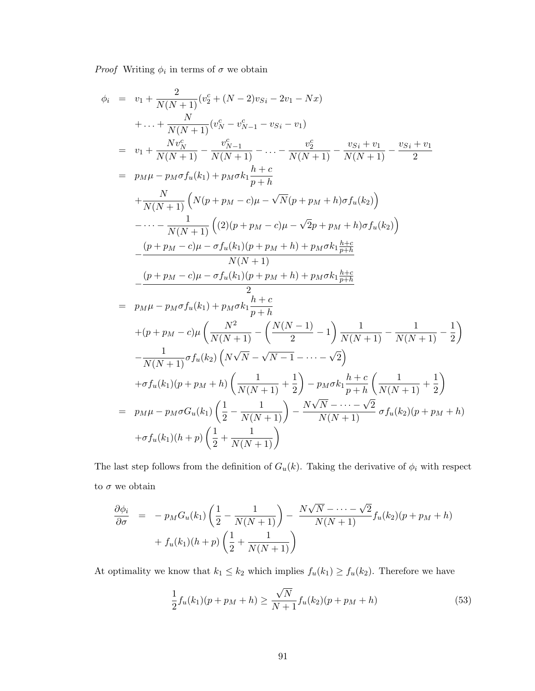*Proof* Writing  $\phi_i$  in terms of  $\sigma$  we obtain

$$
\phi_{i} = v_{1} + \frac{2}{N(N+1)}(v_{2}^{c} + (N-2)v_{Si} - 2v_{1} - Nx)
$$
\n
$$
+ \dots + \frac{N}{N(N+1)}(v_{N}^{c} - v_{N-1}^{c} - v_{Si} - v_{1})
$$
\n
$$
= v_{1} + \frac{Nv_{N}^{c}}{N(N+1)} - \frac{v_{N-1}^{c}}{N(N+1)} - \dots - \frac{v_{2}^{c}}{N(N+1)} - \frac{v_{Si} + v_{1}}{N(N+1)} - \frac{v_{Si} + v_{1}}{2}
$$
\n
$$
= p_{M}\mu - p_{M}\sigma f_{u}(k_{1}) + p_{M}\sigma k_{1}\frac{h+c}{p+h}
$$
\n
$$
+ \frac{N}{N(N+1)}\left(N(p + p_{M} - c)\mu - \sqrt{N}(p + p_{M} + h)\sigma f_{u}(k_{2})\right)
$$
\n
$$
- \dots - \frac{1}{N(N+1)}\left((2)(p + p_{M} - c)\mu - \sqrt{2}p + p_{M} + h)\sigma f_{u}(k_{2})\right)
$$
\n
$$
- \frac{(p + p_{M} - c)\mu - \sigma f_{u}(k_{1})(p + p_{M} + h) + p_{M}\sigma k_{1}\frac{h+c}{p+h}}{N(N+1)}
$$
\n
$$
- \frac{(p + p_{M} - c)\mu - \sigma f_{u}(k_{1})(p + p_{M} + h) + p_{M}\sigma k_{1}\frac{h+c}{p+h}}{2}
$$
\n
$$
= p_{M}\mu - p_{M}\sigma f_{u}(k_{1}) + p_{M}\sigma k_{1}\frac{h+c}{p+h}
$$
\n
$$
+ (p + p_{M} - c)\mu \left(\frac{N^{2}}{N(N+1)} - \left(\frac{N(N-1)}{2} - 1\right)\frac{1}{N(N+1)} - \frac{1}{N(N+1)} - \frac{1}{2}\right)
$$
\n
$$
- \frac{1}{N(N+1)}\sigma f_{u}(k_{2})\left(N\sqrt{N} - \sqrt{N-1} - \dots - \sqrt{2}\right)
$$
\n
$$
+ \sigma f_{u}(k_{1})(p + p_{M} + h)\left(\frac{1}{N(N+1)} + \frac{1}{2}\right) - p_{M}\sigma k_{1}\frac
$$

The last step follows from the definition of  $G_u(k)$ . Taking the derivative of  $\phi_i$  with respect to  $\sigma$  we obtain

$$
\frac{\partial \phi_i}{\partial \sigma} = -p_M G_u(k_1) \left( \frac{1}{2} - \frac{1}{N(N+1)} \right) - \frac{N\sqrt{N} - \dots - \sqrt{2}}{N(N+1)} f_u(k_2) (p + p_M + h) + f_u(k_1)(h + p) \left( \frac{1}{2} + \frac{1}{N(N+1)} \right)
$$

At optimality we know that  $k_1 \leq k_2$  which implies  $f_u(k_1) \geq f_u(k_2)$ . Therefore we have

$$
\frac{1}{2}f_u(k_1)(p + p_M + h) \ge \frac{\sqrt{N}}{N+1}f_u(k_2)(p + p_M + h)
$$
\n(53)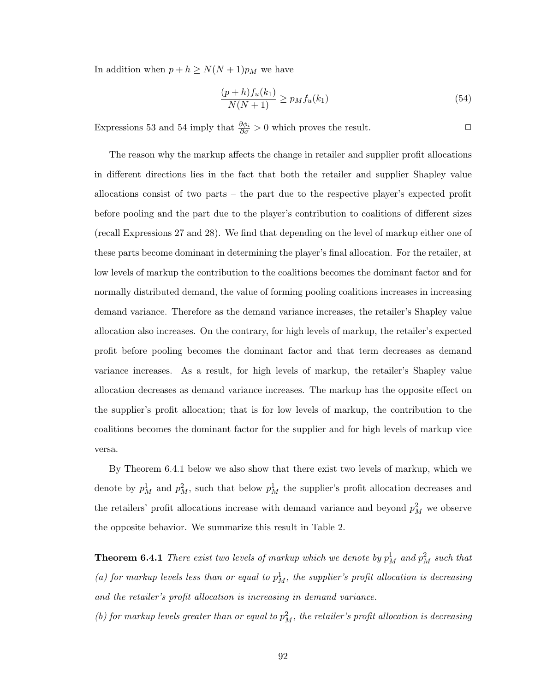In addition when  $p + h \ge N(N + 1)p_M$  we have

$$
\frac{(p+h)f_u(k_1)}{N(N+1)} \ge p_M f_u(k_1)
$$
\n(54)

Expressions 53 and 54 imply that  $\frac{\partial \phi_i}{\partial \sigma} > 0$  which proves the result.  $\Box$ 

The reason why the markup affects the change in retailer and supplier profit allocations in different directions lies in the fact that both the retailer and supplier Shapley value allocations consist of two parts – the part due to the respective player's expected profit before pooling and the part due to the player's contribution to coalitions of different sizes (recall Expressions 27 and 28). We find that depending on the level of markup either one of these parts become dominant in determining the player's final allocation. For the retailer, at low levels of markup the contribution to the coalitions becomes the dominant factor and for normally distributed demand, the value of forming pooling coalitions increases in increasing demand variance. Therefore as the demand variance increases, the retailer's Shapley value allocation also increases. On the contrary, for high levels of markup, the retailer's expected profit before pooling becomes the dominant factor and that term decreases as demand variance increases. As a result, for high levels of markup, the retailer's Shapley value allocation decreases as demand variance increases. The markup has the opposite effect on the supplier's profit allocation; that is for low levels of markup, the contribution to the coalitions becomes the dominant factor for the supplier and for high levels of markup vice versa.

By Theorem 6.4.1 below we also show that there exist two levels of markup, which we denote by  $p_M^1$  and  $p_M^2$ , such that below  $p_M^1$  the supplier's profit allocation decreases and the retailers' profit allocations increase with demand variance and beyond  $p_M^2$  we observe the opposite behavior. We summarize this result in Table 2.

**Theorem 6.4.1** There exist two levels of markup which we denote by  $p_M^1$  and  $p_M^2$  such that (a) for markup levels less than or equal to  $p_M^1$ , the supplier's profit allocation is decreasing and the retailer's profit allocation is increasing in demand variance.

(b) for markup levels greater than or equal to  $p_M^2$ , the retailer's profit allocation is decreasing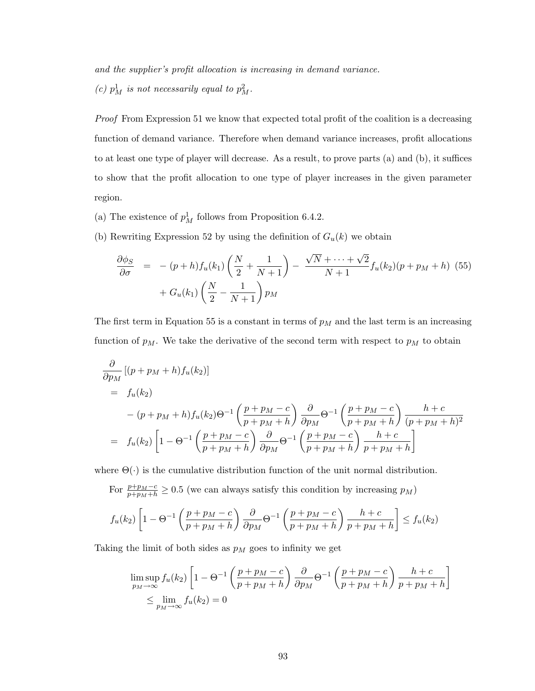and the supplier's profit allocation is increasing in demand variance. (c)  $p_M^1$  is not necessarily equal to  $p_M^2$ .

Proof From Expression 51 we know that expected total profit of the coalition is a decreasing function of demand variance. Therefore when demand variance increases, profit allocations to at least one type of player will decrease. As a result, to prove parts (a) and (b), it suffices to show that the profit allocation to one type of player increases in the given parameter region.

- (a) The existence of  $p_M^1$  follows from Proposition 6.4.2.
- (b) Rewriting Expression 52 by using the definition of  $G_u(k)$  we obtain

$$
\frac{\partial \phi_S}{\partial \sigma} = - (p + h) f_u(k_1) \left( \frac{N}{2} + \frac{1}{N+1} \right) - \frac{\sqrt{N} + \dots + \sqrt{2}}{N+1} f_u(k_2) (p + p_M + h) (55) + G_u(k_1) \left( \frac{N}{2} - \frac{1}{N+1} \right) p_M
$$

The first term in Equation 55 is a constant in terms of  $p<sub>M</sub>$  and the last term is an increasing function of  $p_M$ . We take the derivative of the second term with respect to  $p_M$  to obtain

$$
\frac{\partial}{\partial p_M} [(p + p_M + h) f_u(k_2)]
$$
\n
$$
= f_u(k_2)
$$
\n
$$
- (p + p_M + h) f_u(k_2) \Theta^{-1} \left( \frac{p + p_M - c}{p + p_M + h} \right) \frac{\partial}{\partial p_M} \Theta^{-1} \left( \frac{p + p_M - c}{p + p_M + h} \right) \frac{h + c}{(p + p_M + h)^2}
$$
\n
$$
= f_u(k_2) \left[ 1 - \Theta^{-1} \left( \frac{p + p_M - c}{p + p_M + h} \right) \frac{\partial}{\partial p_M} \Theta^{-1} \left( \frac{p + p_M - c}{p + p_M + h} \right) \frac{h + c}{p + p_M + h} \right]
$$

where  $\Theta(\cdot)$  is the cumulative distribution function of the unit normal distribution.

For  $\frac{p+p_M-c}{p+p_M+h} \geq 0.5$  (we can always satisfy this condition by increasing  $p_M$ )

$$
f_u(k_2)\left[1-\Theta^{-1}\left(\frac{p+p_M-c}{p+p_M+h}\right)\frac{\partial}{\partial p_M}\Theta^{-1}\left(\frac{p+p_M-c}{p+p_M+h}\right)\frac{h+c}{p+p_M+h}\right] \le f_u(k_2)
$$

Taking the limit of both sides as  $p_M$  goes to infinity we get

$$
\limsup_{p_M \to \infty} f_u(k_2) \left[ 1 - \Theta^{-1} \left( \frac{p + p_M - c}{p + p_M + h} \right) \frac{\partial}{\partial p_M} \Theta^{-1} \left( \frac{p + p_M - c}{p + p_M + h} \right) \frac{h + c}{p + p_M + h} \right] \le \lim_{p_M \to \infty} f_u(k_2) = 0
$$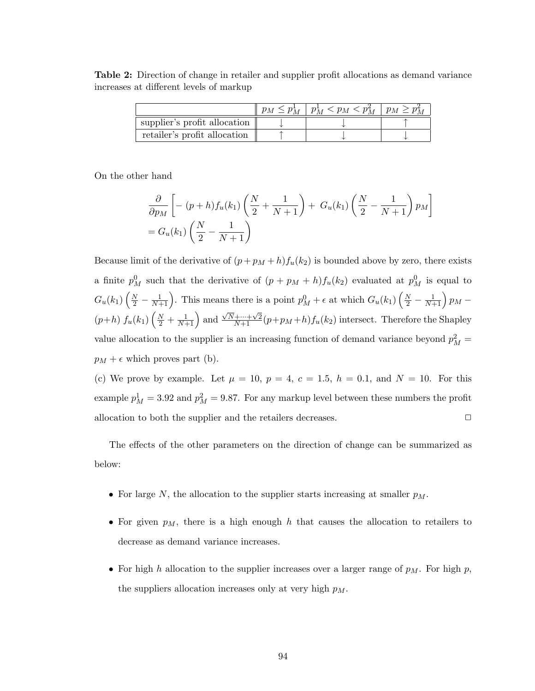Table 2: Direction of change in retailer and supplier profit allocations as demand variance increases at different levels of markup

|                              | $p_M \leq p_M^{\perp}$ | $ p_M^1 < p_M < p_M^2   p_M \geq p_M^2$ |  |
|------------------------------|------------------------|-----------------------------------------|--|
| supplier's profit allocation |                        |                                         |  |
| retailer's profit allocation |                        |                                         |  |

On the other hand

$$
\frac{\partial}{\partial p_M} \left[ - (p+h) f_u(k_1) \left( \frac{N}{2} + \frac{1}{N+1} \right) + G_u(k_1) \left( \frac{N}{2} - \frac{1}{N+1} \right) p_M \right]
$$
  
=  $G_u(k_1) \left( \frac{N}{2} - \frac{1}{N+1} \right)$ 

Because limit of the derivative of  $(p+p_M+h)f_u(k_2)$  is bounded above by zero, there exists a finite  $p_M^0$  such that the derivative of  $(p+p_M+h)f_u(k_2)$  evaluated at  $p_M^0$  is equal to  $G_u(k_1)$  $\left(\frac{N}{2} - \frac{1}{N+1}\right)$  $\left(\frac{1}{N+1}\right)$ . This means there is a point  $p_M^0 + \epsilon$  at which  $G_u(k_1)$  $\left(\frac{N}{2} - \frac{1}{N+1}\right)$  $\frac{1}{N+1}$ )  $p_M$  –  $(p+h) f_u(k_1) \left(\frac{N}{2} + \frac{1}{N+1}\right)$  $\frac{1}{2}$  $\frac{1}{N+1}$  and  $\sqrt{N}+\cdots+\sqrt{2}(p+p_M+h)f_u(k_2)$  intersect. Therefore the Shapley value allocation to the supplier is an increasing function of demand variance beyond  $p_M^2 =$  $p_M + \epsilon$  which proves part (b).

(c) We prove by example. Let  $\mu = 10$ ,  $p = 4$ ,  $c = 1.5$ ,  $h = 0.1$ , and  $N = 10$ . For this example  $p_M^1 = 3.92$  and  $p_M^2 = 9.87$ . For any markup level between these numbers the profit allocation to both the supplier and the retailers decreases.  $\Box$ 

The effects of the other parameters on the direction of change can be summarized as below:

- For large N, the allocation to the supplier starts increasing at smaller  $p_M$ .
- For given  $p_M$ , there is a high enough h that causes the allocation to retailers to decrease as demand variance increases.
- For high h allocation to the supplier increases over a larger range of  $p_M$ . For high p, the suppliers allocation increases only at very high  $p_M$ .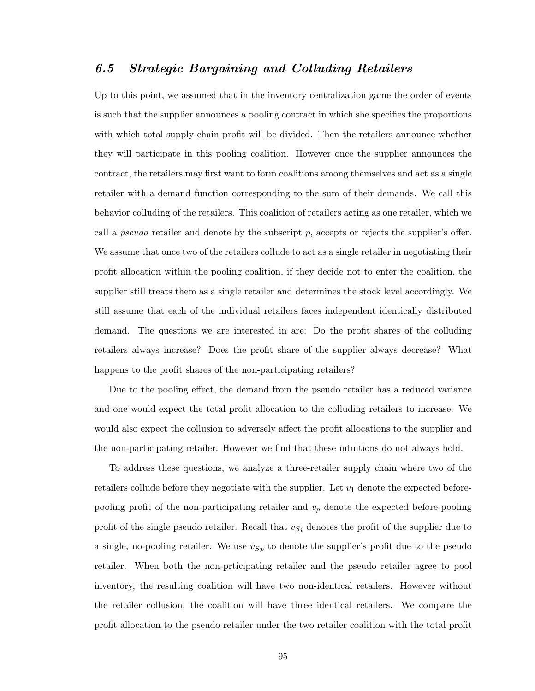# 6.5 Strategic Bargaining and Colluding Retailers

Up to this point, we assumed that in the inventory centralization game the order of events is such that the supplier announces a pooling contract in which she specifies the proportions with which total supply chain profit will be divided. Then the retailers announce whether they will participate in this pooling coalition. However once the supplier announces the contract, the retailers may first want to form coalitions among themselves and act as a single retailer with a demand function corresponding to the sum of their demands. We call this behavior colluding of the retailers. This coalition of retailers acting as one retailer, which we call a *pseudo* retailer and denote by the subscript  $p$ , accepts or rejects the supplier's offer. We assume that once two of the retailers collude to act as a single retailer in negotiating their profit allocation within the pooling coalition, if they decide not to enter the coalition, the supplier still treats them as a single retailer and determines the stock level accordingly. We still assume that each of the individual retailers faces independent identically distributed demand. The questions we are interested in are: Do the profit shares of the colluding retailers always increase? Does the profit share of the supplier always decrease? What happens to the profit shares of the non-participating retailers?

Due to the pooling effect, the demand from the pseudo retailer has a reduced variance and one would expect the total profit allocation to the colluding retailers to increase. We would also expect the collusion to adversely affect the profit allocations to the supplier and the non-participating retailer. However we find that these intuitions do not always hold.

To address these questions, we analyze a three-retailer supply chain where two of the retailers collude before they negotiate with the supplier. Let  $v_1$  denote the expected beforepooling profit of the non-participating retailer and  $v_p$  denote the expected before-pooling profit of the single pseudo retailer. Recall that  $v_{Si}$  denotes the profit of the supplier due to a single, no-pooling retailer. We use  $v_{Sp}$  to denote the supplier's profit due to the pseudo retailer. When both the non-prticipating retailer and the pseudo retailer agree to pool inventory, the resulting coalition will have two non-identical retailers. However without the retailer collusion, the coalition will have three identical retailers. We compare the profit allocation to the pseudo retailer under the two retailer coalition with the total profit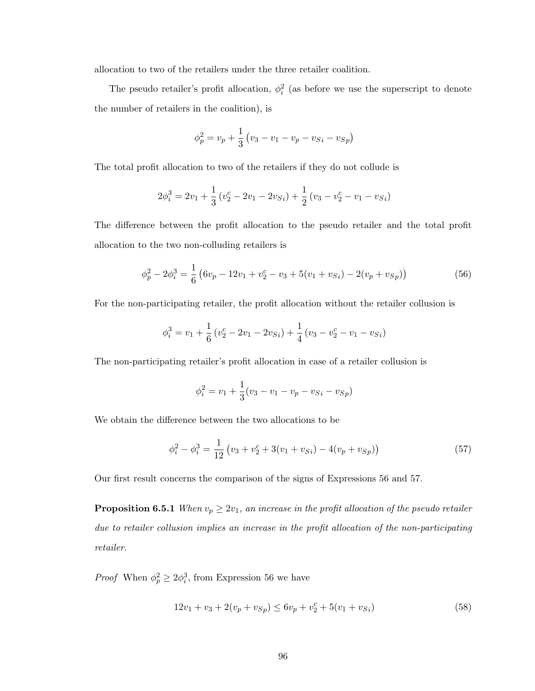allocation to two of the retailers under the three retailer coalition.

The pseudo retailer's profit allocation,  $\phi_i^2$  (as before we use the superscript to denote the number of retailers in the coalition), is

$$
\phi_p^2 = v_p + \frac{1}{3} (v_3 - v_1 - v_p - v_{Si} - v_{Sp})
$$

The total profit allocation to two of the retailers if they do not collude is

$$
2\phi_i^3 = 2v_1 + \frac{1}{3}(v_2^c - 2v_1 - 2v_{Si}) + \frac{1}{2}(v_3 - v_2^c - v_1 - v_{Si})
$$

The difference between the profit allocation to the pseudo retailer and the total profit allocation to the two non-colluding retailers is

$$
\phi_p^2 - 2\phi_i^3 = \frac{1}{6} \left( 6v_p - 12v_1 + v_2^c - v_3 + 5(v_1 + v_{Si}) - 2(v_p + v_{Sp}) \right) \tag{56}
$$

For the non-participating retailer, the profit allocation without the retailer collusion is

$$
\phi_i^3 = v_1 + \frac{1}{6} (v_2^c - 2v_1 - 2v_{Si}) + \frac{1}{4} (v_3 - v_2^c - v_1 - v_{Si})
$$

The non-participating retailer's profit allocation in case of a retailer collusion is

$$
\phi_i^2 = v_1 + \frac{1}{3}(v_3 - v_1 - v_p - v_{Si} - v_{Sp})
$$

We obtain the difference between the two allocations to be

$$
\phi_i^2 - \phi_i^3 = \frac{1}{12} \left( v_3 + v_2^c + 3(v_1 + v_{Si}) - 4(v_p + v_{Sp}) \right)
$$
\n(57)

Our first result concerns the comparison of the signs of Expressions 56 and 57.

**Proposition 6.5.1** When  $v_p \geq 2v_1$ , an increase in the profit allocation of the pseudo retailer due to retailer collusion implies an increase in the profit allocation of the non-participating retailer.

*Proof* When  $\phi_p^2 \geq 2\phi_i^3$ , from Expression 56 we have

$$
12v_1 + v_3 + 2(v_p + v_{Sp}) \le 6v_p + v_2^c + 5(v_1 + v_{Si})
$$
\n
$$
(58)
$$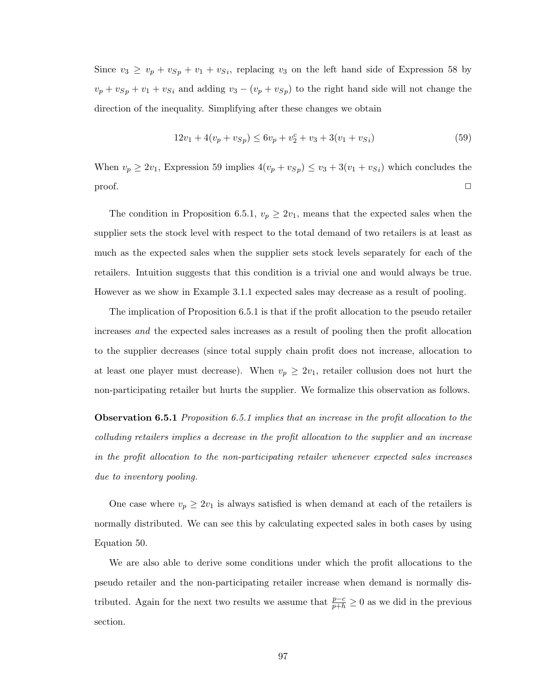Since  $v_3 \ge v_p + v_{Sp} + v_1 + v_{Si}$ , replacing  $v_3$  on the left hand side of Expression 58 by  $v_p + v_{Sp} + v_1 + v_{Si}$  and adding  $v_3 - (v_p + v_{Sp})$  to the right hand side will not change the direction of the inequality. Simplifying after these changes we obtain

$$
12v_1 + 4(v_p + v_{Sp}) \le 6v_p + v_2^c + v_3 + 3(v_1 + v_{Si})
$$
\n
$$
(59)
$$

When  $v_p \ge 2v_1$ , Expression 59 implies  $4(v_p + v_{Sp}) \le v_3 + 3(v_1 + v_{Si})$  which concludes the  $\Box$ 

The condition in Proposition 6.5.1,  $v_p \geq 2v_1$ , means that the expected sales when the supplier sets the stock level with respect to the total demand of two retailers is at least as much as the expected sales when the supplier sets stock levels separately for each of the retailers. Intuition suggests that this condition is a trivial one and would always be true. However as we show in Example 3.1.1 expected sales may decrease as a result of pooling.

The implication of Proposition 6.5.1 is that if the profit allocation to the pseudo retailer increases and the expected sales increases as a result of pooling then the profit allocation to the supplier decreases (since total supply chain profit does not increase, allocation to at least one player must decrease). When  $v_p \geq 2v_1$ , retailer collusion does not hurt the non-participating retailer but hurts the supplier. We formalize this observation as follows.

**Observation 6.5.1** Proposition 6.5.1 implies that an increase in the profit allocation to the colluding retailers implies a decrease in the profit allocation to the supplier and an increase in the profit allocation to the non-participating retailer whenever expected sales increases due to inventory pooling.

One case where  $v_p \geq 2v_1$  is always satisfied is when demand at each of the retailers is normally distributed. We can see this by calculating expected sales in both cases by using Equation 50.

We are also able to derive some conditions under which the profit allocations to the pseudo retailer and the non-participating retailer increase when demand is normally distributed. Again for the next two results we assume that  $\frac{p-c}{p+h} \geq 0$  as we did in the previous section.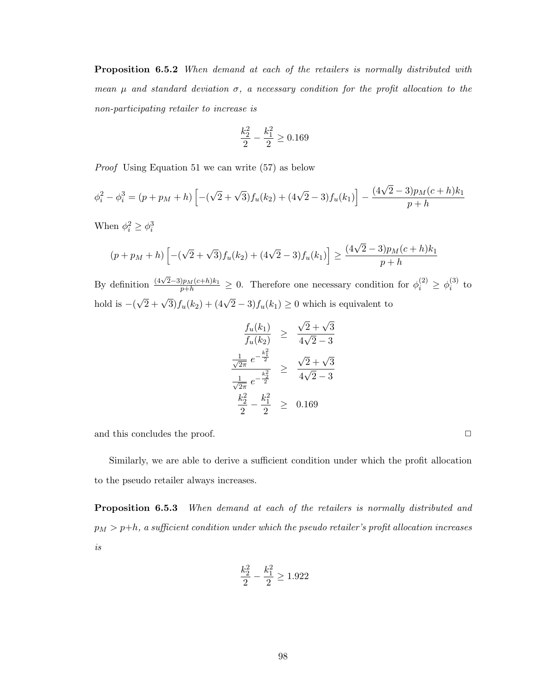Proposition 6.5.2 When demand at each of the retailers is normally distributed with mean  $\mu$  and standard deviation  $\sigma$ , a necessary condition for the profit allocation to the non-participating retailer to increase is

$$
\frac{k_2^2}{2} - \frac{k_1^2}{2} \ge 0.169
$$

Proof Using Equation 51 we can write (57) as below

$$
\phi_i^2 - \phi_i^3 = (p + p_M + h) \left[ -(\sqrt{2} + \sqrt{3}) f_u(k_2) + (4\sqrt{2} - 3) f_u(k_1) \right] - \frac{(4\sqrt{2} - 3)p_M(c+h)k_1}{p+h}
$$

When  $\phi_i^2 \geq \phi_i^3$ 

$$
(p + pM + h) \left[ -(\sqrt{2} + \sqrt{3}) f_u(k_2) + (4\sqrt{2} - 3) f_u(k_1) \right] \ge \frac{(4\sqrt{2} - 3)p_M(c+h)k_1}{p+h}
$$

By definition  $\frac{(4\sqrt{2}-3)p_M(c+h)k_1}{p+h} \geq 0$ . Therefore one necessary condition for  $\phi_i^{(2)} \geq \phi_i^{(3)}$  $i^{(3)}$  to hold is  $-($  $\sqrt{2} + \sqrt{3} f_u(k_2) + (4\sqrt{2} - 3) f_u(k_1) \ge 0$  which is equivalent to

$$
\frac{f_u(k_1)}{f_u(k_2)} \ge \frac{\sqrt{2} + \sqrt{3}}{4\sqrt{2} - 3}
$$
\n
$$
\frac{\frac{1}{\sqrt{2\pi}} e^{-\frac{k_1^2}{2}}}{\frac{1}{\sqrt{2\pi}} e^{-\frac{k_2^2}{2}}} \ge \frac{\sqrt{2} + \sqrt{3}}{4\sqrt{2} - 3}
$$
\n
$$
\frac{k_2^2}{2} - \frac{k_1^2}{2} \ge 0.169
$$

and this concludes the proof.  $\Box$ 

Similarly, we are able to derive a sufficient condition under which the profit allocation to the pseudo retailer always increases.

Proposition 6.5.3 When demand at each of the retailers is normally distributed and  $p_M > p+h$ , a sufficient condition under which the pseudo retailer's profit allocation increases is

$$
\frac{k_2^2}{2} - \frac{k_1^2}{2} \ge 1.922
$$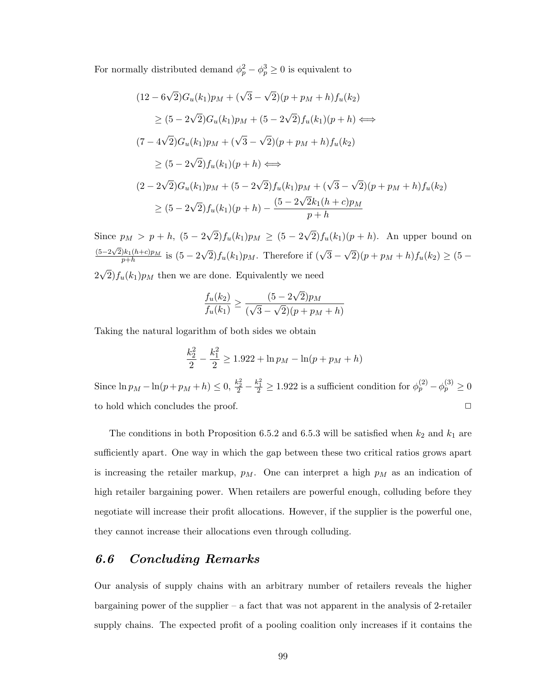For normally distributed demand  $\phi_p^2 - \phi_p^3 \geq 0$  is equivalent to

$$
(12 - 6\sqrt{2})G_u(k_1)p_M + (\sqrt{3} - \sqrt{2})(p + p_M + h)f_u(k_2)
$$
  
\n
$$
\geq (5 - 2\sqrt{2})G_u(k_1)p_M + (5 - 2\sqrt{2})f_u(k_1)(p + h) \iff
$$
  
\n
$$
(7 - 4\sqrt{2})G_u(k_1)p_M + (\sqrt{3} - \sqrt{2})(p + p_M + h)f_u(k_2)
$$
  
\n
$$
\geq (5 - 2\sqrt{2})f_u(k_1)(p + h) \iff
$$
  
\n
$$
(2 - 2\sqrt{2})G_u(k_1)p_M + (5 - 2\sqrt{2})f_u(k_1)p_M + (\sqrt{3} - \sqrt{2})(p + p_M + h)f_u(k_2)
$$
  
\n
$$
\geq (5 - 2\sqrt{2})f_u(k_1)(p + h) - \frac{(5 - 2\sqrt{2}k_1(h + c)p_M}{p + h}
$$

Since  $p_M > p + h$ ,  $(5 - 2)$ √  $(2)f_u(k_1)p_M \geq (5-2)$ √  $2f_u(k_1)(p+h)$ . An upper bound on  $(5-2\sqrt{2})k_1(h+c)p_M$  $\frac{1}{p+h}^{(n+c)p_M}$  is  $(5-2)$  $\sqrt{2}$ ) $f_u(k_1)p_M$ . Therefore if  $(\sqrt{3}-$ √  $(2)(p + p<sub>M</sub> + h) f<sub>u</sub>(k<sub>2</sub>) \geq (5 2\sqrt{2} f_u(k_1)p_M$  then we are done. Equivalently we need √

$$
\frac{f_u(k_2)}{f_u(k_1)} \ge \frac{(5 - 2\sqrt{2})p_M}{(\sqrt{3} - \sqrt{2})(p + p_M + h)}
$$

Taking the natural logarithm of both sides we obtain

$$
\frac{k_2^2}{2} - \frac{k_1^2}{2} \ge 1.922 + \ln p_M - \ln(p + p_M + h)
$$

Since  $\ln p_M - \ln(p + p_M + h) \le 0$ ,  $\frac{k_2^2}{2} - \frac{k_1^2}{2} \ge 1.922$  is a sufficient condition for  $\phi_p^{(2)} - \phi_p^{(3)} \ge 0$ to hold which concludes the proof.  $\Box$ 

The conditions in both Proposition 6.5.2 and 6.5.3 will be satisfied when  $k_2$  and  $k_1$  are sufficiently apart. One way in which the gap between these two critical ratios grows apart is increasing the retailer markup,  $p_M$ . One can interpret a high  $p_M$  as an indication of high retailer bargaining power. When retailers are powerful enough, colluding before they negotiate will increase their profit allocations. However, if the supplier is the powerful one, they cannot increase their allocations even through colluding.

### 6.6 Concluding Remarks

Our analysis of supply chains with an arbitrary number of retailers reveals the higher bargaining power of the supplier – a fact that was not apparent in the analysis of 2-retailer supply chains. The expected profit of a pooling coalition only increases if it contains the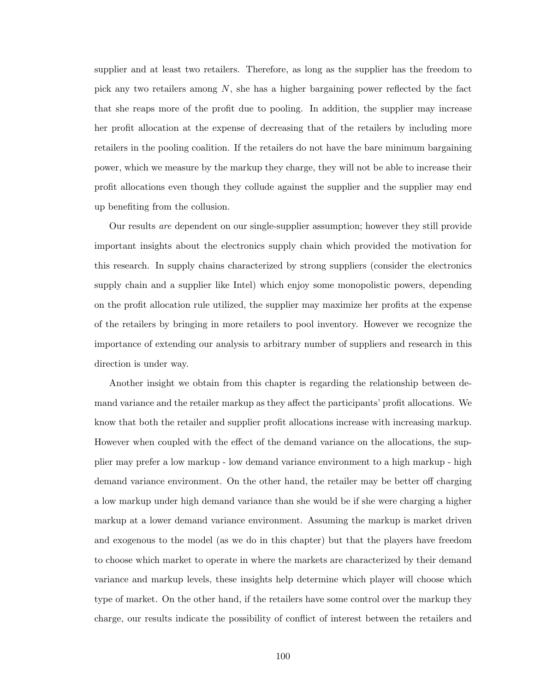supplier and at least two retailers. Therefore, as long as the supplier has the freedom to pick any two retailers among  $N$ , she has a higher bargaining power reflected by the fact that she reaps more of the profit due to pooling. In addition, the supplier may increase her profit allocation at the expense of decreasing that of the retailers by including more retailers in the pooling coalition. If the retailers do not have the bare minimum bargaining power, which we measure by the markup they charge, they will not be able to increase their profit allocations even though they collude against the supplier and the supplier may end up benefiting from the collusion.

Our results are dependent on our single-supplier assumption; however they still provide important insights about the electronics supply chain which provided the motivation for this research. In supply chains characterized by strong suppliers (consider the electronics supply chain and a supplier like Intel) which enjoy some monopolistic powers, depending on the profit allocation rule utilized, the supplier may maximize her profits at the expense of the retailers by bringing in more retailers to pool inventory. However we recognize the importance of extending our analysis to arbitrary number of suppliers and research in this direction is under way.

Another insight we obtain from this chapter is regarding the relationship between demand variance and the retailer markup as they affect the participants' profit allocations. We know that both the retailer and supplier profit allocations increase with increasing markup. However when coupled with the effect of the demand variance on the allocations, the supplier may prefer a low markup - low demand variance environment to a high markup - high demand variance environment. On the other hand, the retailer may be better off charging a low markup under high demand variance than she would be if she were charging a higher markup at a lower demand variance environment. Assuming the markup is market driven and exogenous to the model (as we do in this chapter) but that the players have freedom to choose which market to operate in where the markets are characterized by their demand variance and markup levels, these insights help determine which player will choose which type of market. On the other hand, if the retailers have some control over the markup they charge, our results indicate the possibility of conflict of interest between the retailers and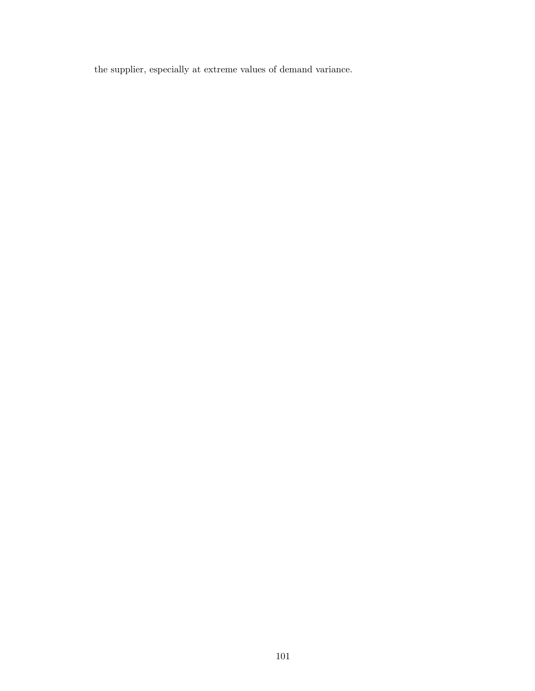the supplier, especially at extreme values of demand variance.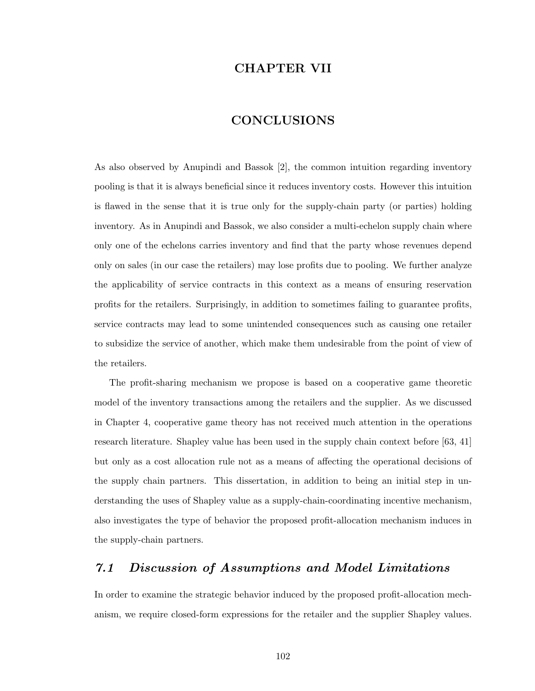## CHAPTER VII

#### CONCLUSIONS

As also observed by Anupindi and Bassok [2], the common intuition regarding inventory pooling is that it is always beneficial since it reduces inventory costs. However this intuition is flawed in the sense that it is true only for the supply-chain party (or parties) holding inventory. As in Anupindi and Bassok, we also consider a multi-echelon supply chain where only one of the echelons carries inventory and find that the party whose revenues depend only on sales (in our case the retailers) may lose profits due to pooling. We further analyze the applicability of service contracts in this context as a means of ensuring reservation profits for the retailers. Surprisingly, in addition to sometimes failing to guarantee profits, service contracts may lead to some unintended consequences such as causing one retailer to subsidize the service of another, which make them undesirable from the point of view of the retailers.

The profit-sharing mechanism we propose is based on a cooperative game theoretic model of the inventory transactions among the retailers and the supplier. As we discussed in Chapter 4, cooperative game theory has not received much attention in the operations research literature. Shapley value has been used in the supply chain context before [63, 41] but only as a cost allocation rule not as a means of affecting the operational decisions of the supply chain partners. This dissertation, in addition to being an initial step in understanding the uses of Shapley value as a supply-chain-coordinating incentive mechanism, also investigates the type of behavior the proposed profit-allocation mechanism induces in the supply-chain partners.

## 7.1 Discussion of Assumptions and Model Limitations

In order to examine the strategic behavior induced by the proposed profit-allocation mechanism, we require closed-form expressions for the retailer and the supplier Shapley values.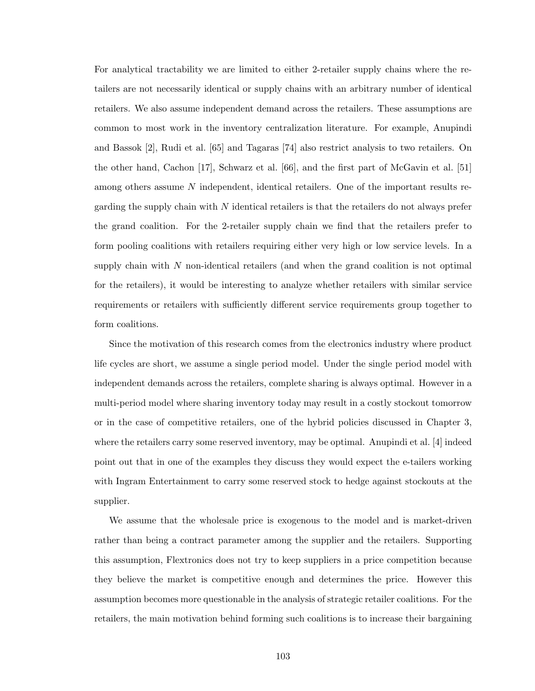For analytical tractability we are limited to either 2-retailer supply chains where the retailers are not necessarily identical or supply chains with an arbitrary number of identical retailers. We also assume independent demand across the retailers. These assumptions are common to most work in the inventory centralization literature. For example, Anupindi and Bassok [2], Rudi et al. [65] and Tagaras [74] also restrict analysis to two retailers. On the other hand, Cachon [17], Schwarz et al. [66], and the first part of McGavin et al. [51] among others assume N independent, identical retailers. One of the important results regarding the supply chain with  $N$  identical retailers is that the retailers do not always prefer the grand coalition. For the 2-retailer supply chain we find that the retailers prefer to form pooling coalitions with retailers requiring either very high or low service levels. In a supply chain with  $N$  non-identical retailers (and when the grand coalition is not optimal for the retailers), it would be interesting to analyze whether retailers with similar service requirements or retailers with sufficiently different service requirements group together to form coalitions.

Since the motivation of this research comes from the electronics industry where product life cycles are short, we assume a single period model. Under the single period model with independent demands across the retailers, complete sharing is always optimal. However in a multi-period model where sharing inventory today may result in a costly stockout tomorrow or in the case of competitive retailers, one of the hybrid policies discussed in Chapter 3, where the retailers carry some reserved inventory, may be optimal. Anupindi et al. [4] indeed point out that in one of the examples they discuss they would expect the e-tailers working with Ingram Entertainment to carry some reserved stock to hedge against stockouts at the supplier.

We assume that the wholesale price is exogenous to the model and is market-driven rather than being a contract parameter among the supplier and the retailers. Supporting this assumption, Flextronics does not try to keep suppliers in a price competition because they believe the market is competitive enough and determines the price. However this assumption becomes more questionable in the analysis of strategic retailer coalitions. For the retailers, the main motivation behind forming such coalitions is to increase their bargaining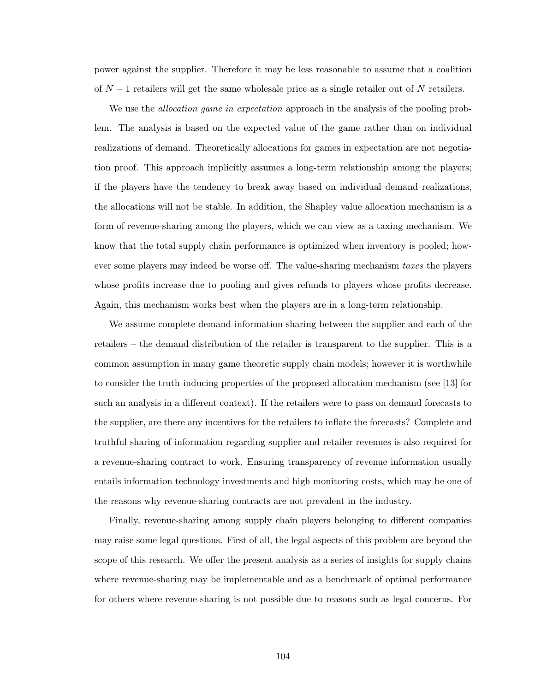power against the supplier. Therefore it may be less reasonable to assume that a coalition of  $N-1$  retailers will get the same wholesale price as a single retailer out of N retailers.

We use the *allocation game in expectation* approach in the analysis of the pooling problem. The analysis is based on the expected value of the game rather than on individual realizations of demand. Theoretically allocations for games in expectation are not negotiation proof. This approach implicitly assumes a long-term relationship among the players; if the players have the tendency to break away based on individual demand realizations, the allocations will not be stable. In addition, the Shapley value allocation mechanism is a form of revenue-sharing among the players, which we can view as a taxing mechanism. We know that the total supply chain performance is optimized when inventory is pooled; however some players may indeed be worse off. The value-sharing mechanism taxes the players whose profits increase due to pooling and gives refunds to players whose profits decrease. Again, this mechanism works best when the players are in a long-term relationship.

We assume complete demand-information sharing between the supplier and each of the retailers – the demand distribution of the retailer is transparent to the supplier. This is a common assumption in many game theoretic supply chain models; however it is worthwhile to consider the truth-inducing properties of the proposed allocation mechanism (see [13] for such an analysis in a different context). If the retailers were to pass on demand forecasts to the supplier, are there any incentives for the retailers to inflate the forecasts? Complete and truthful sharing of information regarding supplier and retailer revenues is also required for a revenue-sharing contract to work. Ensuring transparency of revenue information usually entails information technology investments and high monitoring costs, which may be one of the reasons why revenue-sharing contracts are not prevalent in the industry.

Finally, revenue-sharing among supply chain players belonging to different companies may raise some legal questions. First of all, the legal aspects of this problem are beyond the scope of this research. We offer the present analysis as a series of insights for supply chains where revenue-sharing may be implementable and as a benchmark of optimal performance for others where revenue-sharing is not possible due to reasons such as legal concerns. For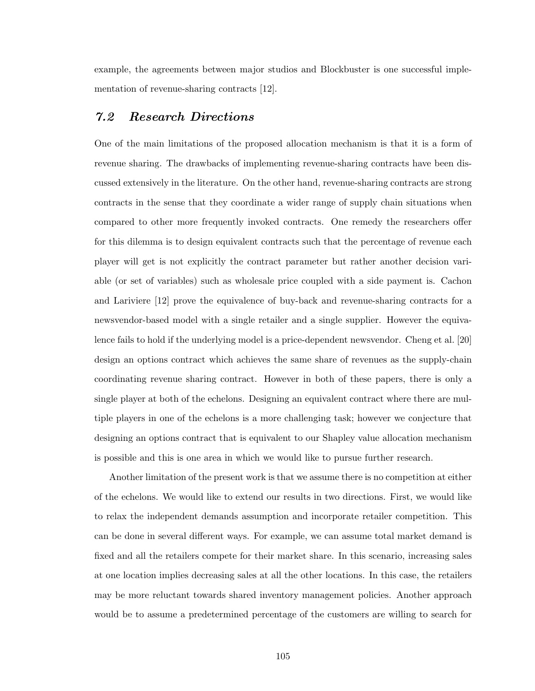example, the agreements between major studios and Blockbuster is one successful implementation of revenue-sharing contracts [12].

#### 7.2 Research Directions

One of the main limitations of the proposed allocation mechanism is that it is a form of revenue sharing. The drawbacks of implementing revenue-sharing contracts have been discussed extensively in the literature. On the other hand, revenue-sharing contracts are strong contracts in the sense that they coordinate a wider range of supply chain situations when compared to other more frequently invoked contracts. One remedy the researchers offer for this dilemma is to design equivalent contracts such that the percentage of revenue each player will get is not explicitly the contract parameter but rather another decision variable (or set of variables) such as wholesale price coupled with a side payment is. Cachon and Lariviere [12] prove the equivalence of buy-back and revenue-sharing contracts for a newsvendor-based model with a single retailer and a single supplier. However the equivalence fails to hold if the underlying model is a price-dependent newsvendor. Cheng et al. [20] design an options contract which achieves the same share of revenues as the supply-chain coordinating revenue sharing contract. However in both of these papers, there is only a single player at both of the echelons. Designing an equivalent contract where there are multiple players in one of the echelons is a more challenging task; however we conjecture that designing an options contract that is equivalent to our Shapley value allocation mechanism is possible and this is one area in which we would like to pursue further research.

Another limitation of the present work is that we assume there is no competition at either of the echelons. We would like to extend our results in two directions. First, we would like to relax the independent demands assumption and incorporate retailer competition. This can be done in several different ways. For example, we can assume total market demand is fixed and all the retailers compete for their market share. In this scenario, increasing sales at one location implies decreasing sales at all the other locations. In this case, the retailers may be more reluctant towards shared inventory management policies. Another approach would be to assume a predetermined percentage of the customers are willing to search for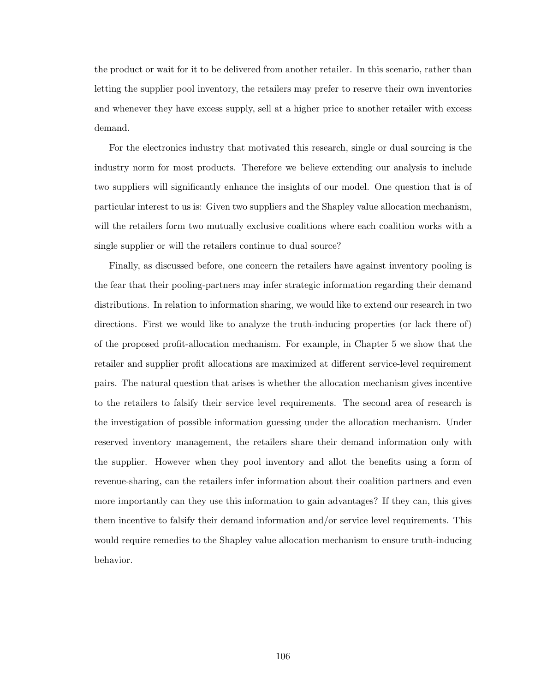the product or wait for it to be delivered from another retailer. In this scenario, rather than letting the supplier pool inventory, the retailers may prefer to reserve their own inventories and whenever they have excess supply, sell at a higher price to another retailer with excess demand.

For the electronics industry that motivated this research, single or dual sourcing is the industry norm for most products. Therefore we believe extending our analysis to include two suppliers will significantly enhance the insights of our model. One question that is of particular interest to us is: Given two suppliers and the Shapley value allocation mechanism, will the retailers form two mutually exclusive coalitions where each coalition works with a single supplier or will the retailers continue to dual source?

Finally, as discussed before, one concern the retailers have against inventory pooling is the fear that their pooling-partners may infer strategic information regarding their demand distributions. In relation to information sharing, we would like to extend our research in two directions. First we would like to analyze the truth-inducing properties (or lack there of) of the proposed profit-allocation mechanism. For example, in Chapter 5 we show that the retailer and supplier profit allocations are maximized at different service-level requirement pairs. The natural question that arises is whether the allocation mechanism gives incentive to the retailers to falsify their service level requirements. The second area of research is the investigation of possible information guessing under the allocation mechanism. Under reserved inventory management, the retailers share their demand information only with the supplier. However when they pool inventory and allot the benefits using a form of revenue-sharing, can the retailers infer information about their coalition partners and even more importantly can they use this information to gain advantages? If they can, this gives them incentive to falsify their demand information and/or service level requirements. This would require remedies to the Shapley value allocation mechanism to ensure truth-inducing behavior.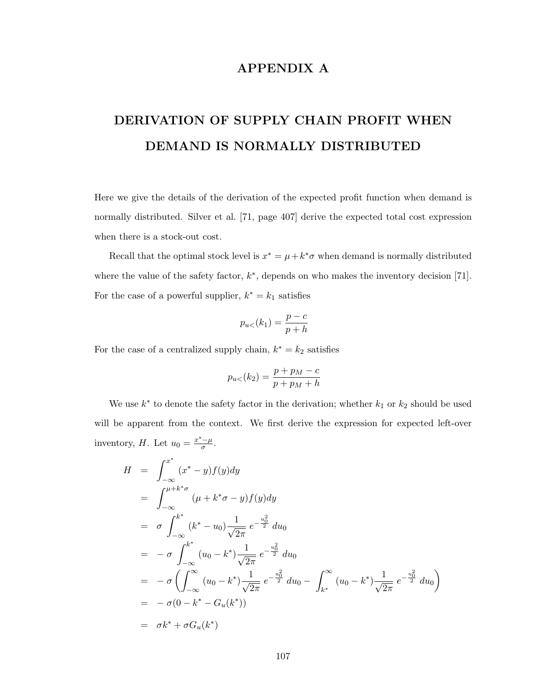## APPENDIX A

# DERIVATION OF SUPPLY CHAIN PROFIT WHEN DEMAND IS NORMALLY DISTRIBUTED

Here we give the details of the derivation of the expected profit function when demand is normally distributed. Silver et al. [71, page 407] derive the expected total cost expression when there is a stock-out cost.

Recall that the optimal stock level is  $x^* = \mu + k^* \sigma$  when demand is normally distributed where the value of the safety factor,  $k^*$ , depends on who makes the inventory decision [71]. For the case of a powerful supplier,  $k^* = k_1$  satisfies

$$
p_{u<(k_1) = \frac{p-c}{p+h}
$$

For the case of a centralized supply chain,  $k^* = k_2$  satisfies

$$
p_{u<}(k_2) = \frac{p+p_M-c}{p+p_M+h}
$$

We use  $k^*$  to denote the safety factor in the derivation; whether  $k_1$  or  $k_2$  should be used will be apparent from the context. We first derive the expression for expected left-over inventory, H. Let  $u_0 = \frac{x^* - \mu}{\sigma}$  $\frac{-\mu}{\sigma}$ .

$$
H = \int_{-\infty}^{x^*} (x^* - y) f(y) dy
$$
  
\n
$$
= \int_{-\infty}^{\mu + k^* \sigma} (\mu + k^* \sigma - y) f(y) dy
$$
  
\n
$$
= \sigma \int_{-\infty}^{k^*} (k^* - u_0) \frac{1}{\sqrt{2\pi}} e^{-\frac{u_0^2}{2}} du_0
$$
  
\n
$$
= -\sigma \int_{-\infty}^{k^*} (u_0 - k^*) \frac{1}{\sqrt{2\pi}} e^{-\frac{u_0^2}{2}} du_0
$$
  
\n
$$
= -\sigma \left( \int_{-\infty}^{\infty} (u_0 - k^*) \frac{1}{\sqrt{2\pi}} e^{-\frac{u_0^2}{2}} du_0 - \int_{k^*}^{\infty} (u_0 - k^*) \frac{1}{\sqrt{2\pi}} e^{-\frac{u_0^2}{2}} du_0 \right)
$$
  
\n
$$
= -\sigma (0 - k^* - G_u(k^*))
$$
  
\n
$$
= \sigma k^* + \sigma G_u(k^*)
$$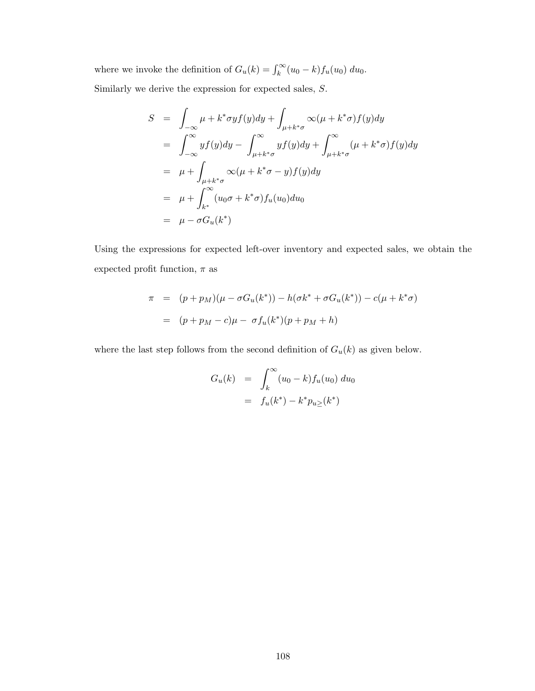where we invoke the definition of  $G_u(k) = \int_k^{\infty} (u_0 - k) f_u(u_0) du_0$ . Similarly we derive the expression for expected sales, S.

$$
S = \int_{-\infty}^{\infty} \mu + k^* \sigma y f(y) dy + \int_{\mu + k^* \sigma} \infty (\mu + k^* \sigma) f(y) dy
$$
  
\n
$$
= \int_{-\infty}^{\infty} y f(y) dy - \int_{\mu + k^* \sigma}^{\infty} y f(y) dy + \int_{\mu + k^* \sigma}^{\infty} (\mu + k^* \sigma) f(y) dy
$$
  
\n
$$
= \mu + \int_{\mu + k^* \sigma} \infty (\mu + k^* \sigma - y) f(y) dy
$$
  
\n
$$
= \mu + \int_{k^*}^{\infty} (u_0 \sigma + k^* \sigma) f_u(u_0) du_0
$$
  
\n
$$
= \mu - \sigma G_u(k^*)
$$

Using the expressions for expected left-over inventory and expected sales, we obtain the expected profit function,  $\pi$  as

$$
\pi = (p + p_M)(\mu - \sigma G_u(k^*)) - h(\sigma k^* + \sigma G_u(k^*)) - c(\mu + k^* \sigma)
$$
  
= 
$$
(p + p_M - c)\mu - \sigma f_u(k^*)(p + p_M + h)
$$

where the last step follows from the second definition of  $G_u(k)$  as given below.

$$
G_u(k) = \int_k^{\infty} (u_0 - k) f_u(u_0) du_0
$$
  
=  $f_u(k^*) - k^* p_{u \geq}(k^*)$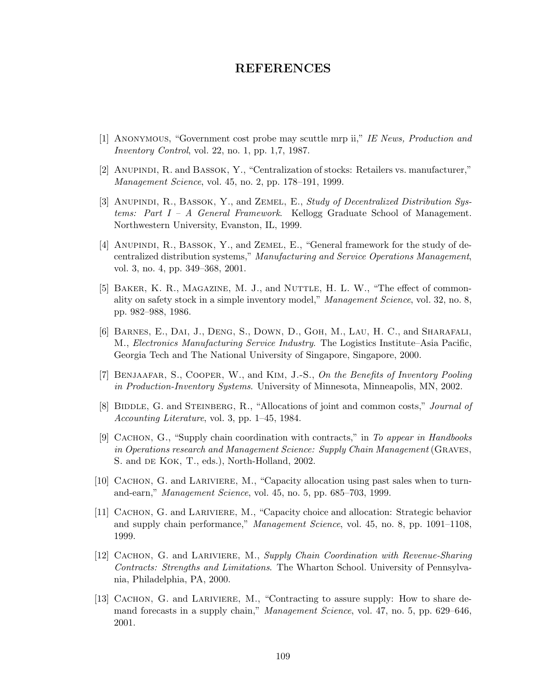#### REFERENCES

- [1] Anonymous, "Government cost probe may scuttle mrp ii," IE News, Production and Inventory Control, vol. 22, no. 1, pp. 1,7, 1987.
- [2] Anupindi, R. and Bassok, Y., "Centralization of stocks: Retailers vs. manufacturer," Management Science, vol. 45, no. 2, pp. 178–191, 1999.
- [3] ANUPINDI, R., BASSOK, Y., and ZEMEL, E., Study of Decentralized Distribution Systems: Part I – A General Framework. Kellogg Graduate School of Management. Northwestern University, Evanston, IL, 1999.
- [4] Anupindi, R., Bassok, Y., and Zemel, E., "General framework for the study of decentralized distribution systems," Manufacturing and Service Operations Management, vol. 3, no. 4, pp. 349–368, 2001.
- [5] BAKER, K. R., MAGAZINE, M. J., and NUTTLE, H. L. W., "The effect of commonality on safety stock in a simple inventory model," Management Science, vol. 32, no. 8, pp. 982–988, 1986.
- [6] BARNES, E., DAI, J., DENG, S., DOWN, D., GOH, M., LAU, H. C., and SHARAFALI, M., Electronics Manufacturing Service Industry. The Logistics Institute–Asia Pacific, Georgia Tech and The National University of Singapore, Singapore, 2000.
- [7] Benjaafar, S., Cooper, W., and Kim, J.-S., On the Benefits of Inventory Pooling in Production-Inventory Systems. University of Minnesota, Minneapolis, MN, 2002.
- [8] BIDDLE, G. and STEINBERG, R., "Allocations of joint and common costs," *Journal of* Accounting Literature, vol. 3, pp. 1–45, 1984.
- [9] CACHON, G., "Supply chain coordination with contracts," in To appear in Handbooks in Operations research and Management Science: Supply Chain Management (Graves, S. and DE KOK, T., eds.), North-Holland, 2002.
- [10] CACHON, G. and LARIVIERE, M., "Capacity allocation using past sales when to turnand-earn," Management Science, vol. 45, no. 5, pp. 685–703, 1999.
- [11] Cachon, G. and Lariviere, M., "Capacity choice and allocation: Strategic behavior and supply chain performance," Management Science, vol. 45, no. 8, pp. 1091–1108, 1999.
- [12] CACHON, G. and LARIVIERE, M., Supply Chain Coordination with Revenue-Sharing Contracts: Strengths and Limitations. The Wharton School. University of Pennsylvania, Philadelphia, PA, 2000.
- [13] CACHON, G. and LARIVIERE, M., "Contracting to assure supply: How to share demand forecasts in a supply chain," Management Science, vol. 47, no. 5, pp. 629–646, 2001.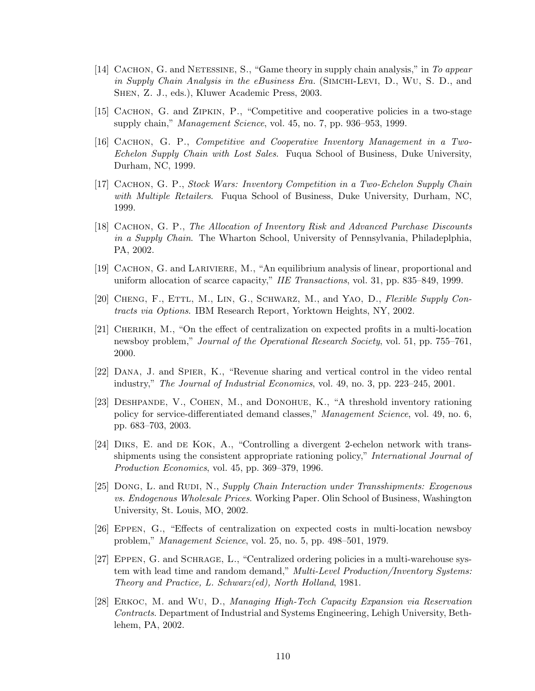- [14] CACHON, G. and NETESSINE, S., "Game theory in supply chain analysis," in To appear in Supply Chain Analysis in the eBusiness Era. (SIMCHI-LEVI, D., WU, S. D., and Shen, Z. J., eds.), Kluwer Academic Press, 2003.
- [15] Cachon, G. and Zipkin, P., "Competitive and cooperative policies in a two-stage supply chain," *Management Science*, vol. 45, no. 7, pp. 936–953, 1999.
- [16] Cachon, G. P., Competitive and Cooperative Inventory Management in a Two-Echelon Supply Chain with Lost Sales. Fuqua School of Business, Duke University, Durham, NC, 1999.
- [17] Cachon, G. P., Stock Wars: Inventory Competition in a Two-Echelon Supply Chain with Multiple Retailers. Fuqua School of Business, Duke University, Durham, NC, 1999.
- [18] Cachon, G. P., The Allocation of Inventory Risk and Advanced Purchase Discounts in a Supply Chain. The Wharton School, University of Pennsylvania, Philadeplphia, PA, 2002.
- [19] Cachon, G. and Lariviere, M., "An equilibrium analysis of linear, proportional and uniform allocation of scarce capacity," IIE Transactions, vol. 31, pp. 835–849, 1999.
- [20] Cheng, F., Ettl, M., Lin, G., Schwarz, M., and Yao, D., Flexible Supply Contracts via Options. IBM Research Report, Yorktown Heights, NY, 2002.
- [21] Cherikh, M., "On the effect of centralization on expected profits in a multi-location newsboy problem," Journal of the Operational Research Society, vol. 51, pp. 755–761, 2000.
- [22] Dana, J. and Spier, K., "Revenue sharing and vertical control in the video rental industry," The Journal of Industrial Economics, vol. 49, no. 3, pp. 223–245, 2001.
- [23] Deshpande, V., Cohen, M., and Donohue, K., "A threshold inventory rationing policy for service-differentiated demand classes," Management Science, vol. 49, no. 6, pp. 683–703, 2003.
- [24] Diks, E. and de Kok, A., "Controlling a divergent 2-echelon network with transshipments using the consistent appropriate rationing policy," International Journal of Production Economics, vol. 45, pp. 369–379, 1996.
- [25] DONG, L. and RUDI, N., Supply Chain Interaction under Transshipments: Exogenous vs. Endogenous Wholesale Prices. Working Paper. Olin School of Business, Washington University, St. Louis, MO, 2002.
- [26] Eppen, G., "Effects of centralization on expected costs in multi-location newsboy problem," Management Science, vol. 25, no. 5, pp. 498–501, 1979.
- [27] Eppen, G. and Schrage, L., "Centralized ordering policies in a multi-warehouse system with lead time and random demand," Multi-Level Production/Inventory Systems: Theory and Practice, L. Schwarz(ed), North Holland, 1981.
- [28] Erkoc, M. and Wu, D., Managing High-Tech Capacity Expansion via Reservation Contracts. Department of Industrial and Systems Engineering, Lehigh University, Bethlehem, PA, 2002.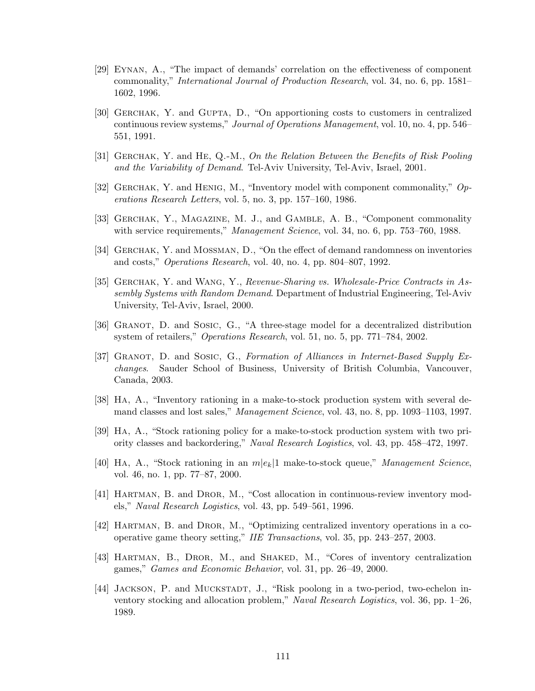- [29] Eynan, A., "The impact of demands' correlation on the effectiveness of component commonality," International Journal of Production Research, vol. 34, no. 6, pp. 1581– 1602, 1996.
- [30] Gerchak, Y. and Gupta, D., "On apportioning costs to customers in centralized continuous review systems," Journal of Operations Management, vol. 10, no. 4, pp. 546– 551, 1991.
- [31] Gerchak, Y. and He, Q.-M., On the Relation Between the Benefits of Risk Pooling and the Variability of Demand. Tel-Aviv University, Tel-Aviv, Israel, 2001.
- [32] GERCHAK, Y. and HENIG, M., "Inventory model with component commonality,"  $Op$ erations Research Letters, vol. 5, no. 3, pp. 157–160, 1986.
- [33] Gerchak, Y., Magazine, M. J., and Gamble, A. B., "Component commonality with service requirements," Management Science, vol. 34, no. 6, pp. 753–760, 1988.
- [34] Gerchak, Y. and Mossman, D., "On the effect of demand randomness on inventories and costs," Operations Research, vol. 40, no. 4, pp. 804–807, 1992.
- [35] Gerchak, Y. and Wang, Y., Revenue-Sharing vs. Wholesale-Price Contracts in Assembly Systems with Random Demand. Department of Industrial Engineering, Tel-Aviv University, Tel-Aviv, Israel, 2000.
- [36] Granot, D. and Sosic, G., "A three-stage model for a decentralized distribution system of retailers," Operations Research, vol. 51, no. 5, pp. 771–784, 2002.
- [37] GRANOT, D. and SOSIC, G., Formation of Alliances in Internet-Based Supply Exchanges. Sauder School of Business, University of British Columbia, Vancouver, Canada, 2003.
- [38] Ha, A., "Inventory rationing in a make-to-stock production system with several demand classes and lost sales," Management Science, vol. 43, no. 8, pp. 1093–1103, 1997.
- [39] Ha, A., "Stock rationing policy for a make-to-stock production system with two priority classes and backordering," Naval Research Logistics, vol. 43, pp. 458–472, 1997.
- [40] HA, A., "Stock rationing in an  $m|e_k|1$  make-to-stock queue," *Management Science*, vol. 46, no. 1, pp. 77–87, 2000.
- [41] Hartman, B. and Dror, M., "Cost allocation in continuous-review inventory models," Naval Research Logistics, vol. 43, pp. 549–561, 1996.
- [42] Hartman, B. and Dror, M., "Optimizing centralized inventory operations in a cooperative game theory setting," IIE Transactions, vol. 35, pp. 243–257, 2003.
- [43] HARTMAN, B., DROR, M., and SHAKED, M., "Cores of inventory centralization games," Games and Economic Behavior, vol. 31, pp. 26–49, 2000.
- [44] JACKSON, P. and MUCKSTADT, J., "Risk poolong in a two-period, two-echelon inventory stocking and allocation problem," Naval Research Logistics, vol. 36, pp. 1–26, 1989.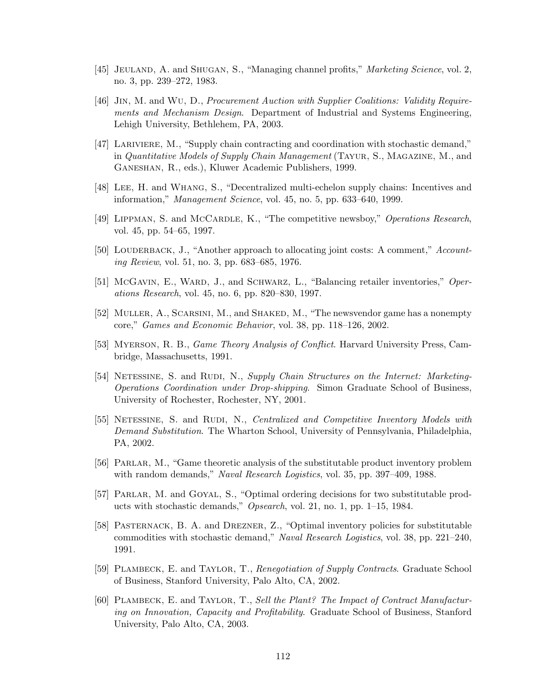- [45] JEULAND, A. and SHUGAN, S., "Managing channel profits," *Marketing Science*, vol. 2, no. 3, pp. 239–272, 1983.
- [46] Jin, M. and Wu, D., Procurement Auction with Supplier Coalitions: Validity Requirements and Mechanism Design. Department of Industrial and Systems Engineering, Lehigh University, Bethlehem, PA, 2003.
- [47] Lariviere, M., "Supply chain contracting and coordination with stochastic demand," in Quantitative Models of Supply Chain Management (Tayur, S., Magazine, M., and Ganeshan, R., eds.), Kluwer Academic Publishers, 1999.
- [48] Lee, H. and Whang, S., "Decentralized multi-echelon supply chains: Incentives and information," Management Science, vol. 45, no. 5, pp. 633–640, 1999.
- [49] LIPPMAN, S. and McCARDLE, K., "The competitive newsboy," Operations Research, vol. 45, pp. 54–65, 1997.
- [50] LOUDERBACK, J., "Another approach to allocating joint costs: A comment," Accounting Review, vol. 51, no. 3, pp. 683–685, 1976.
- [51] McGavin, E., WARD, J., and SCHWARZ, L., "Balancing retailer inventories," Operations Research, vol. 45, no. 6, pp. 820–830, 1997.
- [52] Muller, A., Scarsini, M., and Shaked, M., "The newsvendor game has a nonempty core," Games and Economic Behavior, vol. 38, pp. 118–126, 2002.
- [53] MYERSON, R. B., *Game Theory Analysis of Conflict*. Harvard University Press, Cambridge, Massachusetts, 1991.
- [54] NETESSINE, S. and RUDI, N., Supply Chain Structures on the Internet: Marketing-Operations Coordination under Drop-shipping. Simon Graduate School of Business, University of Rochester, Rochester, NY, 2001.
- [55] NETESSINE, S. and RUDI, N., Centralized and Competitive Inventory Models with Demand Substitution. The Wharton School, University of Pennsylvania, Philadelphia, PA, 2002.
- [56] Parlar, M., "Game theoretic analysis of the substitutable product inventory problem with random demands," Naval Research Logistics, vol. 35, pp. 397–409, 1988.
- [57] Parlar, M. and Goyal, S., "Optimal ordering decisions for two substitutable products with stochastic demands," Opsearch, vol. 21, no. 1, pp. 1–15, 1984.
- [58] Pasternack, B. A. and Drezner, Z., "Optimal inventory policies for substitutable commodities with stochastic demand," Naval Research Logistics, vol. 38, pp. 221–240, 1991.
- [59] Plambeck, E. and Taylor, T., Renegotiation of Supply Contracts. Graduate School of Business, Stanford University, Palo Alto, CA, 2002.
- [60] Plambeck, E. and Taylor, T., Sell the Plant? The Impact of Contract Manufacturing on Innovation, Capacity and Profitability. Graduate School of Business, Stanford University, Palo Alto, CA, 2003.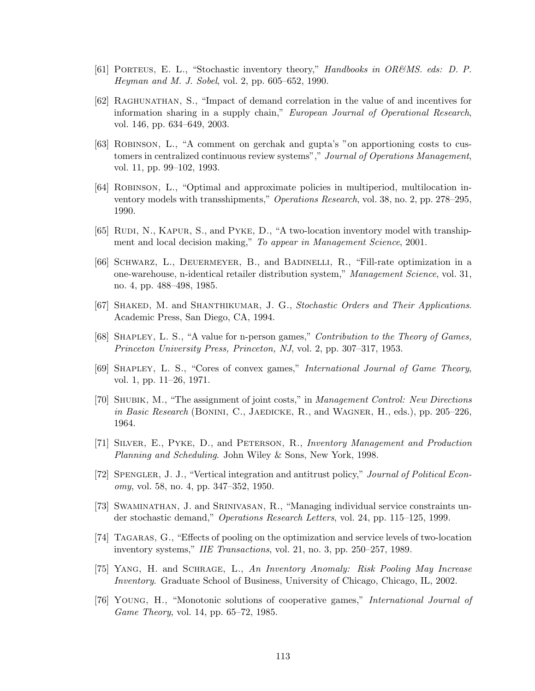- [61] Porteus, E. L., "Stochastic inventory theory," Handbooks in OR&MS. eds: D. P. Heyman and M. J. Sobel, vol. 2, pp. 605–652, 1990.
- [62] RAGHUNATHAN, S., "Impact of demand correlation in the value of and incentives for information sharing in a supply chain," European Journal of Operational Research, vol. 146, pp. 634–649, 2003.
- [63] Robinson, L., "A comment on gerchak and gupta's "on apportioning costs to customers in centralized continuous review systems"," Journal of Operations Management, vol. 11, pp. 99–102, 1993.
- [64] Robinson, L., "Optimal and approximate policies in multiperiod, multilocation inventory models with transshipments," Operations Research, vol. 38, no. 2, pp. 278–295, 1990.
- [65] RUDI, N., KAPUR, S., and PYKE, D., "A two-location inventory model with transhipment and local decision making," To appear in Management Science, 2001.
- [66] Schwarz, L., Deuermeyer, B., and Badinelli, R., "Fill-rate optimization in a one-warehouse, n-identical retailer distribution system," Management Science, vol. 31, no. 4, pp. 488–498, 1985.
- [67] SHAKED, M. and SHANTHIKUMAR, J. G., Stochastic Orders and Their Applications. Academic Press, San Diego, CA, 1994.
- [68] Shapley, L. S., "A value for n-person games," Contribution to the Theory of Games, Princeton University Press, Princeton, NJ, vol. 2, pp. 307–317, 1953.
- [69] SHAPLEY, L. S., "Cores of convex games," International Journal of Game Theory, vol. 1, pp. 11–26, 1971.
- [70] Shubik, M., "The assignment of joint costs," in Management Control: New Directions in Basic Research (BONINI, C., JAEDICKE, R., and WAGNER, H., eds.), pp. 205–226, 1964.
- [71] Silver, E., Pyke, D., and Peterson, R., Inventory Management and Production Planning and Scheduling. John Wiley & Sons, New York, 1998.
- [72] SPENGLER, J. J., "Vertical integration and antitrust policy," Journal of Political Economy, vol. 58, no. 4, pp. 347–352, 1950.
- [73] Swaminathan, J. and Srinivasan, R., "Managing individual service constraints under stochastic demand," Operations Research Letters, vol. 24, pp. 115–125, 1999.
- [74] Tagaras, G., "Effects of pooling on the optimization and service levels of two-location inventory systems," IIE Transactions, vol. 21, no. 3, pp. 250–257, 1989.
- [75] Yang, H. and Schrage, L., An Inventory Anomaly: Risk Pooling May Increase Inventory. Graduate School of Business, University of Chicago, Chicago, IL, 2002.
- [76] Young, H., "Monotonic solutions of cooperative games," International Journal of Game Theory, vol. 14, pp. 65–72, 1985.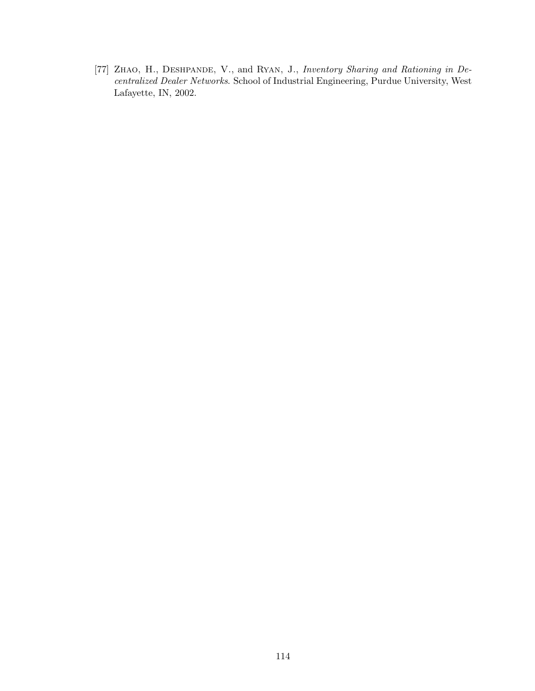[77] ZHAO, H., DESHPANDE, V., and RYAN, J., Inventory Sharing and Rationing in Decentralized Dealer Networks. School of Industrial Engineering, Purdue University, West Lafayette, IN, 2002.